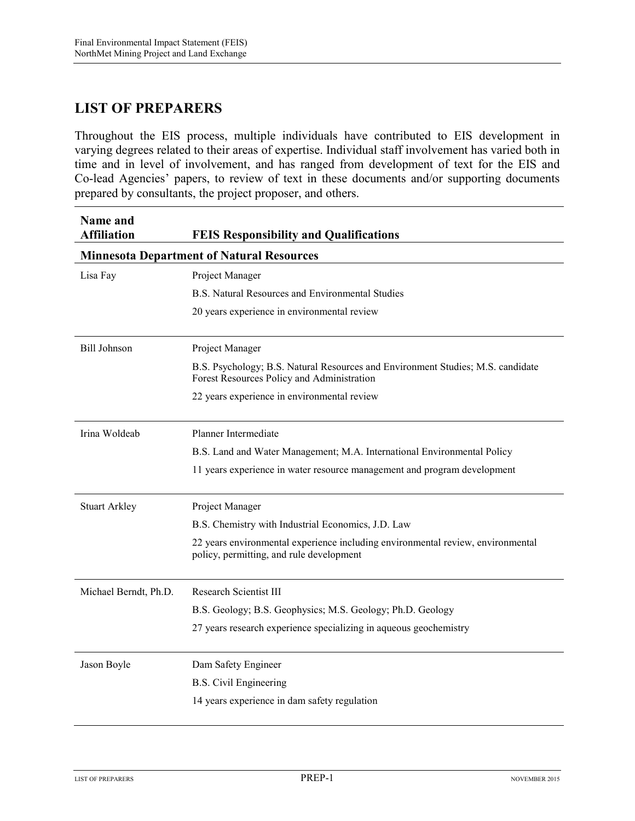## **LIST OF PREPARERS**

Throughout the EIS process, multiple individuals have contributed to EIS development in varying degrees related to their areas of expertise. Individual staff involvement has varied both in time and in level of involvement, and has ranged from development of text for the EIS and Co-lead Agencies' papers, to review of text in these documents and/or supporting documents prepared by consultants, the project proposer, and others.

| <b>Name and</b><br><b>Affiliation</b> | <b>FEIS Responsibility and Qualifications</b>                                                                                 |
|---------------------------------------|-------------------------------------------------------------------------------------------------------------------------------|
|                                       | <b>Minnesota Department of Natural Resources</b>                                                                              |
| Lisa Fay                              | Project Manager                                                                                                               |
|                                       | <b>B.S. Natural Resources and Environmental Studies</b>                                                                       |
|                                       | 20 years experience in environmental review                                                                                   |
| Bill Johnson                          | Project Manager                                                                                                               |
|                                       | B.S. Psychology; B.S. Natural Resources and Environment Studies; M.S. candidate<br>Forest Resources Policy and Administration |
|                                       | 22 years experience in environmental review                                                                                   |
| Irina Woldeab                         | Planner Intermediate                                                                                                          |
|                                       | B.S. Land and Water Management; M.A. International Environmental Policy                                                       |
|                                       | 11 years experience in water resource management and program development                                                      |
| <b>Stuart Arkley</b>                  | Project Manager                                                                                                               |
|                                       | B.S. Chemistry with Industrial Economics, J.D. Law                                                                            |
|                                       | 22 years environmental experience including environmental review, environmental<br>policy, permitting, and rule development   |
| Michael Berndt, Ph.D.                 | Research Scientist III                                                                                                        |
|                                       | B.S. Geology; B.S. Geophysics; M.S. Geology; Ph.D. Geology                                                                    |
|                                       | 27 years research experience specializing in aqueous geochemistry                                                             |
| Jason Boyle                           | Dam Safety Engineer                                                                                                           |
|                                       | <b>B.S.</b> Civil Engineering                                                                                                 |
|                                       | 14 years experience in dam safety regulation                                                                                  |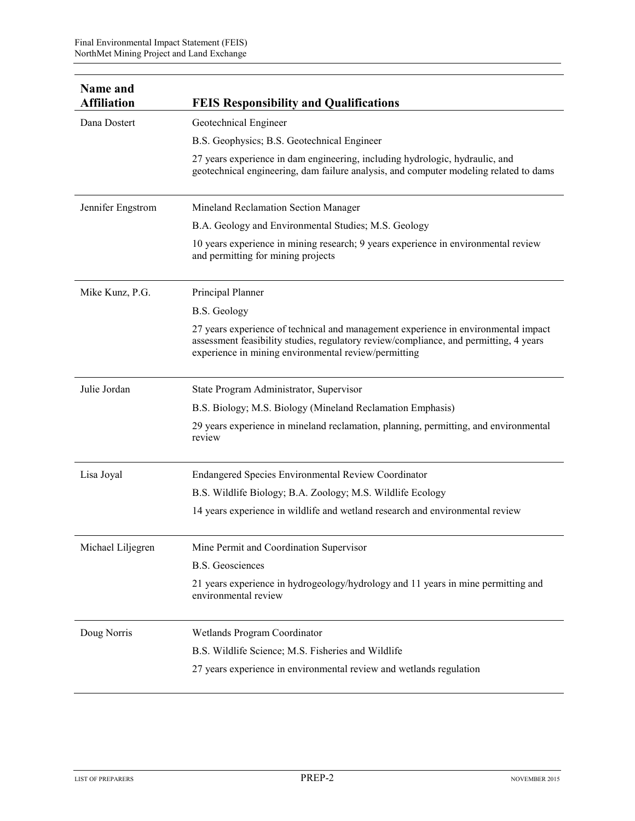| <b>Name and</b><br><b>Affiliation</b> | <b>FEIS Responsibility and Qualifications</b>                                                                                                                                                                                       |
|---------------------------------------|-------------------------------------------------------------------------------------------------------------------------------------------------------------------------------------------------------------------------------------|
| Dana Dostert                          | Geotechnical Engineer                                                                                                                                                                                                               |
|                                       | B.S. Geophysics; B.S. Geotechnical Engineer                                                                                                                                                                                         |
|                                       | 27 years experience in dam engineering, including hydrologic, hydraulic, and<br>geotechnical engineering, dam failure analysis, and computer modeling related to dams                                                               |
| Jennifer Engstrom                     | Mineland Reclamation Section Manager                                                                                                                                                                                                |
|                                       | B.A. Geology and Environmental Studies; M.S. Geology                                                                                                                                                                                |
|                                       | 10 years experience in mining research; 9 years experience in environmental review<br>and permitting for mining projects                                                                                                            |
| Mike Kunz, P.G.                       | Principal Planner                                                                                                                                                                                                                   |
|                                       | B.S. Geology                                                                                                                                                                                                                        |
|                                       | 27 years experience of technical and management experience in environmental impact<br>assessment feasibility studies, regulatory review/compliance, and permitting, 4 years<br>experience in mining environmental review/permitting |
| Julie Jordan                          | State Program Administrator, Supervisor                                                                                                                                                                                             |
|                                       | B.S. Biology; M.S. Biology (Mineland Reclamation Emphasis)                                                                                                                                                                          |
|                                       | 29 years experience in mineland reclamation, planning, permitting, and environmental<br>review                                                                                                                                      |
| Lisa Joyal                            | Endangered Species Environmental Review Coordinator                                                                                                                                                                                 |
|                                       | B.S. Wildlife Biology; B.A. Zoology; M.S. Wildlife Ecology                                                                                                                                                                          |
|                                       | 14 years experience in wildlife and wetland research and environmental review                                                                                                                                                       |
| Michael Liljegren                     | Mine Permit and Coordination Supervisor                                                                                                                                                                                             |
|                                       | <b>B.S. Geosciences</b>                                                                                                                                                                                                             |
|                                       | 21 years experience in hydrogeology/hydrology and 11 years in mine permitting and<br>environmental review                                                                                                                           |
| Doug Norris                           | Wetlands Program Coordinator                                                                                                                                                                                                        |
|                                       | B.S. Wildlife Science; M.S. Fisheries and Wildlife                                                                                                                                                                                  |
|                                       | 27 years experience in environmental review and wetlands regulation                                                                                                                                                                 |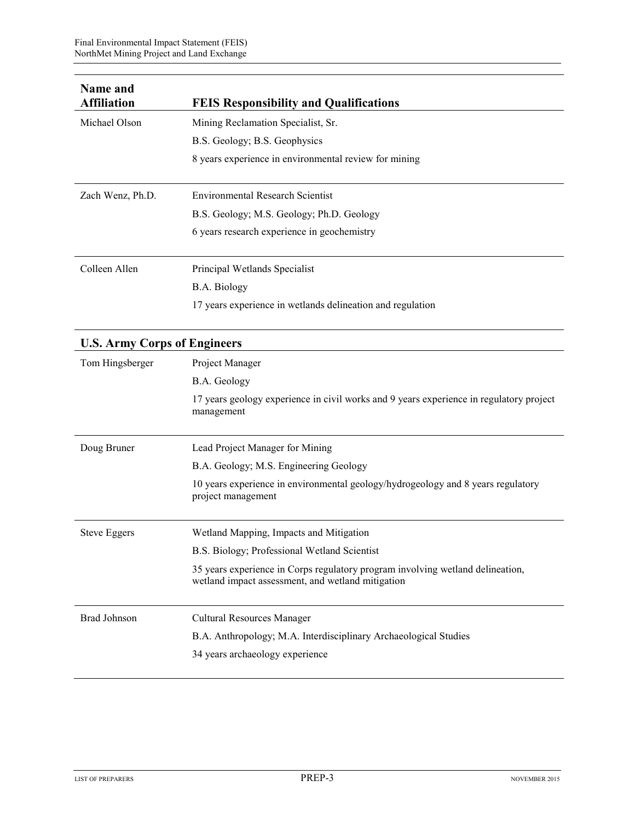| <b>Name and</b><br><b>Affiliation</b> | <b>FEIS Responsibility and Qualifications</b>                                                                                       |
|---------------------------------------|-------------------------------------------------------------------------------------------------------------------------------------|
| Michael Olson                         | Mining Reclamation Specialist, Sr.                                                                                                  |
|                                       | B.S. Geology; B.S. Geophysics                                                                                                       |
|                                       | 8 years experience in environmental review for mining                                                                               |
| Zach Wenz, Ph.D.                      | <b>Environmental Research Scientist</b>                                                                                             |
|                                       | B.S. Geology; M.S. Geology; Ph.D. Geology                                                                                           |
|                                       | 6 years research experience in geochemistry                                                                                         |
| Colleen Allen                         | Principal Wetlands Specialist                                                                                                       |
|                                       | B.A. Biology                                                                                                                        |
|                                       | 17 years experience in wetlands delineation and regulation                                                                          |
| <b>U.S. Army Corps of Engineers</b>   |                                                                                                                                     |
| Tom Hingsberger                       | Project Manager                                                                                                                     |
|                                       | B.A. Geology                                                                                                                        |
|                                       | 17 years geology experience in civil works and 9 years experience in regulatory project<br>management                               |
| Doug Bruner                           | Lead Project Manager for Mining                                                                                                     |
|                                       | B.A. Geology; M.S. Engineering Geology                                                                                              |
|                                       | 10 years experience in environmental geology/hydrogeology and 8 years regulatory<br>project management                              |
| <b>Steve Eggers</b>                   | Wetland Mapping, Impacts and Mitigation                                                                                             |
|                                       | B.S. Biology; Professional Wetland Scientist                                                                                        |
|                                       | 35 years experience in Corps regulatory program involving wetland delineation,<br>wetland impact assessment, and wetland mitigation |
| <b>Brad Johnson</b>                   | <b>Cultural Resources Manager</b>                                                                                                   |
|                                       | B.A. Anthropology; M.A. Interdisciplinary Archaeological Studies                                                                    |
|                                       | 34 years archaeology experience                                                                                                     |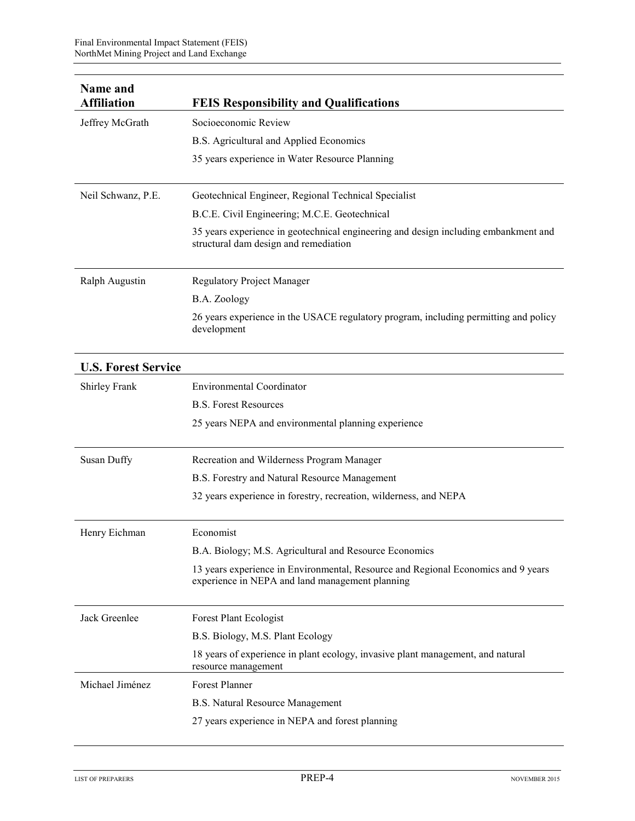| <b>Name and</b><br><b>Affiliation</b> | <b>FEIS Responsibility and Qualifications</b>                                                                                        |
|---------------------------------------|--------------------------------------------------------------------------------------------------------------------------------------|
| Jeffrey McGrath                       | Socioeconomic Review                                                                                                                 |
|                                       | B.S. Agricultural and Applied Economics                                                                                              |
|                                       | 35 years experience in Water Resource Planning                                                                                       |
| Neil Schwanz, P.E.                    | Geotechnical Engineer, Regional Technical Specialist                                                                                 |
|                                       | B.C.E. Civil Engineering; M.C.E. Geotechnical                                                                                        |
|                                       | 35 years experience in geotechnical engineering and design including embankment and<br>structural dam design and remediation         |
| Ralph Augustin                        | <b>Regulatory Project Manager</b>                                                                                                    |
|                                       | B.A. Zoology                                                                                                                         |
|                                       | 26 years experience in the USACE regulatory program, including permitting and policy<br>development                                  |
| <b>U.S. Forest Service</b>            |                                                                                                                                      |
| Shirley Frank                         | <b>Environmental Coordinator</b>                                                                                                     |
|                                       | <b>B.S. Forest Resources</b>                                                                                                         |
|                                       | 25 years NEPA and environmental planning experience                                                                                  |
| <b>Susan Duffy</b>                    | Recreation and Wilderness Program Manager                                                                                            |
|                                       | B.S. Forestry and Natural Resource Management                                                                                        |
|                                       | 32 years experience in forestry, recreation, wilderness, and NEPA                                                                    |
| Henry Eichman                         | Economist                                                                                                                            |
|                                       | B.A. Biology; M.S. Agricultural and Resource Economics                                                                               |
|                                       | 13 years experience in Environmental, Resource and Regional Economics and 9 years<br>experience in NEPA and land management planning |
| Jack Greenlee                         | Forest Plant Ecologist                                                                                                               |
|                                       | B.S. Biology, M.S. Plant Ecology                                                                                                     |
|                                       | 18 years of experience in plant ecology, invasive plant management, and natural<br>resource management                               |
| Michael Jiménez                       | Forest Planner                                                                                                                       |
|                                       | <b>B.S. Natural Resource Management</b>                                                                                              |
|                                       | 27 years experience in NEPA and forest planning                                                                                      |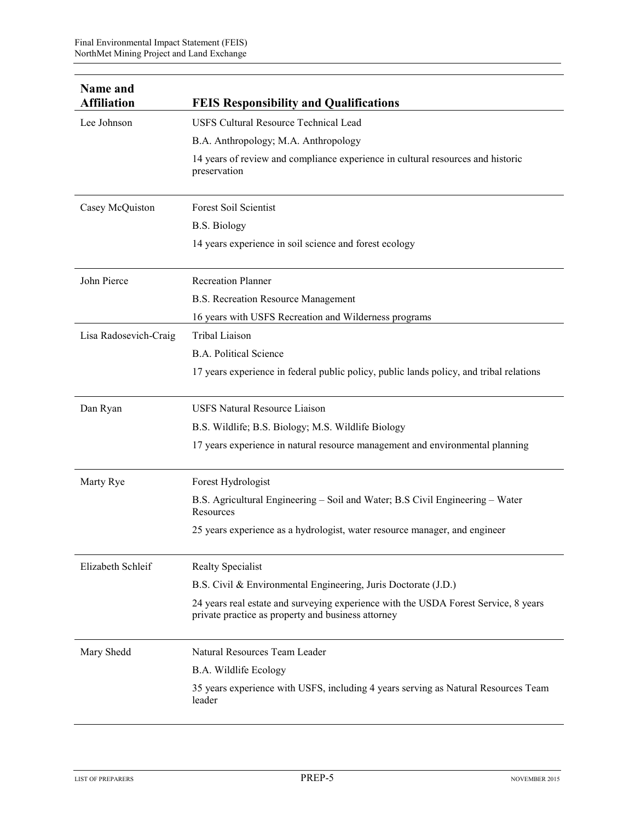| <b>Name and</b><br><b>Affiliation</b> | <b>FEIS Responsibility and Qualifications</b>                                                                                             |
|---------------------------------------|-------------------------------------------------------------------------------------------------------------------------------------------|
| Lee Johnson                           | <b>USFS Cultural Resource Technical Lead</b>                                                                                              |
|                                       | B.A. Anthropology; M.A. Anthropology                                                                                                      |
|                                       | 14 years of review and compliance experience in cultural resources and historic<br>preservation                                           |
| Casey McQuiston                       | <b>Forest Soil Scientist</b>                                                                                                              |
|                                       | <b>B.S. Biology</b>                                                                                                                       |
|                                       | 14 years experience in soil science and forest ecology                                                                                    |
| John Pierce                           | <b>Recreation Planner</b>                                                                                                                 |
|                                       | <b>B.S. Recreation Resource Management</b>                                                                                                |
|                                       | 16 years with USFS Recreation and Wilderness programs                                                                                     |
| Lisa Radosevich-Craig                 | Tribal Liaison                                                                                                                            |
|                                       | <b>B.A. Political Science</b>                                                                                                             |
|                                       | 17 years experience in federal public policy, public lands policy, and tribal relations                                                   |
| Dan Ryan                              | <b>USFS Natural Resource Liaison</b>                                                                                                      |
|                                       | B.S. Wildlife; B.S. Biology; M.S. Wildlife Biology                                                                                        |
|                                       | 17 years experience in natural resource management and environmental planning                                                             |
| Marty Rye                             | Forest Hydrologist                                                                                                                        |
|                                       | B.S. Agricultural Engineering - Soil and Water; B.S Civil Engineering - Water<br>Resources                                                |
|                                       | 25 years experience as a hydrologist, water resource manager, and engineer                                                                |
| Elizabeth Schleif                     | <b>Realty Specialist</b>                                                                                                                  |
|                                       | B.S. Civil & Environmental Engineering, Juris Doctorate (J.D.)                                                                            |
|                                       | 24 years real estate and surveying experience with the USDA Forest Service, 8 years<br>private practice as property and business attorney |
| Mary Shedd                            | Natural Resources Team Leader                                                                                                             |
|                                       | <b>B.A. Wildlife Ecology</b>                                                                                                              |
|                                       | 35 years experience with USFS, including 4 years serving as Natural Resources Team<br>leader                                              |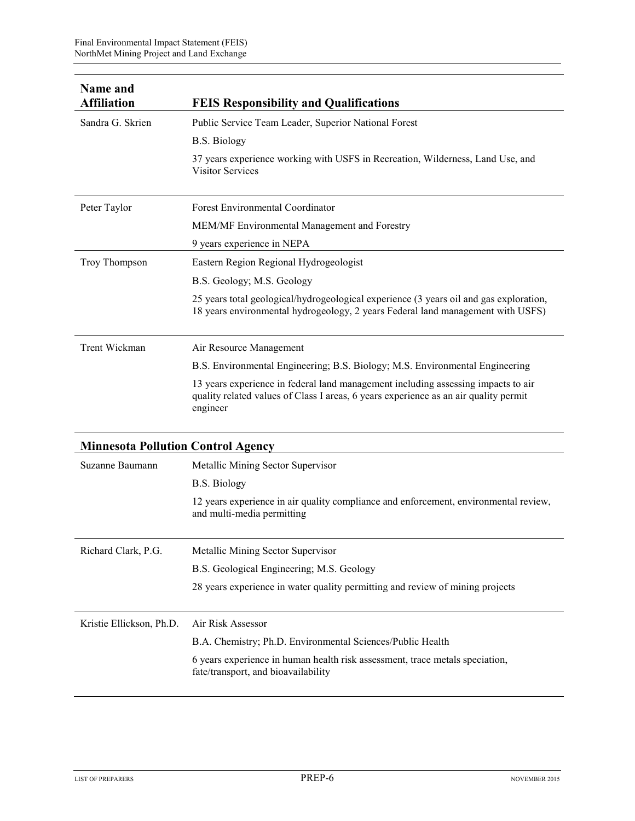| <b>Name and</b><br><b>Affiliation</b>     | <b>FEIS Responsibility and Qualifications</b>                                                                                                                                         |
|-------------------------------------------|---------------------------------------------------------------------------------------------------------------------------------------------------------------------------------------|
| Sandra G. Skrien                          | Public Service Team Leader, Superior National Forest                                                                                                                                  |
|                                           | B.S. Biology                                                                                                                                                                          |
|                                           | 37 years experience working with USFS in Recreation, Wilderness, Land Use, and<br><b>Visitor Services</b>                                                                             |
| Peter Taylor                              | <b>Forest Environmental Coordinator</b>                                                                                                                                               |
|                                           | MEM/MF Environmental Management and Forestry                                                                                                                                          |
|                                           | 9 years experience in NEPA                                                                                                                                                            |
| Troy Thompson                             | Eastern Region Regional Hydrogeologist                                                                                                                                                |
|                                           | B.S. Geology; M.S. Geology                                                                                                                                                            |
|                                           | 25 years total geological/hydrogeological experience (3 years oil and gas exploration,<br>18 years environmental hydrogeology, 2 years Federal land management with USFS)             |
| <b>Trent Wickman</b>                      | Air Resource Management                                                                                                                                                               |
|                                           | B.S. Environmental Engineering; B.S. Biology; M.S. Environmental Engineering                                                                                                          |
|                                           | 13 years experience in federal land management including assessing impacts to air<br>quality related values of Class I areas, 6 years experience as an air quality permit<br>engineer |
| <b>Minnesota Pollution Control Agency</b> |                                                                                                                                                                                       |
| Suzanne Baumann                           | Metallic Mining Sector Supervisor                                                                                                                                                     |
|                                           | <b>B.S. Biology</b>                                                                                                                                                                   |
|                                           | 12 years experience in air quality compliance and enforcement, environmental review,<br>and multi-media permitting                                                                    |
| Richard Clark, P.G.                       | Metallic Mining Sector Supervisor                                                                                                                                                     |
|                                           | B.S. Geological Engineering; M.S. Geology                                                                                                                                             |
|                                           | 28 years experience in water quality permitting and review of mining projects                                                                                                         |
| Kristie Ellickson, Ph.D.                  | Air Risk Assessor                                                                                                                                                                     |
|                                           | B.A. Chemistry; Ph.D. Environmental Sciences/Public Health                                                                                                                            |
|                                           | 6 years experience in human health risk assessment, trace metals speciation,<br>fate/transport, and bioavailability                                                                   |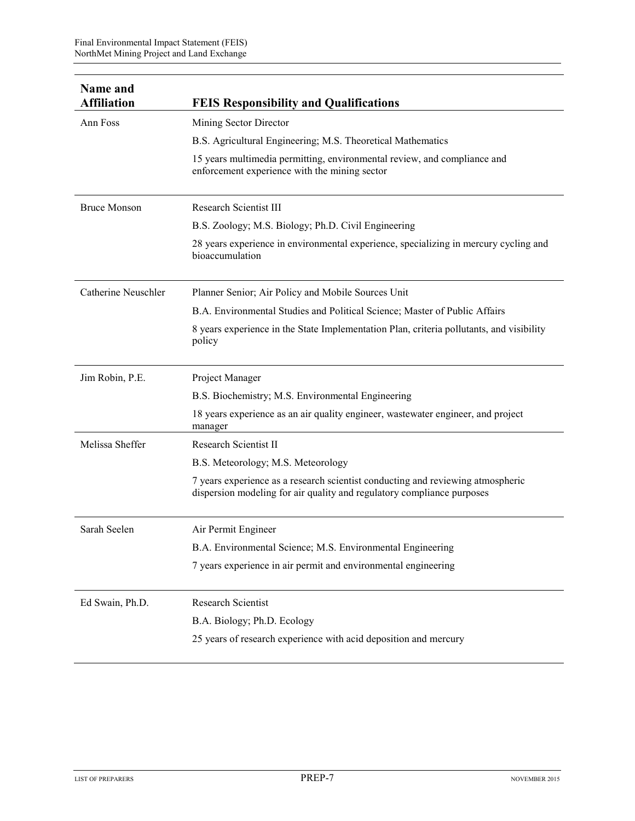| Name and<br><b>Affiliation</b> | <b>FEIS Responsibility and Qualifications</b>                                                                                                             |
|--------------------------------|-----------------------------------------------------------------------------------------------------------------------------------------------------------|
| Ann Foss                       | Mining Sector Director                                                                                                                                    |
|                                | B.S. Agricultural Engineering; M.S. Theoretical Mathematics                                                                                               |
|                                | 15 years multimedia permitting, environmental review, and compliance and<br>enforcement experience with the mining sector                                 |
| <b>Bruce Monson</b>            | Research Scientist III                                                                                                                                    |
|                                | B.S. Zoology; M.S. Biology; Ph.D. Civil Engineering                                                                                                       |
|                                | 28 years experience in environmental experience, specializing in mercury cycling and<br>bioaccumulation                                                   |
| Catherine Neuschler            | Planner Senior; Air Policy and Mobile Sources Unit                                                                                                        |
|                                | B.A. Environmental Studies and Political Science; Master of Public Affairs                                                                                |
|                                | 8 years experience in the State Implementation Plan, criteria pollutants, and visibility<br>policy                                                        |
| Jim Robin, P.E.                | Project Manager                                                                                                                                           |
|                                | B.S. Biochemistry; M.S. Environmental Engineering                                                                                                         |
|                                | 18 years experience as an air quality engineer, was tewater engineer, and project<br>manager                                                              |
| Melissa Sheffer                | <b>Research Scientist II</b>                                                                                                                              |
|                                | B.S. Meteorology; M.S. Meteorology                                                                                                                        |
|                                | 7 years experience as a research scientist conducting and reviewing atmospheric<br>dispersion modeling for air quality and regulatory compliance purposes |
| Sarah Seelen                   | Air Permit Engineer                                                                                                                                       |
|                                | B.A. Environmental Science; M.S. Environmental Engineering                                                                                                |
|                                | 7 years experience in air permit and environmental engineering                                                                                            |
| Ed Swain, Ph.D.                | Research Scientist                                                                                                                                        |
|                                | B.A. Biology; Ph.D. Ecology                                                                                                                               |
|                                | 25 years of research experience with acid deposition and mercury                                                                                          |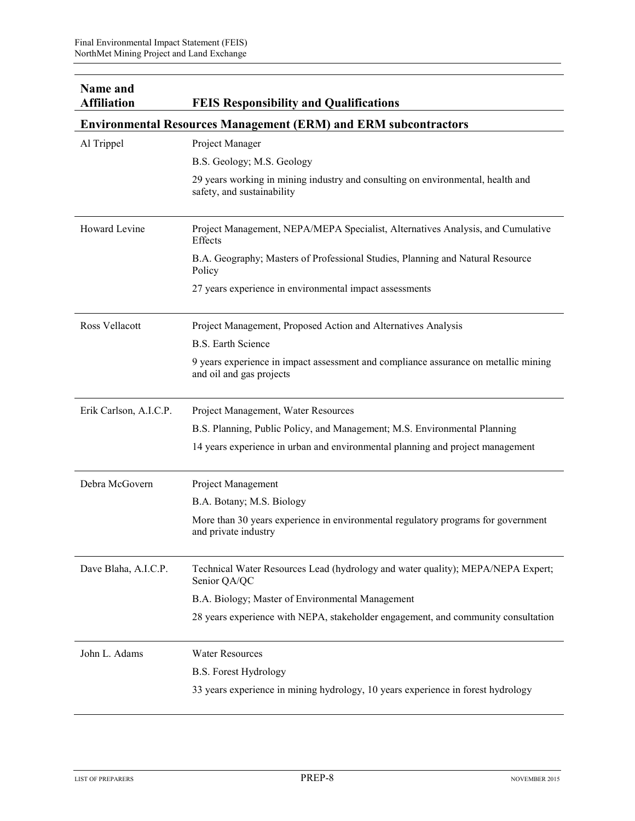| Name and<br><b>Affiliation</b> | <b>FEIS Responsibility and Qualifications</b>                                                                   |
|--------------------------------|-----------------------------------------------------------------------------------------------------------------|
|                                | <b>Environmental Resources Management (ERM) and ERM subcontractors</b>                                          |
| Al Trippel                     | Project Manager                                                                                                 |
|                                | B.S. Geology; M.S. Geology                                                                                      |
|                                | 29 years working in mining industry and consulting on environmental, health and<br>safety, and sustainability   |
| Howard Levine                  | Project Management, NEPA/MEPA Specialist, Alternatives Analysis, and Cumulative<br>Effects                      |
|                                | B.A. Geography; Masters of Professional Studies, Planning and Natural Resource<br>Policy                        |
|                                | 27 years experience in environmental impact assessments                                                         |
| <b>Ross Vellacott</b>          | Project Management, Proposed Action and Alternatives Analysis                                                   |
|                                | <b>B.S. Earth Science</b>                                                                                       |
|                                | 9 years experience in impact assessment and compliance assurance on metallic mining<br>and oil and gas projects |
| Erik Carlson, A.I.C.P.         | Project Management, Water Resources                                                                             |
|                                | B.S. Planning, Public Policy, and Management; M.S. Environmental Planning                                       |
|                                | 14 years experience in urban and environmental planning and project management                                  |
| Debra McGovern                 | Project Management                                                                                              |
|                                | B.A. Botany; M.S. Biology                                                                                       |
|                                | More than 30 years experience in environmental regulatory programs for government<br>and private industry       |
| Dave Blaha, A.I.C.P.           | Technical Water Resources Lead (hydrology and water quality); MEPA/NEPA Expert;<br>Senior QA/QC                 |
|                                | B.A. Biology; Master of Environmental Management                                                                |
|                                | 28 years experience with NEPA, stakeholder engagement, and community consultation                               |
| John L. Adams                  | <b>Water Resources</b>                                                                                          |
|                                | <b>B.S. Forest Hydrology</b>                                                                                    |
|                                | 33 years experience in mining hydrology, 10 years experience in forest hydrology                                |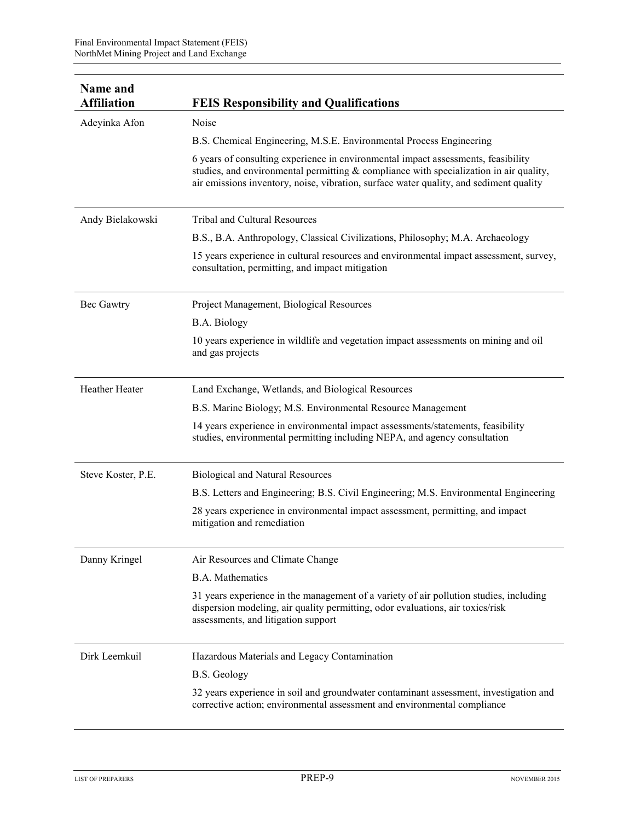| <b>Name and</b><br><b>Affiliation</b> | <b>FEIS Responsibility and Qualifications</b>                                                                                                                                                                                                                            |
|---------------------------------------|--------------------------------------------------------------------------------------------------------------------------------------------------------------------------------------------------------------------------------------------------------------------------|
| Adeyinka Afon                         | Noise                                                                                                                                                                                                                                                                    |
|                                       | B.S. Chemical Engineering, M.S.E. Environmental Process Engineering                                                                                                                                                                                                      |
|                                       | 6 years of consulting experience in environmental impact assessments, feasibility<br>studies, and environmental permitting $\&$ compliance with specialization in air quality,<br>air emissions inventory, noise, vibration, surface water quality, and sediment quality |
| Andy Bielakowski                      | <b>Tribal and Cultural Resources</b>                                                                                                                                                                                                                                     |
|                                       | B.S., B.A. Anthropology, Classical Civilizations, Philosophy; M.A. Archaeology                                                                                                                                                                                           |
|                                       | 15 years experience in cultural resources and environmental impact assessment, survey,<br>consultation, permitting, and impact mitigation                                                                                                                                |
| Bec Gawtry                            | Project Management, Biological Resources                                                                                                                                                                                                                                 |
|                                       | B.A. Biology                                                                                                                                                                                                                                                             |
|                                       | 10 years experience in wildlife and vegetation impact assessments on mining and oil<br>and gas projects                                                                                                                                                                  |
| Heather Heater                        | Land Exchange, Wetlands, and Biological Resources                                                                                                                                                                                                                        |
|                                       | B.S. Marine Biology; M.S. Environmental Resource Management                                                                                                                                                                                                              |
|                                       | 14 years experience in environmental impact assessments/statements, feasibility<br>studies, environmental permitting including NEPA, and agency consultation                                                                                                             |
| Steve Koster, P.E.                    | <b>Biological and Natural Resources</b>                                                                                                                                                                                                                                  |
|                                       | B.S. Letters and Engineering; B.S. Civil Engineering; M.S. Environmental Engineering                                                                                                                                                                                     |
|                                       | 28 years experience in environmental impact assessment, permitting, and impact<br>mitigation and remediation                                                                                                                                                             |
| Danny Kringel                         | Air Resources and Climate Change                                                                                                                                                                                                                                         |
|                                       | <b>B.A. Mathematics</b>                                                                                                                                                                                                                                                  |
|                                       | 31 years experience in the management of a variety of air pollution studies, including<br>dispersion modeling, air quality permitting, odor evaluations, air toxics/risk<br>assessments, and litigation support                                                          |
| Dirk Leemkuil                         | Hazardous Materials and Legacy Contamination                                                                                                                                                                                                                             |
|                                       | B.S. Geology                                                                                                                                                                                                                                                             |
|                                       | 32 years experience in soil and groundwater contaminant assessment, investigation and<br>corrective action; environmental assessment and environmental compliance                                                                                                        |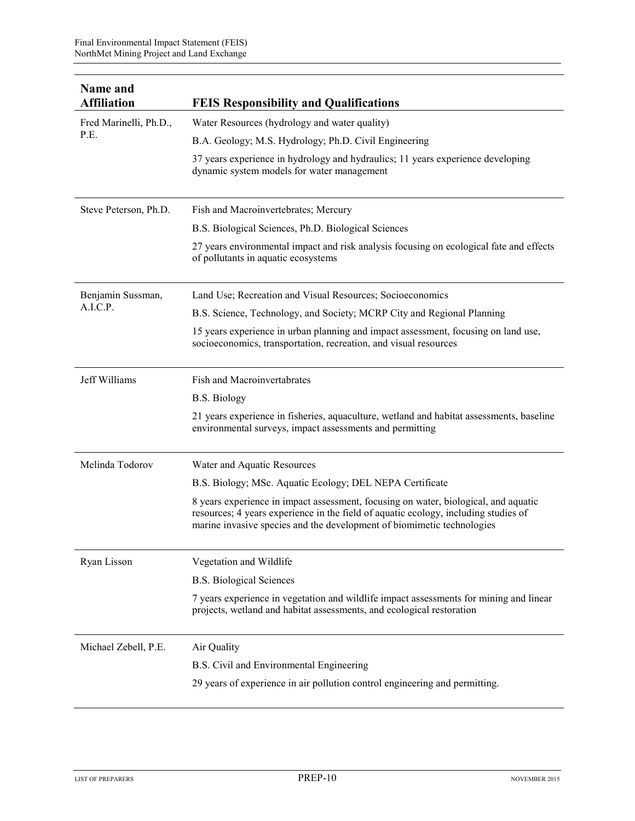| <b>Name and</b><br><b>Affiliation</b> | <b>FEIS Responsibility and Qualifications</b>                                                                                                                                                                                                        |
|---------------------------------------|------------------------------------------------------------------------------------------------------------------------------------------------------------------------------------------------------------------------------------------------------|
| Fred Marinelli, Ph.D.,                | Water Resources (hydrology and water quality)                                                                                                                                                                                                        |
| P.E.                                  | B.A. Geology; M.S. Hydrology; Ph.D. Civil Engineering                                                                                                                                                                                                |
|                                       | 37 years experience in hydrology and hydraulics; 11 years experience developing<br>dynamic system models for water management                                                                                                                        |
| Steve Peterson, Ph.D.                 | Fish and Macroinvertebrates; Mercury                                                                                                                                                                                                                 |
|                                       | B.S. Biological Sciences, Ph.D. Biological Sciences                                                                                                                                                                                                  |
|                                       | 27 years environmental impact and risk analysis focusing on ecological fate and effects<br>of pollutants in aquatic ecosystems                                                                                                                       |
| Benjamin Sussman,                     | Land Use; Recreation and Visual Resources; Socioeconomics                                                                                                                                                                                            |
| A.I.C.P.                              | B.S. Science, Technology, and Society; MCRP City and Regional Planning                                                                                                                                                                               |
|                                       | 15 years experience in urban planning and impact assessment, focusing on land use,<br>socioeconomics, transportation, recreation, and visual resources                                                                                               |
| Jeff Williams                         | Fish and Macroinvertabrates                                                                                                                                                                                                                          |
|                                       | <b>B.S. Biology</b>                                                                                                                                                                                                                                  |
|                                       | 21 years experience in fisheries, aquaculture, wetland and habitat assessments, baseline<br>environmental surveys, impact assessments and permitting                                                                                                 |
| Melinda Todorov                       | Water and Aquatic Resources                                                                                                                                                                                                                          |
|                                       | B.S. Biology; MSc. Aquatic Ecology; DEL NEPA Certificate                                                                                                                                                                                             |
|                                       | 8 years experience in impact assessment, focusing on water, biological, and aquatic<br>resources; 4 years experience in the field of aquatic ecology, including studies of<br>marine invasive species and the development of biomimetic technologies |
| Ryan Lisson                           | Vegetation and Wildlife                                                                                                                                                                                                                              |
|                                       | <b>B.S. Biological Sciences</b>                                                                                                                                                                                                                      |
|                                       | 7 years experience in vegetation and wildlife impact assessments for mining and linear<br>projects, wetland and habitat assessments, and ecological restoration                                                                                      |
| Michael Zebell, P.E.                  | Air Quality                                                                                                                                                                                                                                          |
|                                       | B.S. Civil and Environmental Engineering                                                                                                                                                                                                             |
|                                       | 29 years of experience in air pollution control engineering and permitting.                                                                                                                                                                          |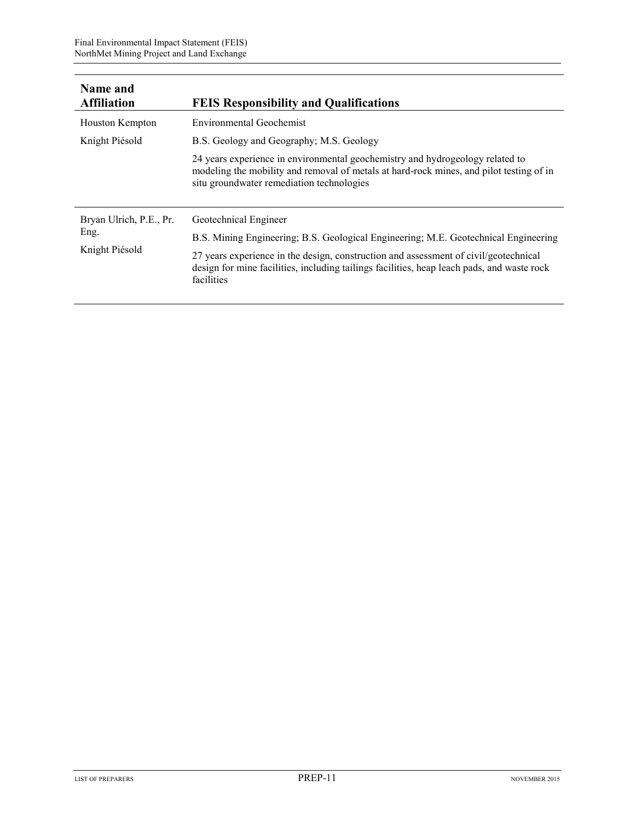| Name and<br><b>Affiliation</b>                    | <b>FEIS Responsibility and Qualifications</b>                                                                                                                                                                                                                                                                    |
|---------------------------------------------------|------------------------------------------------------------------------------------------------------------------------------------------------------------------------------------------------------------------------------------------------------------------------------------------------------------------|
| Houston Kempton                                   | Environmental Geochemist                                                                                                                                                                                                                                                                                         |
| Knight Piésold                                    | B.S. Geology and Geography; M.S. Geology                                                                                                                                                                                                                                                                         |
|                                                   | 24 years experience in environmental geochemistry and hydrogeology related to<br>modeling the mobility and removal of metals at hard-rock mines, and pilot testing of in<br>situ groundwater remediation technologies                                                                                            |
| Bryan Ulrich, P.E., Pr.<br>Eng.<br>Knight Piésold | Geotechnical Engineer<br>B.S. Mining Engineering; B.S. Geological Engineering; M.E. Geotechnical Engineering<br>27 years experience in the design, construction and assessment of civil/geotechnical<br>design for mine facilities, including tailings facilities, heap leach pads, and waste rock<br>facilities |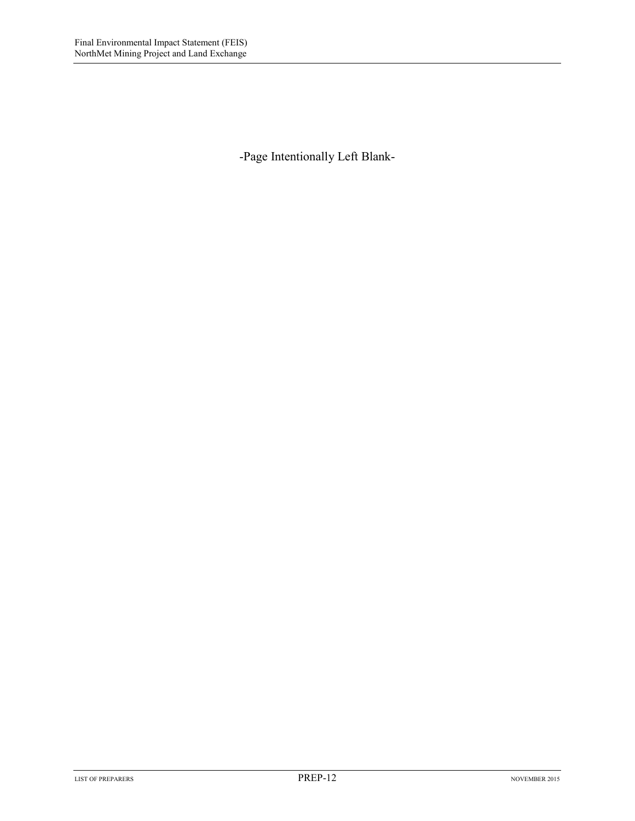-Page Intentionally Left Blank-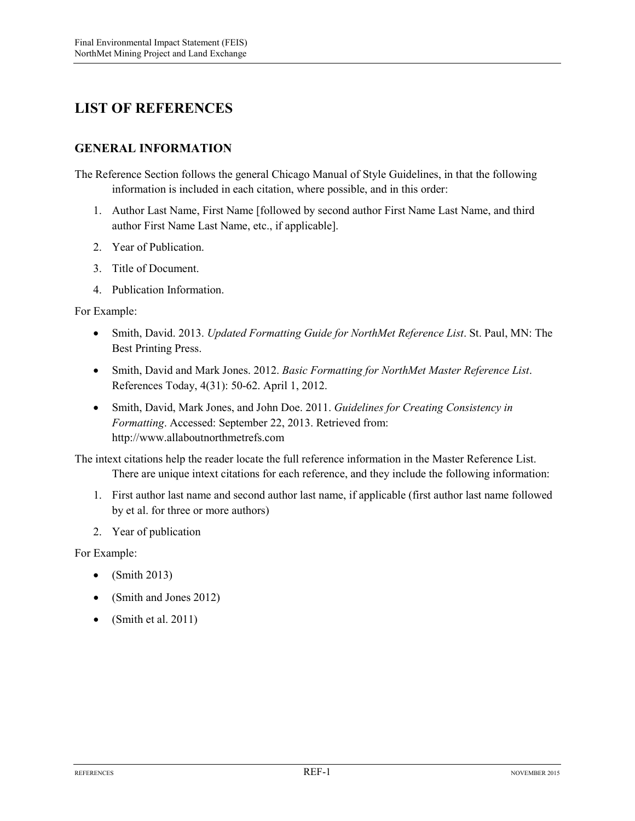## **LIST OF REFERENCES**

## **GENERAL INFORMATION**

The Reference Section follows the general Chicago Manual of Style Guidelines, in that the following information is included in each citation, where possible, and in this order:

- 1. Author Last Name, First Name [followed by second author First Name Last Name, and third author First Name Last Name, etc., if applicable].
- 2. Year of Publication.
- 3. Title of Document.
- 4. Publication Information.

For Example:

- Smith, David. 2013. *Updated Formatting Guide for NorthMet Reference List*. St. Paul, MN: The Best Printing Press.
- Smith, David and Mark Jones. 2012. *Basic Formatting for NorthMet Master Reference List*. References Today, 4(31): 50-62. April 1, 2012.
- Smith, David, Mark Jones, and John Doe. 2011. *Guidelines for Creating Consistency in Formatting*. Accessed: September 22, 2013. Retrieved from: http://www.allaboutnorthmetrefs.com

The intext citations help the reader locate the full reference information in the Master Reference List. There are unique intext citations for each reference, and they include the following information:

- 1. First author last name and second author last name, if applicable (first author last name followed by et al. for three or more authors)
- 2. Year of publication

For Example:

- (Smith 2013)
- (Smith and Jones 2012)
- (Smith et al. 2011)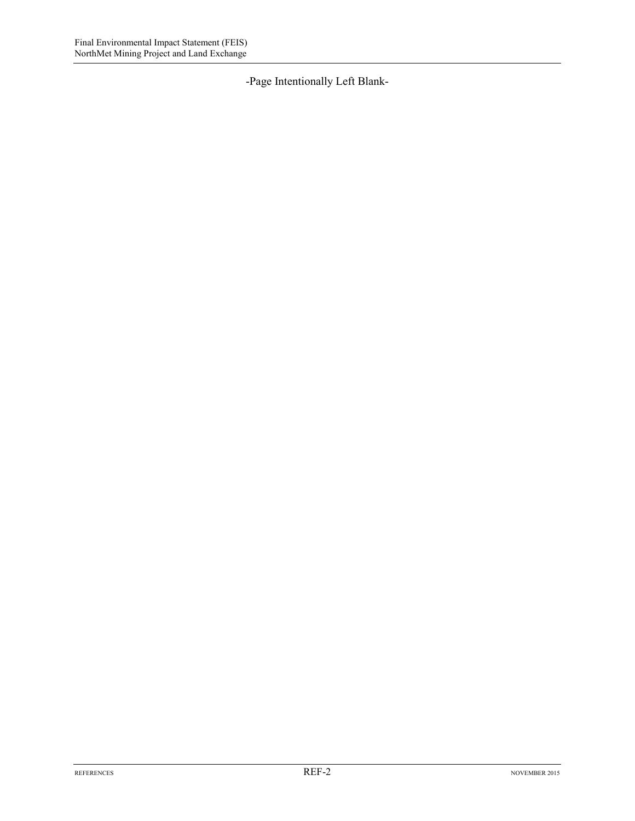-Page Intentionally Left Blank-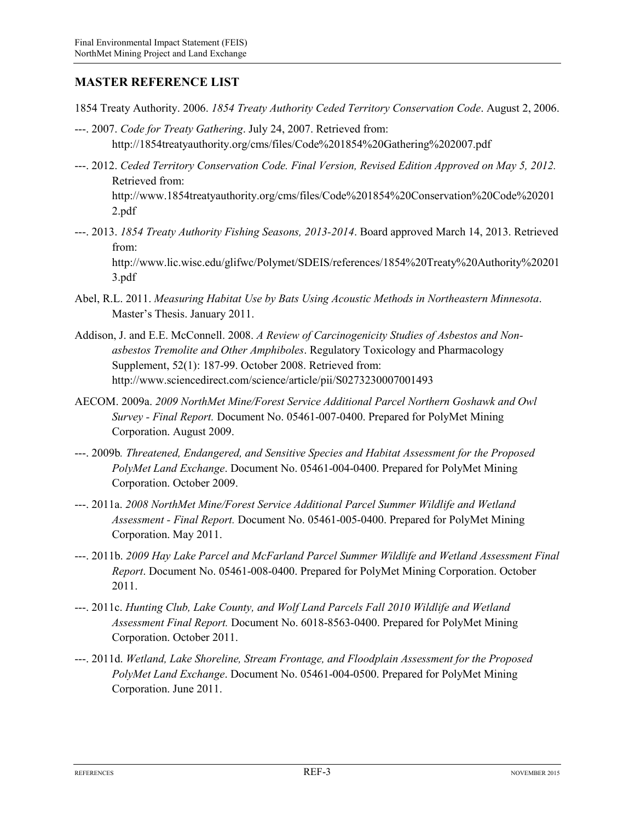## **MASTER REFERENCE LIST**

1854 Treaty Authority. 2006. *1854 Treaty Authority Ceded Territory Conservation Code*. August 2, 2006.

- ---. 2007. *Code for Treaty Gathering*. July 24, 2007. Retrieved from: http://1854treatyauthority.org/cms/files/Code%201854%20Gathering%202007.pdf
- ---. 2012. *Ceded Territory Conservation Code. Final Version, Revised Edition Approved on May 5, 2012.* Retrieved from: http://www.1854treatyauthority.org/cms/files/Code%201854%20Conservation%20Code%20201 2.pdf
- ---. 2013. *1854 Treaty Authority Fishing Seasons, 2013-2014*. Board approved March 14, 2013. Retrieved from: http://www.lic.wisc.edu/glifwc/Polymet/SDEIS/references/1854%20Treaty%20Authority%20201 3.pdf
- Abel, R.L. 2011. *Measuring Habitat Use by Bats Using Acoustic Methods in Northeastern Minnesota*. Master's Thesis. January 2011.
- Addison, J. and E.E. McConnell. 2008. *A Review of Carcinogenicity Studies of Asbestos and Nonasbestos Tremolite and Other Amphiboles*. Regulatory Toxicology and Pharmacology Supplement, 52(1): 187-99. October 2008. Retrieved from: http://www.sciencedirect.com/science/article/pii/S0273230007001493
- AECOM. 2009a. *2009 NorthMet Mine/Forest Service Additional Parcel Northern Goshawk and Owl Survey - Final Report.* Document No. 05461-007-0400. Prepared for PolyMet Mining Corporation. August 2009.
- ---. 2009b*. Threatened, Endangered, and Sensitive Species and Habitat Assessment for the Proposed PolyMet Land Exchange*. Document No. 05461-004-0400. Prepared for PolyMet Mining Corporation. October 2009.
- ---. 2011a. *2008 NorthMet Mine/Forest Service Additional Parcel Summer Wildlife and Wetland Assessment - Final Report.* Document No. 05461-005-0400. Prepared for PolyMet Mining Corporation. May 2011.
- ---. 2011b. *2009 Hay Lake Parcel and McFarland Parcel Summer Wildlife and Wetland Assessment Final Report*. Document No. 05461-008-0400. Prepared for PolyMet Mining Corporation. October 2011.
- ---. 2011c. *Hunting Club, Lake County, and Wolf Land Parcels Fall 2010 Wildlife and Wetland Assessment Final Report.* Document No. 6018-8563-0400. Prepared for PolyMet Mining Corporation. October 2011.
- ---. 2011d. *Wetland, Lake Shoreline, Stream Frontage, and Floodplain Assessment for the Proposed PolyMet Land Exchange*. Document No. 05461-004-0500. Prepared for PolyMet Mining Corporation. June 2011.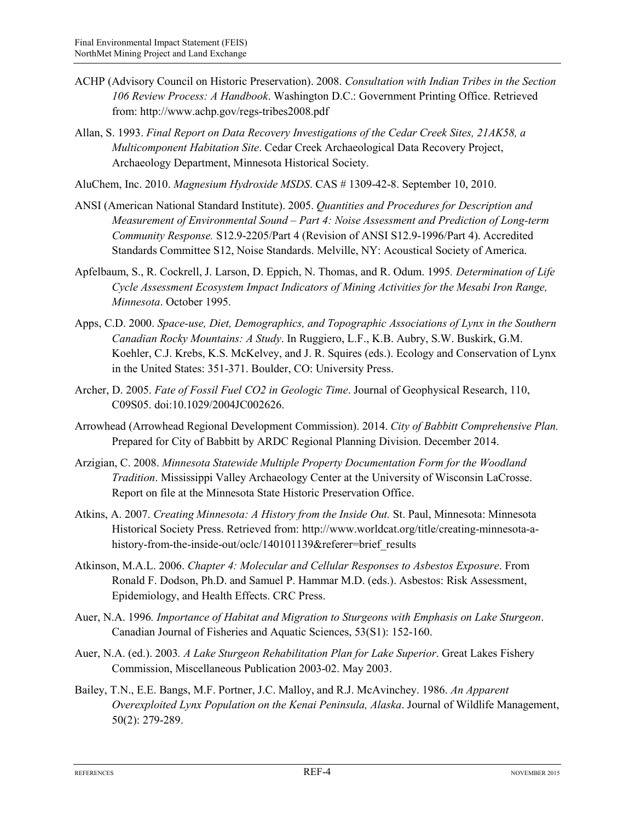- ACHP (Advisory Council on Historic Preservation). 2008. *Consultation with Indian Tribes in the Section 106 Review Process: A Handbook*. Washington D.C.: Government Printing Office. Retrieved from: http://www.achp.gov/regs-tribes2008.pdf
- Allan, S. 1993. *Final Report on Data Recovery Investigations of the Cedar Creek Sites, 21AK58, a Multicomponent Habitation Site*. Cedar Creek Archaeological Data Recovery Project, Archaeology Department, Minnesota Historical Society.
- AluChem, Inc. 2010. *Magnesium Hydroxide MSDS*. CAS # 1309-42-8. September 10, 2010.
- ANSI (American National Standard Institute). 2005. *Quantities and Procedures for Description and Measurement of Environmental Sound – Part 4: Noise Assessment and Prediction of Long-term Community Response.* S12.9-2205/Part 4 (Revision of ANSI S12.9-1996/Part 4). Accredited Standards Committee S12, Noise Standards. Melville, NY: Acoustical Society of America.
- Apfelbaum, S., R. Cockrell, J. Larson, D. Eppich, N. Thomas, and R. Odum. 1995*. Determination of Life Cycle Assessment Ecosystem Impact Indicators of Mining Activities for the Mesabi Iron Range, Minnesota*. October 1995.
- Apps, C.D. 2000. *Space-use, Diet, Demographics, and Topographic Associations of Lynx in the Southern Canadian Rocky Mountains: A Study*. In Ruggiero, L.F., K.B. Aubry, S.W. Buskirk, G.M. Koehler, C.J. Krebs, K.S. McKelvey, and J. R. Squires (eds.). Ecology and Conservation of Lynx in the United States: 351-371. Boulder, CO: University Press.
- Archer, D. 2005. *Fate of Fossil Fuel CO2 in Geologic Time*. Journal of Geophysical Research, 110, C09S05. doi:10.1029/2004JC002626.
- Arrowhead (Arrowhead Regional Development Commission). 2014. *City of Babbitt Comprehensive Plan.* Prepared for City of Babbitt by ARDC Regional Planning Division. December 2014.
- Arzigian, C. 2008. *Minnesota Statewide Multiple Property Documentation Form for the Woodland Tradition*. Mississippi Valley Archaeology Center at the University of Wisconsin LaCrosse. Report on file at the Minnesota State Historic Preservation Office.
- Atkins, A. 2007. *Creating Minnesota: A History from the Inside Out.* St. Paul, Minnesota: Minnesota Historical Society Press. Retrieved from: http://www.worldcat.org/title/creating-minnesota-ahistory-from-the-inside-out/oclc/140101139&referer=brief\_results
- Atkinson, M.A.L. 2006. *Chapter 4: Molecular and Cellular Responses to Asbestos Exposure*. From Ronald F. Dodson, Ph.D. and Samuel P. Hammar M.D. (eds.). Asbestos: Risk Assessment, Epidemiology, and Health Effects. CRC Press.
- Auer, N.A. 1996*. Importance of Habitat and Migration to Sturgeons with Emphasis on Lake Sturgeon*. Canadian Journal of Fisheries and Aquatic Sciences, 53(S1): 152-160.
- Auer, N.A. (ed.). 2003*. A Lake Sturgeon Rehabilitation Plan for Lake Superior*. Great Lakes Fishery Commission, Miscellaneous Publication 2003-02. May 2003.
- Bailey, T.N., E.E. Bangs, M.F. Portner, J.C. Malloy, and R.J. McAvinchey. 1986. *An Apparent Overexploited Lynx Population on the Kenai Peninsula, Alaska*. Journal of Wildlife Management, 50(2): 279-289.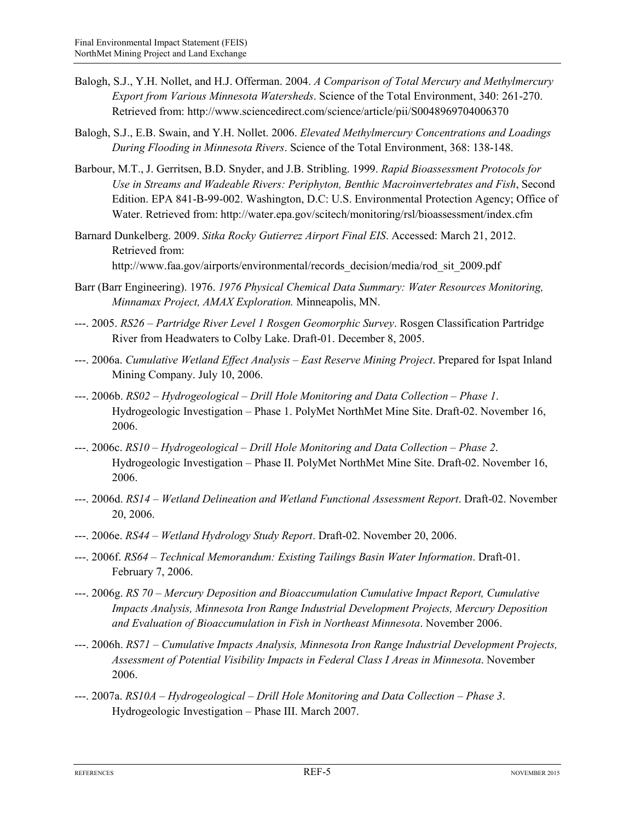- Balogh, S.J., Y.H. Nollet, and H.J. Offerman. 2004. *A Comparison of Total Mercury and Methylmercury Export from Various Minnesota Watersheds*. Science of the Total Environment, 340: 261-270. Retrieved from: http://www.sciencedirect.com/science/article/pii/S0048969704006370
- Balogh, S.J., E.B. Swain, and Y.H. Nollet. 2006. *Elevated Methylmercury Concentrations and Loadings During Flooding in Minnesota Rivers*. Science of the Total Environment, 368: 138-148.
- Barbour, M.T., J. Gerritsen, B.D. Snyder, and J.B. Stribling. 1999. *Rapid Bioassessment Protocols for Use in Streams and Wadeable Rivers: Periphyton, Benthic Macroinvertebrates and Fish*, Second Edition. EPA 841-B-99-002. Washington, D.C: U.S. Environmental Protection Agency; Office of Water. Retrieved from: http://water.epa.gov/scitech/monitoring/rsl/bioassessment/index.cfm
- Barnard Dunkelberg. 2009. *Sitka Rocky Gutierrez Airport Final EIS*. Accessed: March 21, 2012. Retrieved from: http://www.faa.gov/airports/environmental/records\_decision/media/rod\_sit\_2009.pdf
- Barr (Barr Engineering). 1976. *1976 Physical Chemical Data Summary: Water Resources Monitoring, Minnamax Project, AMAX Exploration.* Minneapolis, MN.
- ---. 2005. *RS26 – Partridge River Level 1 Rosgen Geomorphic Survey*. Rosgen Classification Partridge River from Headwaters to Colby Lake. Draft-01. December 8, 2005.
- ---. 2006a. *Cumulative Wetland Effect Analysis – East Reserve Mining Project*. Prepared for Ispat Inland Mining Company. July 10, 2006.
- ---. 2006b. *RS02 – Hydrogeological – Drill Hole Monitoring and Data Collection – Phase 1*. Hydrogeologic Investigation – Phase 1. PolyMet NorthMet Mine Site. Draft-02. November 16, 2006.
- ---. 2006c. *RS10 – Hydrogeological – Drill Hole Monitoring and Data Collection – Phase 2*. Hydrogeologic Investigation – Phase II. PolyMet NorthMet Mine Site. Draft-02. November 16, 2006.
- ---. 2006d. *RS14 – Wetland Delineation and Wetland Functional Assessment Report*. Draft-02. November 20, 2006.
- ---. 2006e. *RS44 – Wetland Hydrology Study Report*. Draft-02. November 20, 2006.
- ---. 2006f. *RS64 – Technical Memorandum: Existing Tailings Basin Water Information*. Draft-01. February 7, 2006.
- ---. 2006g. *RS 70 – Mercury Deposition and Bioaccumulation Cumulative Impact Report, Cumulative Impacts Analysis, Minnesota Iron Range Industrial Development Projects, Mercury Deposition and Evaluation of Bioaccumulation in Fish in Northeast Minnesota*. November 2006.
- ---. 2006h. *RS71 – Cumulative Impacts Analysis, Minnesota Iron Range Industrial Development Projects, Assessment of Potential Visibility Impacts in Federal Class I Areas in Minnesota*. November 2006.
- ---. 2007a. *RS10A – Hydrogeological – Drill Hole Monitoring and Data Collection – Phase 3*. Hydrogeologic Investigation – Phase III. March 2007.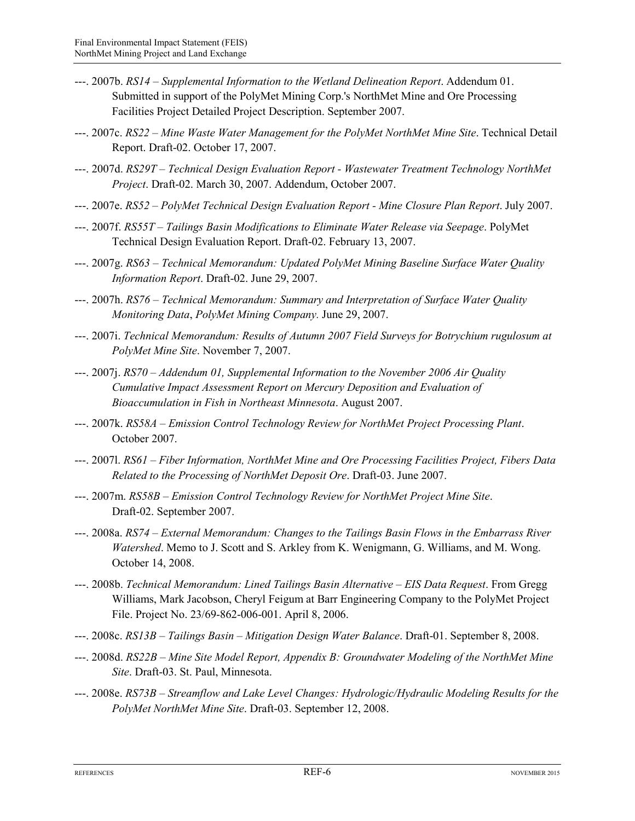- ---. 2007b. *RS14 – Supplemental Information to the Wetland Delineation Report*. Addendum 01. Submitted in support of the PolyMet Mining Corp.'s NorthMet Mine and Ore Processing Facilities Project Detailed Project Description. September 2007.
- ---. 2007c. *RS22 – Mine Waste Water Management for the PolyMet NorthMet Mine Site*. Technical Detail Report. Draft-02. October 17, 2007.
- ---. 2007d. *RS29T – Technical Design Evaluation Report - Wastewater Treatment Technology NorthMet Project*. Draft-02. March 30, 2007. Addendum, October 2007.
- ---. 2007e. *RS52 – PolyMet Technical Design Evaluation Report - Mine Closure Plan Report*. July 2007.
- ---. 2007f. *RS55T – Tailings Basin Modifications to Eliminate Water Release via Seepage*. PolyMet Technical Design Evaluation Report. Draft-02. February 13, 2007.
- ---. 2007g. *RS63 – Technical Memorandum: Updated PolyMet Mining Baseline Surface Water Quality Information Report*. Draft-02. June 29, 2007.
- ---. 2007h. *RS76 – Technical Memorandum: Summary and Interpretation of Surface Water Quality Monitoring Data*, *PolyMet Mining Company.* June 29, 2007.
- ---. 2007i. *Technical Memorandum: Results of Autumn 2007 Field Surveys for Botrychium rugulosum at PolyMet Mine Site*. November 7, 2007.
- ---. 2007j. *RS70 – Addendum 01, Supplemental Information to the November 2006 Air Quality Cumulative Impact Assessment Report on Mercury Deposition and Evaluation of Bioaccumulation in Fish in Northeast Minnesota*. August 2007.
- ---. 2007k. *RS58A – Emission Control Technology Review for NorthMet Project Processing Plant*. October 2007.
- ---. 2007l. *RS61 – Fiber Information, NorthMet Mine and Ore Processing Facilities Project, Fibers Data Related to the Processing of NorthMet Deposit Ore*. Draft-03. June 2007.
- ---. 2007m. *RS58B – Emission Control Technology Review for NorthMet Project Mine Site*. Draft-02. September 2007.
- ---. 2008a. *RS74 – External Memorandum: Changes to the Tailings Basin Flows in the Embarrass River Watershed*. Memo to J. Scott and S. Arkley from K. Wenigmann, G. Williams, and M. Wong. October 14, 2008.
- ---. 2008b. *Technical Memorandum: Lined Tailings Basin Alternative – EIS Data Request*. From Gregg Williams, Mark Jacobson, Cheryl Feigum at Barr Engineering Company to the PolyMet Project File. Project No. 23/69-862-006-001. April 8, 2006.
- ---. 2008c. *RS13B – Tailings Basin – Mitigation Design Water Balance*. Draft-01. September 8, 2008.
- ---. 2008d. *RS22B – Mine Site Model Report, Appendix B: Groundwater Modeling of the NorthMet Mine Site*. Draft-03. St. Paul, Minnesota.
- ---. 2008e. *RS73B – Streamflow and Lake Level Changes: Hydrologic/Hydraulic Modeling Results for the PolyMet NorthMet Mine Site*. Draft-03. September 12, 2008.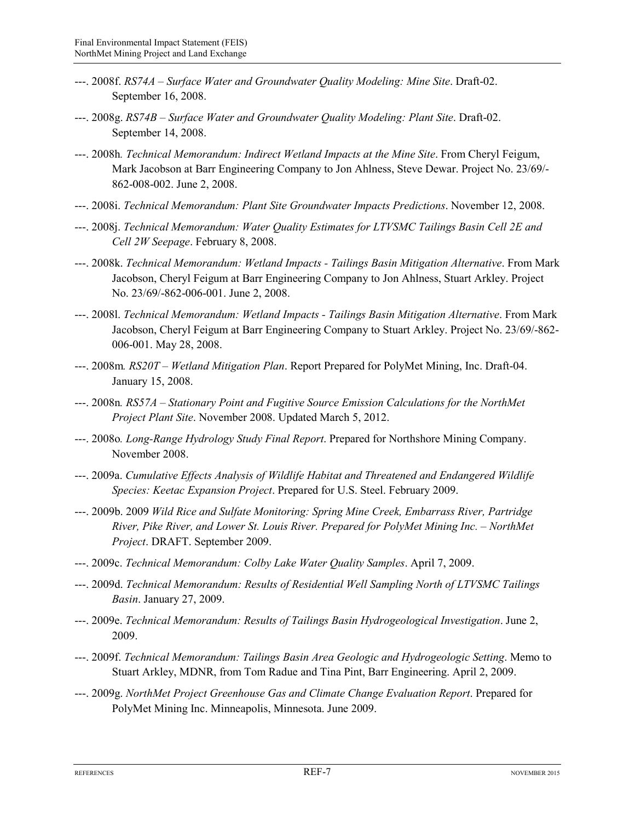- ---. 2008f. *RS74A – Surface Water and Groundwater Quality Modeling: Mine Site*. Draft-02. September 16, 2008.
- ---. 2008g. *RS74B – Surface Water and Groundwater Quality Modeling: Plant Site*. Draft-02. September 14, 2008.
- ---. 2008h*. Technical Memorandum: Indirect Wetland Impacts at the Mine Site*. From Cheryl Feigum, Mark Jacobson at Barr Engineering Company to Jon Ahlness, Steve Dewar. Project No. 23/69/- 862-008-002. June 2, 2008.
- ---. 2008i. *Technical Memorandum: Plant Site Groundwater Impacts Predictions*. November 12, 2008.
- ---. 2008j. *Technical Memorandum: Water Quality Estimates for LTVSMC Tailings Basin Cell 2E and Cell 2W Seepage*. February 8, 2008.
- ---. 2008k. *Technical Memorandum: Wetland Impacts - Tailings Basin Mitigation Alternative*. From Mark Jacobson, Cheryl Feigum at Barr Engineering Company to Jon Ahlness, Stuart Arkley. Project No. 23/69/-862-006-001. June 2, 2008.
- ---. 2008l. *Technical Memorandum: Wetland Impacts - Tailings Basin Mitigation Alternative*. From Mark Jacobson, Cheryl Feigum at Barr Engineering Company to Stuart Arkley. Project No. 23/69/-862- 006-001. May 28, 2008.
- ---. 2008m*. RS20T – Wetland Mitigation Plan*. Report Prepared for PolyMet Mining, Inc. Draft-04. January 15, 2008.
- ---. 2008n*. RS57A – Stationary Point and Fugitive Source Emission Calculations for the NorthMet Project Plant Site*. November 2008. Updated March 5, 2012.
- ---. 2008o*. Long-Range Hydrology Study Final Report*. Prepared for Northshore Mining Company. November 2008.
- ---. 2009a. *Cumulative Effects Analysis of Wildlife Habitat and Threatened and Endangered Wildlife Species: Keetac Expansion Project*. Prepared for U.S. Steel. February 2009.
- ---. 2009b. 2009 *Wild Rice and Sulfate Monitoring: Spring Mine Creek, Embarrass River, Partridge River, Pike River, and Lower St. Louis River. Prepared for PolyMet Mining Inc. – NorthMet Project*. DRAFT. September 2009.
- ---. 2009c. *Technical Memorandum: Colby Lake Water Quality Samples*. April 7, 2009.
- ---. 2009d. *Technical Memorandum: Results of Residential Well Sampling North of LTVSMC Tailings Basin*. January 27, 2009.
- ---. 2009e. *Technical Memorandum: Results of Tailings Basin Hydrogeological Investigation*. June 2, 2009.
- ---. 2009f. *Technical Memorandum: Tailings Basin Area Geologic and Hydrogeologic Setting*. Memo to Stuart Arkley, MDNR, from Tom Radue and Tina Pint, Barr Engineering. April 2, 2009.
- ---. 2009g. *NorthMet Project Greenhouse Gas and Climate Change Evaluation Report*. Prepared for PolyMet Mining Inc. Minneapolis, Minnesota. June 2009.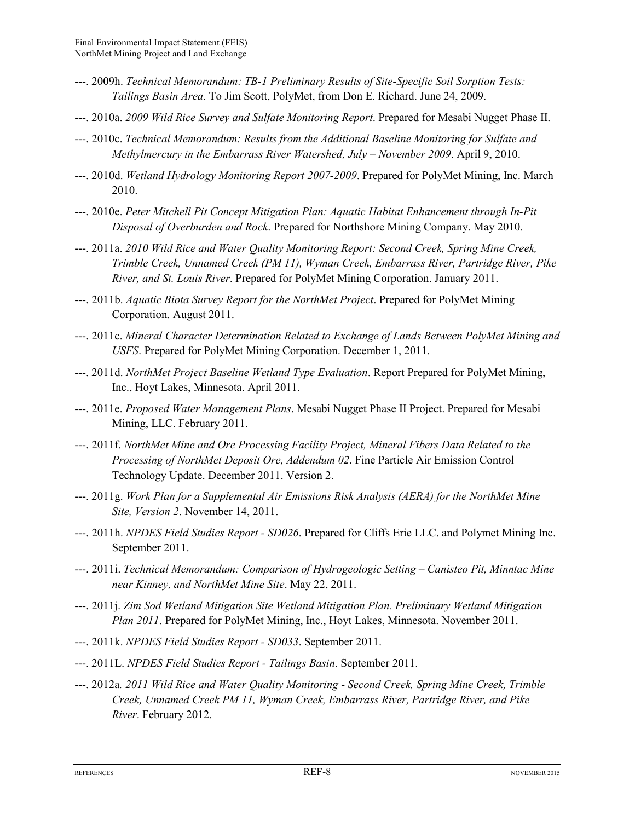- ---. 2009h. *Technical Memorandum: TB-1 Preliminary Results of Site-Specific Soil Sorption Tests: Tailings Basin Area*. To Jim Scott, PolyMet, from Don E. Richard. June 24, 2009.
- ---. 2010a. *2009 Wild Rice Survey and Sulfate Monitoring Report*. Prepared for Mesabi Nugget Phase II.
- ---. 2010c. *Technical Memorandum: Results from the Additional Baseline Monitoring for Sulfate and Methylmercury in the Embarrass River Watershed, July – November 2009*. April 9, 2010.
- ---. 2010d. *Wetland Hydrology Monitoring Report 2007-2009*. Prepared for PolyMet Mining, Inc. March 2010.
- ---. 2010e. *Peter Mitchell Pit Concept Mitigation Plan: Aquatic Habitat Enhancement through In-Pit Disposal of Overburden and Rock*. Prepared for Northshore Mining Company. May 2010.
- ---. 2011a. *2010 Wild Rice and Water Quality Monitoring Report: Second Creek, Spring Mine Creek, Trimble Creek, Unnamed Creek (PM 11), Wyman Creek, Embarrass River, Partridge River, Pike River, and St. Louis River*. Prepared for PolyMet Mining Corporation. January 2011.
- ---. 2011b. *Aquatic Biota Survey Report for the NorthMet Project*. Prepared for PolyMet Mining Corporation. August 2011.
- ---. 2011c. *Mineral Character Determination Related to Exchange of Lands Between PolyMet Mining and USFS*. Prepared for PolyMet Mining Corporation. December 1, 2011.
- ---. 2011d. *NorthMet Project Baseline Wetland Type Evaluation*. Report Prepared for PolyMet Mining, Inc., Hoyt Lakes, Minnesota. April 2011.
- ---. 2011e. *Proposed Water Management Plans*. Mesabi Nugget Phase II Project. Prepared for Mesabi Mining, LLC. February 2011.
- ---. 2011f. *NorthMet Mine and Ore Processing Facility Project, Mineral Fibers Data Related to the Processing of NorthMet Deposit Ore, Addendum 02*. Fine Particle Air Emission Control Technology Update. December 2011. Version 2.
- ---. 2011g. *Work Plan for a Supplemental Air Emissions Risk Analysis (AERA) for the NorthMet Mine Site, Version 2*. November 14, 2011.
- ---. 2011h. *NPDES Field Studies Report - SD026*. Prepared for Cliffs Erie LLC. and Polymet Mining Inc. September 2011.
- ---. 2011i. *Technical Memorandum: Comparison of Hydrogeologic Setting – Canisteo Pit, Minntac Mine near Kinney, and NorthMet Mine Site*. May 22, 2011.
- ---. 2011j. *Zim Sod Wetland Mitigation Site Wetland Mitigation Plan. Preliminary Wetland Mitigation Plan 2011*. Prepared for PolyMet Mining, Inc., Hoyt Lakes, Minnesota. November 2011.
- ---. 2011k. *NPDES Field Studies Report - SD033*. September 2011.
- ---. 2011L. *NPDES Field Studies Report - Tailings Basin*. September 2011.
- ---. 2012a*. 2011 Wild Rice and Water Quality Monitoring - Second Creek, Spring Mine Creek, Trimble Creek, Unnamed Creek PM 11, Wyman Creek, Embarrass River, Partridge River, and Pike River*. February 2012.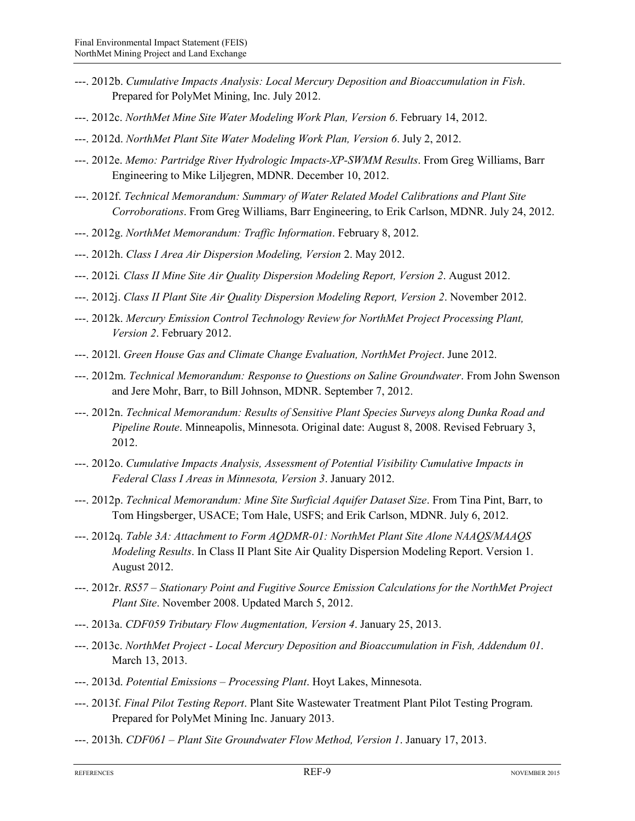- ---. 2012b. *Cumulative Impacts Analysis: Local Mercury Deposition and Bioaccumulation in Fish*. Prepared for PolyMet Mining, Inc. July 2012.
- ---. 2012c. *NorthMet Mine Site Water Modeling Work Plan, Version 6*. February 14, 2012.
- ---. 2012d. *NorthMet Plant Site Water Modeling Work Plan, Version 6*. July 2, 2012.
- ---. 2012e. *Memo: Partridge River Hydrologic Impacts-XP-SWMM Results*. From Greg Williams, Barr Engineering to Mike Liljegren, MDNR. December 10, 2012.
- ---. 2012f. *Technical Memorandum: Summary of Water Related Model Calibrations and Plant Site Corroborations*. From Greg Williams, Barr Engineering, to Erik Carlson, MDNR. July 24, 2012.
- ---. 2012g. *NorthMet Memorandum: Traffic Information*. February 8, 2012.
- ---. 2012h. *Class I Area Air Dispersion Modeling, Version* 2. May 2012.
- ---. 2012i*. Class II Mine Site Air Quality Dispersion Modeling Report, Version 2*. August 2012.
- ---. 2012j. *Class II Plant Site Air Quality Dispersion Modeling Report, Version 2*. November 2012.
- ---. 2012k. *Mercury Emission Control Technology Review for NorthMet Project Processing Plant, Version 2*. February 2012.
- ---. 2012l. *Green House Gas and Climate Change Evaluation, NorthMet Project*. June 2012.
- ---. 2012m. *Technical Memorandum: Response to Questions on Saline Groundwater*. From John Swenson and Jere Mohr, Barr, to Bill Johnson, MDNR. September 7, 2012.
- ---. 2012n. *Technical Memorandum: Results of Sensitive Plant Species Surveys along Dunka Road and Pipeline Route*. Minneapolis, Minnesota. Original date: August 8, 2008. Revised February 3, 2012.
- ---. 2012o. *Cumulative Impacts Analysis, Assessment of Potential Visibility Cumulative Impacts in Federal Class I Areas in Minnesota, Version 3*. January 2012.
- ---. 2012p. *Technical Memorandum: Mine Site Surficial Aquifer Dataset Size*. From Tina Pint, Barr, to Tom Hingsberger, USACE; Tom Hale, USFS; and Erik Carlson, MDNR. July 6, 2012.
- ---. 2012q. *Table 3A: Attachment to Form AQDMR-01: NorthMet Plant Site Alone NAAQS/MAAQS Modeling Results*. In Class II Plant Site Air Quality Dispersion Modeling Report. Version 1. August 2012.
- ---. 2012r. *RS57 – Stationary Point and Fugitive Source Emission Calculations for the NorthMet Project Plant Site*. November 2008. Updated March 5, 2012.
- ---. 2013a. *CDF059 Tributary Flow Augmentation, Version 4*. January 25, 2013.
- ---. 2013c. *NorthMet Project - Local Mercury Deposition and Bioaccumulation in Fish, Addendum 01*. March 13, 2013.
- ---. 2013d. *Potential Emissions – Processing Plant*. Hoyt Lakes, Minnesota.
- ---. 2013f. *Final Pilot Testing Report*. Plant Site Wastewater Treatment Plant Pilot Testing Program. Prepared for PolyMet Mining Inc. January 2013.
- ---. 2013h. *CDF061 – Plant Site Groundwater Flow Method, Version 1*. January 17, 2013.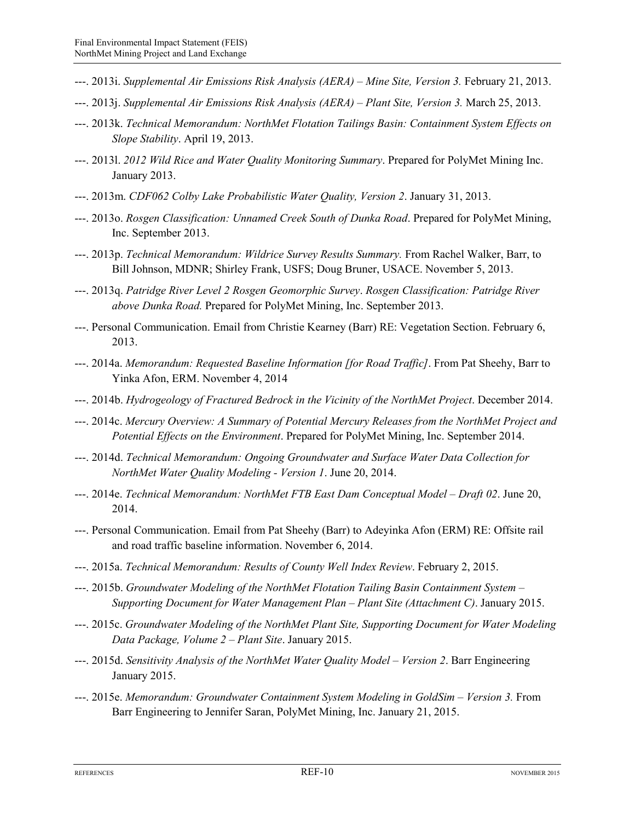- ---. 2013i. *Supplemental Air Emissions Risk Analysis (AERA) – Mine Site, Version 3.* February 21, 2013.
- ---. 2013j. *Supplemental Air Emissions Risk Analysis (AERA) – Plant Site, Version 3.* March 25, 2013.
- ---. 2013k. *Technical Memorandum: NorthMet Flotation Tailings Basin: Containment System Effects on Slope Stability*. April 19, 2013.
- ---. 2013l. *2012 Wild Rice and Water Quality Monitoring Summary*. Prepared for PolyMet Mining Inc. January 2013.
- ---. 2013m. *CDF062 Colby Lake Probabilistic Water Quality, Version 2*. January 31, 2013.
- ---. 2013o. *Rosgen Classification: Unnamed Creek South of Dunka Road*. Prepared for PolyMet Mining, Inc. September 2013.
- ---. 2013p. *Technical Memorandum: Wildrice Survey Results Summary.* From Rachel Walker, Barr, to Bill Johnson, MDNR; Shirley Frank, USFS; Doug Bruner, USACE. November 5, 2013.
- ---. 2013q. *Patridge River Level 2 Rosgen Geomorphic Survey*. *Rosgen Classification: Patridge River above Dunka Road.* Prepared for PolyMet Mining, Inc. September 2013.
- ---. Personal Communication. Email from Christie Kearney (Barr) RE: Vegetation Section. February 6, 2013.
- ---. 2014a. *Memorandum: Requested Baseline Information [for Road Traffic]*. From Pat Sheehy, Barr to Yinka Afon, ERM. November 4, 2014
- ---. 2014b. *Hydrogeology of Fractured Bedrock in the Vicinity of the NorthMet Project*. December 2014.
- ---. 2014c. *Mercury Overview: A Summary of Potential Mercury Releases from the NorthMet Project and Potential Effects on the Environment*. Prepared for PolyMet Mining, Inc. September 2014.
- ---. 2014d. *Technical Memorandum: Ongoing Groundwater and Surface Water Data Collection for NorthMet Water Quality Modeling - Version 1*. June 20, 2014.
- ---. 2014e. *Technical Memorandum: NorthMet FTB East Dam Conceptual Model – Draft 02*. June 20, 2014.
- ---. Personal Communication. Email from Pat Sheehy (Barr) to Adeyinka Afon (ERM) RE: Offsite rail and road traffic baseline information. November 6, 2014.
- ---. 2015a. *Technical Memorandum: Results of County Well Index Review*. February 2, 2015.
- ---. 2015b. *Groundwater Modeling of the NorthMet Flotation Tailing Basin Containment System – Supporting Document for Water Management Plan – Plant Site (Attachment C)*. January 2015.
- ---. 2015c. *Groundwater Modeling of the NorthMet Plant Site, Supporting Document for Water Modeling Data Package, Volume 2 – Plant Site*. January 2015.
- ---. 2015d. *Sensitivity Analysis of the NorthMet Water Quality Model – Version 2*. Barr Engineering January 2015.
- ---. 2015e. *Memorandum: Groundwater Containment System Modeling in GoldSim – Version 3.* From Barr Engineering to Jennifer Saran, PolyMet Mining, Inc. January 21, 2015.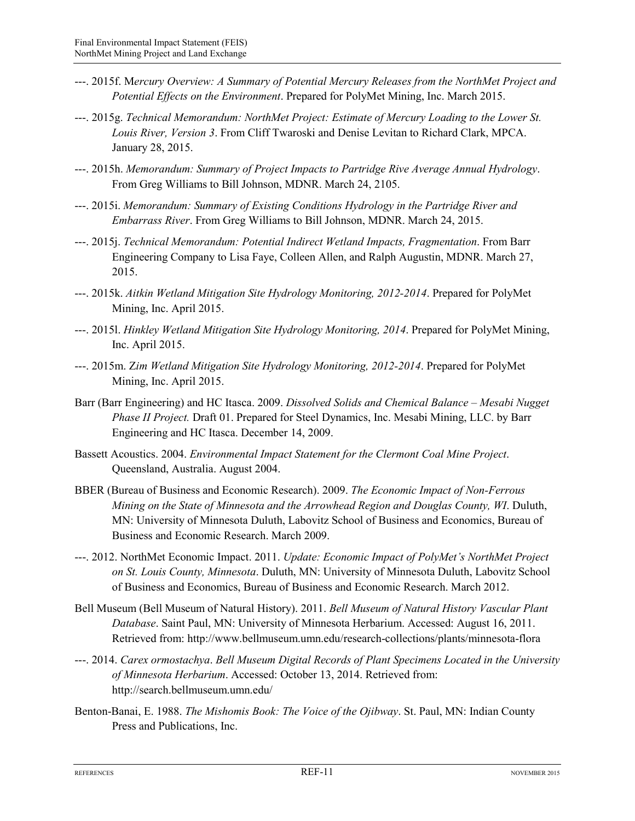- ---. 2015f. M*ercury Overview: A Summary of Potential Mercury Releases from the NorthMet Project and Potential Effects on the Environment*. Prepared for PolyMet Mining, Inc. March 2015.
- ---. 2015g. *Technical Memorandum: NorthMet Project: Estimate of Mercury Loading to the Lower St. Louis River, Version 3*. From Cliff Twaroski and Denise Levitan to Richard Clark, MPCA. January 28, 2015.
- ---. 2015h. *Memorandum: Summary of Project Impacts to Partridge Rive Average Annual Hydrology*. From Greg Williams to Bill Johnson, MDNR. March 24, 2105.
- ---. 2015i. *Memorandum: Summary of Existing Conditions Hydrology in the Partridge River and Embarrass River*. From Greg Williams to Bill Johnson, MDNR. March 24, 2015.
- ---. 2015j. *Technical Memorandum: Potential Indirect Wetland Impacts, Fragmentation*. From Barr Engineering Company to Lisa Faye, Colleen Allen, and Ralph Augustin, MDNR. March 27, 2015.
- ---. 2015k. *Aitkin Wetland Mitigation Site Hydrology Monitoring, 2012-2014*. Prepared for PolyMet Mining, Inc. April 2015.
- ---. 2015l. *Hinkley Wetland Mitigation Site Hydrology Monitoring, 2014*. Prepared for PolyMet Mining, Inc. April 2015.
- ---. 2015m. Z*im Wetland Mitigation Site Hydrology Monitoring, 2012-2014*. Prepared for PolyMet Mining, Inc. April 2015.
- Barr (Barr Engineering) and HC Itasca. 2009. *Dissolved Solids and Chemical Balance – Mesabi Nugget Phase II Project.* Draft 01. Prepared for Steel Dynamics, Inc. Mesabi Mining, LLC. by Barr Engineering and HC Itasca. December 14, 2009.
- Bassett Acoustics. 2004. *Environmental Impact Statement for the Clermont Coal Mine Project*. Queensland, Australia. August 2004.
- BBER (Bureau of Business and Economic Research). 2009. *The Economic Impact of Non-Ferrous Mining on the State of Minnesota and the Arrowhead Region and Douglas County, WI*. Duluth, MN: University of Minnesota Duluth, Labovitz School of Business and Economics, Bureau of Business and Economic Research. March 2009.
- ---. 2012. NorthMet Economic Impact. 2011. *Update: Economic Impact of PolyMet's NorthMet Project on St. Louis County, Minnesota*. Duluth, MN: University of Minnesota Duluth, Labovitz School of Business and Economics, Bureau of Business and Economic Research. March 2012.
- Bell Museum (Bell Museum of Natural History). 2011. *Bell Museum of Natural History Vascular Plant Database*. Saint Paul, MN: University of Minnesota Herbarium. Accessed: August 16, 2011. Retrieved from: http://www.bellmuseum.umn.edu/research-collections/plants/minnesota-flora
- ---. 2014. *Carex ormostachya*. *Bell Museum Digital Records of Plant Specimens Located in the University of Minnesota Herbarium*. Accessed: October 13, 2014. Retrieved from: http://search.bellmuseum.umn.edu/
- Benton-Banai, E. 1988. *The Mishomis Book: The Voice of the Ojibway*. St. Paul, MN: Indian County Press and Publications, Inc.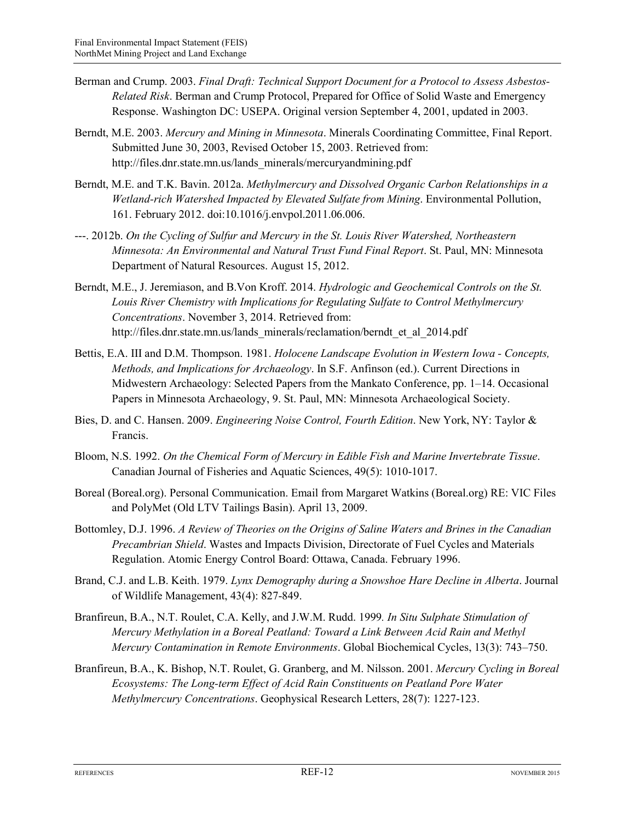- Berman and Crump. 2003. *Final Draft: Technical Support Document for a Protocol to Assess Asbestos-Related Risk*. Berman and Crump Protocol, Prepared for Office of Solid Waste and Emergency Response. Washington DC: USEPA. Original version September 4, 2001, updated in 2003.
- Berndt, M.E. 2003. *Mercury and Mining in Minnesota*. Minerals Coordinating Committee, Final Report. Submitted June 30, 2003, Revised October 15, 2003. Retrieved from: http://files.dnr.state.mn.us/lands\_minerals/mercuryandmining.pdf
- Berndt, M.E. and T.K. Bavin. 2012a. *Methylmercury and Dissolved Organic Carbon Relationships in a Wetland-rich Watershed Impacted by Elevated Sulfate from Mining*. Environmental Pollution, 161. February 2012. doi:10.1016/j.envpol.2011.06.006.
- ---. 2012b. *On the Cycling of Sulfur and Mercury in the St. Louis River Watershed, Northeastern Minnesota: An Environmental and Natural Trust Fund Final Report*. St. Paul, MN: Minnesota Department of Natural Resources. August 15, 2012.
- Berndt, M.E., J. Jeremiason, and B.Von Kroff. 2014. *Hydrologic and Geochemical Controls on the St. Louis River Chemistry with Implications for Regulating Sulfate to Control Methylmercury Concentrations*. November 3, 2014. Retrieved from: http://files.dnr.state.mn.us/lands\_minerals/reclamation/berndt\_et\_al\_2014.pdf
- Bettis, E.A. III and D.M. Thompson. 1981. *Holocene Landscape Evolution in Western Iowa - Concepts, Methods, and Implications for Archaeology*. In S.F. Anfinson (ed.). Current Directions in Midwestern Archaeology: Selected Papers from the Mankato Conference, pp. 1–14. Occasional Papers in Minnesota Archaeology, 9. St. Paul, MN: Minnesota Archaeological Society.
- Bies, D. and C. Hansen. 2009. *Engineering Noise Control, Fourth Edition*. New York, NY: Taylor & Francis.
- Bloom, N.S. 1992. *On the Chemical Form of Mercury in Edible Fish and Marine Invertebrate Tissue*. Canadian Journal of Fisheries and Aquatic Sciences, 49(5): 1010-1017.
- Boreal (Boreal.org). Personal Communication. Email from Margaret Watkins (Boreal.org) RE: VIC Files and PolyMet (Old LTV Tailings Basin). April 13, 2009.
- Bottomley, D.J. 1996. *A Review of Theories on the Origins of Saline Waters and Brines in the Canadian Precambrian Shield*. Wastes and Impacts Division, Directorate of Fuel Cycles and Materials Regulation. Atomic Energy Control Board: Ottawa, Canada. February 1996.
- Brand, C.J. and L.B. Keith. 1979. *Lynx Demography during a Snowshoe Hare Decline in Alberta*. Journal of Wildlife Management, 43(4): 827-849.
- Branfireun, B.A., N.T. Roulet, C.A. Kelly, and J.W.M. Rudd. 1999*. In Situ Sulphate Stimulation of Mercury Methylation in a Boreal Peatland: Toward a Link Between Acid Rain and Methyl Mercury Contamination in Remote Environments*. Global Biochemical Cycles, 13(3): 743–750.
- Branfireun, B.A., K. Bishop, N.T. Roulet, G. Granberg, and M. Nilsson. 2001. *Mercury Cycling in Boreal Ecosystems: The Long-term Effect of Acid Rain Constituents on Peatland Pore Water Methylmercury Concentrations*. Geophysical Research Letters, 28(7): 1227-123.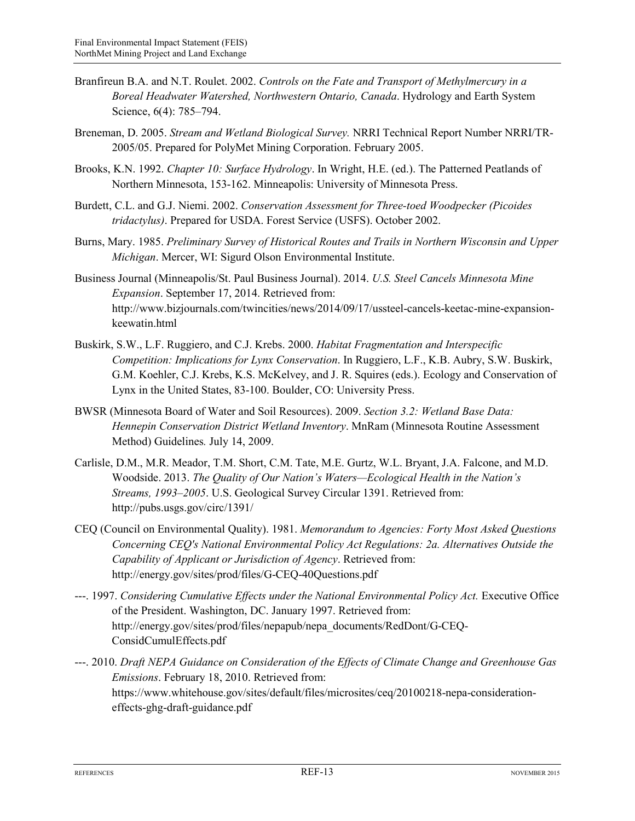- Branfireun B.A. and N.T. Roulet. 2002. *Controls on the Fate and Transport of Methylmercury in a Boreal Headwater Watershed, Northwestern Ontario, Canada*. Hydrology and Earth System Science, 6(4): 785–794.
- Breneman, D. 2005. *Stream and Wetland Biological Survey.* NRRI Technical Report Number NRRI/TR-2005/05. Prepared for PolyMet Mining Corporation. February 2005.
- Brooks, K.N. 1992. *Chapter 10: Surface Hydrology*. In Wright, H.E. (ed.). The Patterned Peatlands of Northern Minnesota, 153-162. Minneapolis: University of Minnesota Press.
- Burdett, C.L. and G.J. Niemi. 2002. *Conservation Assessment for Three-toed Woodpecker (Picoides tridactylus)*. Prepared for USDA. Forest Service (USFS). October 2002.
- Burns, Mary. 1985. *Preliminary Survey of Historical Routes and Trails in Northern Wisconsin and Upper Michigan*. Mercer, WI: Sigurd Olson Environmental Institute.
- Business Journal (Minneapolis/St. Paul Business Journal). 2014. *U.S. Steel Cancels Minnesota Mine Expansion*. September 17, 2014. Retrieved from: http://www.bizjournals.com/twincities/news/2014/09/17/ussteel-cancels-keetac-mine-expansionkeewatin.html
- Buskirk, S.W., L.F. Ruggiero, and C.J. Krebs. 2000. *Habitat Fragmentation and Interspecific Competition: Implications for Lynx Conservation*. In Ruggiero, L.F., K.B. Aubry, S.W. Buskirk, G.M. Koehler, C.J. Krebs, K.S. McKelvey, and J. R. Squires (eds.). Ecology and Conservation of Lynx in the United States, 83-100. Boulder, CO: University Press.
- BWSR (Minnesota Board of Water and Soil Resources). 2009. *Section 3.2: Wetland Base Data: Hennepin Conservation District Wetland Inventory*. MnRam (Minnesota Routine Assessment Method) Guidelines*.* July 14, 2009.
- Carlisle, D.M., M.R. Meador, T.M. Short, C.M. Tate, M.E. Gurtz, W.L. Bryant, J.A. Falcone, and M.D. Woodside. 2013. *The Quality of Our Nation's Waters—Ecological Health in the Nation's Streams, 1993–2005*. U.S. Geological Survey Circular 1391. Retrieved from: http://pubs.usgs.gov/circ/1391/
- CEQ (Council on Environmental Quality). 1981. *Memorandum to Agencies: Forty Most Asked Questions Concerning CEQ's National Environmental Policy Act Regulations: 2a. Alternatives Outside the Capability of Applicant or Jurisdiction of Agency*. Retrieved from: http://energy.gov/sites/prod/files/G-CEQ-40Questions.pdf
- ---. 1997. *Considering Cumulative Effects under the National Environmental Policy Act.* Executive Office of the President. Washington, DC. January 1997. Retrieved from: http://energy.gov/sites/prod/files/nepapub/nepa\_documents/RedDont/G-CEQ-ConsidCumulEffects.pdf
- ---. 2010. *Draft NEPA Guidance on Consideration of the Effects of Climate Change and Greenhouse Gas Emissions*. February 18, 2010. Retrieved from: https://www.whitehouse.gov/sites/default/files/microsites/ceq/20100218-nepa-considerationeffects-ghg-draft-guidance.pdf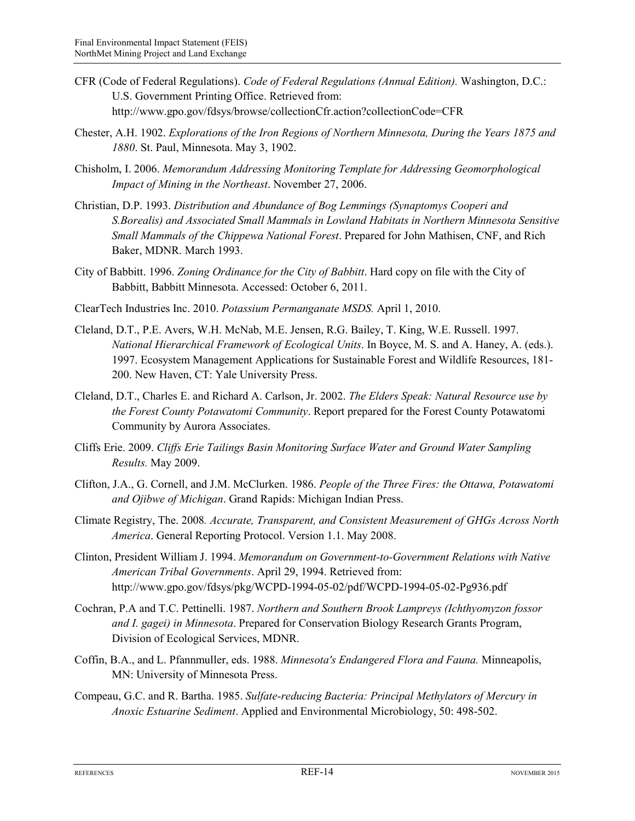- CFR (Code of Federal Regulations). *Code of Federal Regulations (Annual Edition).* Washington, D.C.: U.S. Government Printing Office. Retrieved from: http://www.gpo.gov/fdsys/browse/collectionCfr.action?collectionCode=CFR
- Chester, A.H. 1902. *Explorations of the Iron Regions of Northern Minnesota, During the Years 1875 and 1880*. St. Paul, Minnesota. May 3, 1902.
- Chisholm, I. 2006. *Memorandum Addressing Monitoring Template for Addressing Geomorphological Impact of Mining in the Northeast*. November 27, 2006.
- Christian, D.P. 1993. *Distribution and Abundance of Bog Lemmings (Synaptomys Cooperi and S.Borealis) and Associated Small Mammals in Lowland Habitats in Northern Minnesota Sensitive Small Mammals of the Chippewa National Forest*. Prepared for John Mathisen, CNF, and Rich Baker, MDNR. March 1993.
- City of Babbitt. 1996. *Zoning Ordinance for the City of Babbitt*. Hard copy on file with the City of Babbitt, Babbitt Minnesota. Accessed: October 6, 2011.
- ClearTech Industries Inc. 2010. *Potassium Permanganate MSDS.* April 1, 2010.
- Cleland, D.T., P.E. Avers, W.H. McNab, M.E. Jensen, R.G. Bailey, T. King, W.E. Russell. 1997. *National Hierarchical Framework of Ecological Units*. In Boyce, M. S. and A. Haney, A. (eds.). 1997. Ecosystem Management Applications for Sustainable Forest and Wildlife Resources, 181- 200. New Haven, CT: Yale University Press.
- Cleland, D.T., Charles E. and Richard A. Carlson, Jr. 2002. *The Elders Speak: Natural Resource use by the Forest County Potawatomi Community*. Report prepared for the Forest County Potawatomi Community by Aurora Associates.
- Cliffs Erie. 2009. *Cliffs Erie Tailings Basin Monitoring Surface Water and Ground Water Sampling Results.* May 2009.
- Clifton, J.A., G. Cornell, and J.M. McClurken. 1986. *People of the Three Fires: the Ottawa, Potawatomi and Ojibwe of Michigan*. Grand Rapids: Michigan Indian Press.
- Climate Registry, The. 2008*. Accurate, Transparent, and Consistent Measurement of GHGs Across North America*. General Reporting Protocol. Version 1.1. May 2008.
- Clinton, President William J. 1994. *Memorandum on Government-to-Government Relations with Native American Tribal Governments*. April 29, 1994. Retrieved from: http://www.gpo.gov/fdsys/pkg/WCPD-1994-05-02/pdf/WCPD-1994-05-02-Pg936.pdf
- Cochran, P.A and T.C. Pettinelli. 1987. *Northern and Southern Brook Lampreys (Ichthyomyzon fossor and I. gagei) in Minnesota*. Prepared for Conservation Biology Research Grants Program, Division of Ecological Services, MDNR.
- Coffin, B.A., and L. Pfannmuller, eds. 1988. *Minnesota's Endangered Flora and Fauna.* Minneapolis, MN: University of Minnesota Press.
- Compeau, G.C. and R. Bartha. 1985. *Sulfate-reducing Bacteria: Principal Methylators of Mercury in Anoxic Estuarine Sediment*. Applied and Environmental Microbiology, 50: 498-502.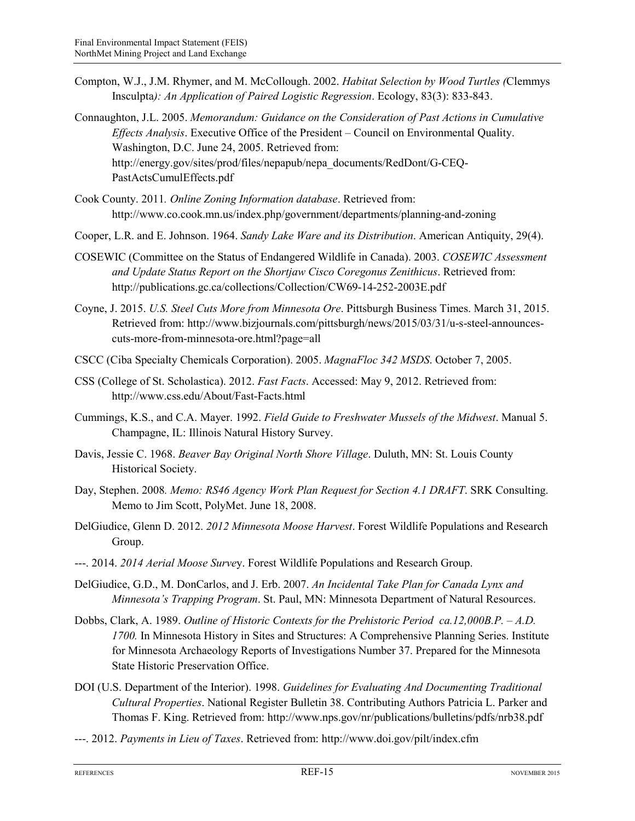- Compton, W.J., J.M. Rhymer, and M. McCollough. 2002. *Habitat Selection by Wood Turtles (*Clemmys Insculpta*): An Application of Paired Logistic Regression*. Ecology, 83(3): 833-843.
- Connaughton, J.L. 2005. *Memorandum: Guidance on the Consideration of Past Actions in Cumulative Effects Analysis*. Executive Office of the President – Council on Environmental Quality. Washington, D.C. June 24, 2005. Retrieved from: http://energy.gov/sites/prod/files/nepapub/nepa\_documents/RedDont/G-CEQ-PastActsCumulEffects.pdf
- Cook County. 2011*. Online Zoning Information database*. Retrieved from: http://www.co.cook.mn.us/index.php/government/departments/planning-and-zoning
- Cooper, L.R. and E. Johnson. 1964. *Sandy Lake Ware and its Distribution*. American Antiquity, 29(4).
- COSEWIC (Committee on the Status of Endangered Wildlife in Canada). 2003. *COSEWIC Assessment and Update Status Report on the Shortjaw Cisco Coregonus Zenithicus*. Retrieved from: http://publications.gc.ca/collections/Collection/CW69-14-252-2003E.pdf
- Coyne, J. 2015. *U.S. Steel Cuts More from Minnesota Ore*. Pittsburgh Business Times. March 31, 2015. Retrieved from: http://www.bizjournals.com/pittsburgh/news/2015/03/31/u-s-steel-announcescuts-more-from-minnesota-ore.html?page=all
- CSCC (Ciba Specialty Chemicals Corporation). 2005. *MagnaFloc 342 MSDS*. October 7, 2005.
- CSS (College of St. Scholastica). 2012. *Fast Facts*. Accessed: May 9, 2012. Retrieved from: http://www.css.edu/About/Fast-Facts.html
- Cummings, K.S., and C.A. Mayer. 1992. *Field Guide to Freshwater Mussels of the Midwest*. Manual 5. Champagne, IL: Illinois Natural History Survey.
- Davis, Jessie C. 1968. *Beaver Bay Original North Shore Village*. Duluth, MN: St. Louis County Historical Society.
- Day, Stephen. 2008*. Memo: RS46 Agency Work Plan Request for Section 4.1 DRAFT*. SRK Consulting. Memo to Jim Scott, PolyMet. June 18, 2008.
- DelGiudice, Glenn D. 2012. *2012 Minnesota Moose Harvest*. Forest Wildlife Populations and Research Group.
- ---. 2014. *2014 Aerial Moose Surve*y. Forest Wildlife Populations and Research Group.
- DelGiudice, G.D., M. DonCarlos, and J. Erb. 2007. *An Incidental Take Plan for Canada Lynx and Minnesota's Trapping Program*. St. Paul, MN: Minnesota Department of Natural Resources.
- Dobbs, Clark, A. 1989. *Outline of Historic Contexts for the Prehistoric Period ca.12,000B.P. – A.D. 1700.* In Minnesota History in Sites and Structures: A Comprehensive Planning Series. Institute for Minnesota Archaeology Reports of Investigations Number 37. Prepared for the Minnesota State Historic Preservation Office.
- DOI (U.S. Department of the Interior). 1998. *Guidelines for Evaluating And Documenting Traditional Cultural Properties*. National Register Bulletin 38. Contributing Authors Patricia L. Parker and Thomas F. King. Retrieved from: http://www.nps.gov/nr/publications/bulletins/pdfs/nrb38.pdf
- ---. 2012. *Payments in Lieu of Taxes*. Retrieved from: http://www.doi.gov/pilt/index.cfm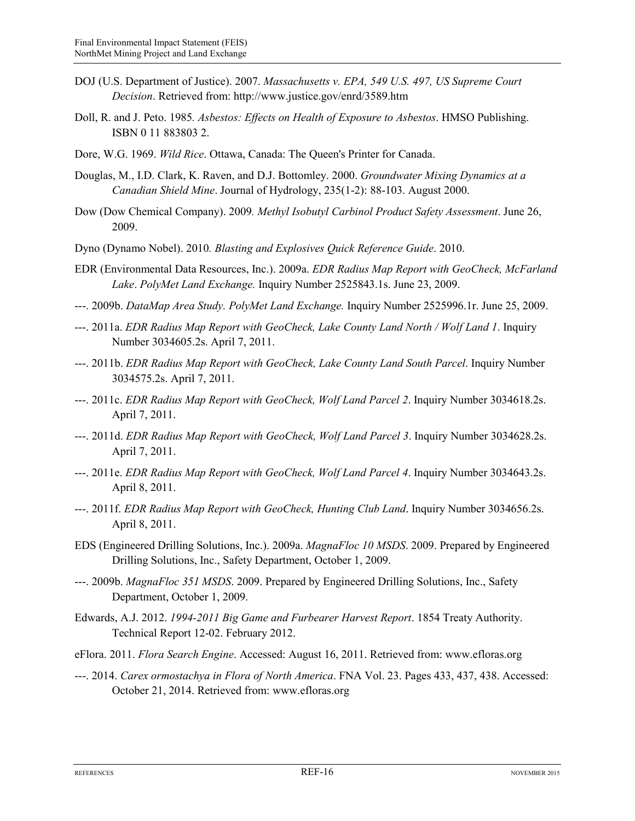- DOJ (U.S. Department of Justice). 2007. *Massachusetts v. EPA, 549 U.S. 497, US Supreme Court Decision*. Retrieved from: http://www.justice.gov/enrd/3589.htm
- Doll, R. and J. Peto. 1985*. Asbestos: Effects on Health of Exposure to Asbestos*. HMSO Publishing. ISBN 0 11 883803 2.
- Dore, W.G. 1969. *Wild Rice*. Ottawa, Canada: The Queen's Printer for Canada.
- Douglas, M., I.D. Clark, K. Raven, and D.J. Bottomley. 2000. *Groundwater Mixing Dynamics at a Canadian Shield Mine*. Journal of Hydrology, 235(1-2): 88-103. August 2000.
- Dow (Dow Chemical Company). 2009*. Methyl Isobutyl Carbinol Product Safety Assessment*. June 26, 2009.
- Dyno (Dynamo Nobel). 2010*. Blasting and Explosives Quick Reference Guide*. 2010.
- EDR (Environmental Data Resources, Inc.). 2009a. *EDR Radius Map Report with GeoCheck, McFarland Lake*. *PolyMet Land Exchange.* Inquiry Number 2525843.1s. June 23, 2009.
- ---. 2009b. *DataMap Area Study. PolyMet Land Exchange.* Inquiry Number 2525996.1r. June 25, 2009.
- ---. 2011a. *EDR Radius Map Report with GeoCheck, Lake County Land North / Wolf Land 1*. Inquiry Number 3034605.2s. April 7, 2011.
- ---. 2011b. *EDR Radius Map Report with GeoCheck, Lake County Land South Parcel*. Inquiry Number 3034575.2s. April 7, 2011.
- ---. 2011c. *EDR Radius Map Report with GeoCheck, Wolf Land Parcel 2*. Inquiry Number 3034618.2s. April 7, 2011.
- ---. 2011d. *EDR Radius Map Report with GeoCheck, Wolf Land Parcel 3*. Inquiry Number 3034628.2s. April 7, 2011.
- ---. 2011e. *EDR Radius Map Report with GeoCheck, Wolf Land Parcel 4*. Inquiry Number 3034643.2s. April 8, 2011.
- ---. 2011f. *EDR Radius Map Report with GeoCheck, Hunting Club Land*. Inquiry Number 3034656.2s. April 8, 2011.
- EDS (Engineered Drilling Solutions, Inc.). 2009a. *MagnaFloc 10 MSDS*. 2009. Prepared by Engineered Drilling Solutions, Inc., Safety Department, October 1, 2009.
- ---. 2009b. *MagnaFloc 351 MSDS*. 2009. Prepared by Engineered Drilling Solutions, Inc., Safety Department, October 1, 2009.
- Edwards, A.J. 2012. *1994-2011 Big Game and Furbearer Harvest Report*. 1854 Treaty Authority. Technical Report 12-02. February 2012.
- eFlora. 2011. *Flora Search Engine*. Accessed: August 16, 2011. Retrieved from: www.efloras.org
- ---. 2014. *Carex ormostachya in Flora of North America*. FNA Vol. 23. Pages 433, 437, 438. Accessed: October 21, 2014. Retrieved from: www.efloras.org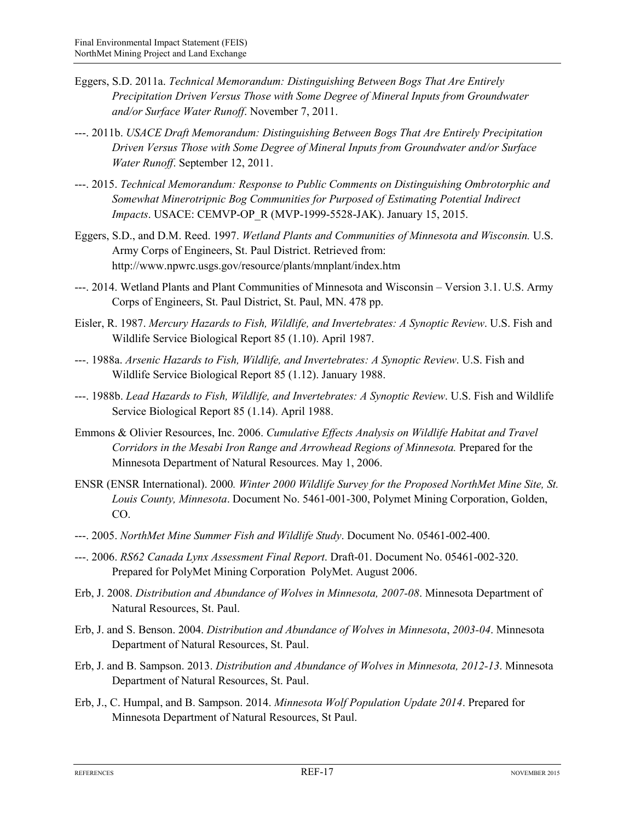- Eggers, S.D. 2011a. *Technical Memorandum: Distinguishing Between Bogs That Are Entirely Precipitation Driven Versus Those with Some Degree of Mineral Inputs from Groundwater and/or Surface Water Runoff*. November 7, 2011.
- ---. 2011b. *USACE Draft Memorandum: Distinguishing Between Bogs That Are Entirely Precipitation Driven Versus Those with Some Degree of Mineral Inputs from Groundwater and/or Surface Water Runoff*. September 12, 2011.
- ---. 2015. *Technical Memorandum: Response to Public Comments on Distinguishing Ombrotorphic and Somewhat Minerotripnic Bog Communities for Purposed of Estimating Potential Indirect Impacts*. USACE: CEMVP-OP\_R (MVP-1999-5528-JAK). January 15, 2015.
- Eggers, S.D., and D.M. Reed. 1997. *Wetland Plants and Communities of Minnesota and Wisconsin.* U.S. Army Corps of Engineers, St. Paul District. Retrieved from: http://www.npwrc.usgs.gov/resource/plants/mnplant/index.htm
- ---. 2014. Wetland Plants and Plant Communities of Minnesota and Wisconsin Version 3.1. U.S. Army Corps of Engineers, St. Paul District, St. Paul, MN. 478 pp.
- Eisler, R. 1987. *Mercury Hazards to Fish, Wildlife, and Invertebrates: A Synoptic Review*. U.S. Fish and Wildlife Service Biological Report 85 (1.10). April 1987.
- ---. 1988a. *Arsenic Hazards to Fish, Wildlife, and Invertebrates: A Synoptic Review*. U.S. Fish and Wildlife Service Biological Report 85 (1.12). January 1988.
- ---. 1988b. *Lead Hazards to Fish, Wildlife, and Invertebrates: A Synoptic Review*. U.S. Fish and Wildlife Service Biological Report 85 (1.14). April 1988.
- Emmons & Olivier Resources, Inc. 2006. *Cumulative Effects Analysis on Wildlife Habitat and Travel Corridors in the Mesabi Iron Range and Arrowhead Regions of Minnesota.* Prepared for the Minnesota Department of Natural Resources. May 1, 2006.
- ENSR (ENSR International). 2000*. Winter 2000 Wildlife Survey for the Proposed NorthMet Mine Site, St. Louis County, Minnesota*. Document No. 5461-001-300, Polymet Mining Corporation, Golden, CO.
- ---. 2005. *NorthMet Mine Summer Fish and Wildlife Study*. Document No. 05461-002-400.
- ---. 2006. *RS62 Canada Lynx Assessment Final Report*. Draft-01. Document No. 05461-002-320. Prepared for PolyMet Mining Corporation PolyMet. August 2006.
- Erb, J. 2008. *Distribution and Abundance of Wolves in Minnesota, 2007-08*. Minnesota Department of Natural Resources, St. Paul.
- Erb, J. and S. Benson. 2004. *Distribution and Abundance of Wolves in Minnesota*, *2003-04*. Minnesota Department of Natural Resources, St. Paul.
- Erb, J. and B. Sampson. 2013. *Distribution and Abundance of Wolves in Minnesota, 2012-13*. Minnesota Department of Natural Resources, St. Paul.
- Erb, J., C. Humpal, and B. Sampson. 2014. *Minnesota Wolf Population Update 2014*. Prepared for Minnesota Department of Natural Resources, St Paul.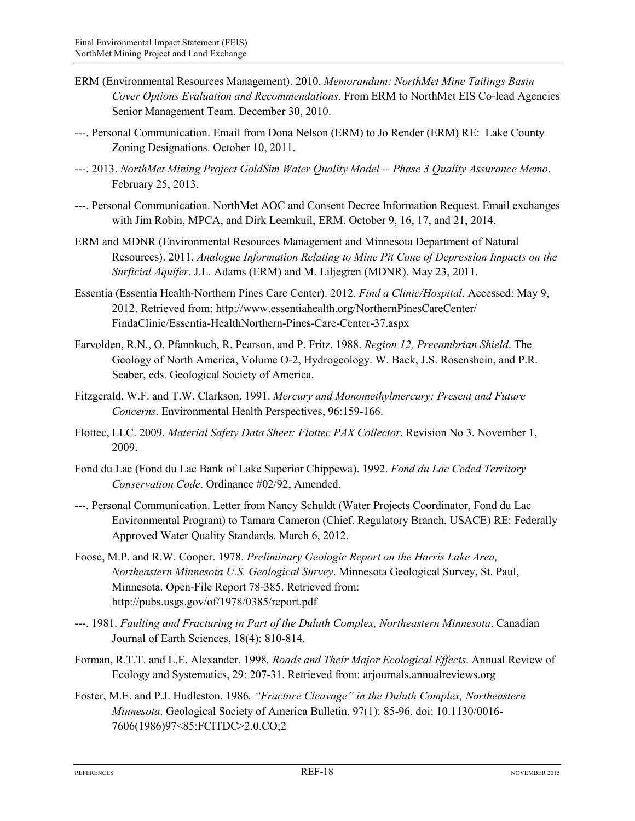- ERM (Environmental Resources Management). 2010. *Memorandum: NorthMet Mine Tailings Basin Cover Options Evaluation and Recommendations*. From ERM to NorthMet EIS Co-lead Agencies Senior Management Team. December 30, 2010.
- ---. Personal Communication. Email from Dona Nelson (ERM) to Jo Render (ERM) RE: Lake County Zoning Designations. October 10, 2011.
- ---. 2013. *NorthMet Mining Project GoldSim Water Quality Model -- Phase 3 Quality Assurance Memo*. February 25, 2013.
- ---. Personal Communication. NorthMet AOC and Consent Decree Information Request. Email exchanges with Jim Robin, MPCA, and Dirk Leemkuil, ERM. October 9, 16, 17, and 21, 2014.
- ERM and MDNR (Environmental Resources Management and Minnesota Department of Natural Resources). 2011. *Analogue Information Relating to Mine Pit Cone of Depression Impacts on the Surficial Aquifer*. J.L. Adams (ERM) and M. Liljegren (MDNR). May 23, 2011.
- Essentia (Essentia Health-Northern Pines Care Center). 2012. *Find a Clinic/Hospital*. Accessed: May 9, 2012. Retrieved from: http://www.essentiahealth.org/NorthernPinesCareCenter/ FindaClinic/Essentia-HealthNorthern-Pines-Care-Center-37.aspx
- Farvolden, R.N., O. Pfannkuch, R. Pearson, and P. Fritz. 1988. *Region 12, Precambrian Shield*. The Geology of North America, Volume O-2, Hydrogeology. W. Back, J.S. Rosenshein, and P.R. Seaber, eds. Geological Society of America.
- Fitzgerald, W.F. and T.W. Clarkson. 1991. *Mercury and Monomethylmercury: Present and Future Concerns*. Environmental Health Perspectives, 96:159-166.
- Flottec, LLC. 2009. *Material Safety Data Sheet: Flottec PAX Collector*. Revision No 3. November 1, 2009.
- Fond du Lac (Fond du Lac Bank of Lake Superior Chippewa). 1992. *Fond du Lac Ceded Territory Conservation Code*. Ordinance #02/92, Amended.
- ---. Personal Communication. Letter from Nancy Schuldt (Water Projects Coordinator, Fond du Lac Environmental Program) to Tamara Cameron (Chief, Regulatory Branch, USACE) RE: Federally Approved Water Quality Standards. March 6, 2012.
- Foose, M.P. and R.W. Cooper. 1978. *Preliminary Geologic Report on the Harris Lake Area, Northeastern Minnesota U.S. Geological Survey*. Minnesota Geological Survey, St. Paul, Minnesota. Open-File Report 78-385. Retrieved from: http://pubs.usgs.gov/of/1978/0385/report.pdf
- ---. 1981. *Faulting and Fracturing in Part of the Duluth Complex, Northeastern Minnesota*. Canadian Journal of Earth Sciences, 18(4): 810-814.
- Forman, R.T.T. and L.E. Alexander. 1998*. Roads and Their Major Ecological Effects*. Annual Review of Ecology and Systematics, 29: 207-31. Retrieved from: arjournals.annualreviews.org
- Foster, M.E. and P.J. Hudleston. 1986*. "Fracture Cleavage" in the Duluth Complex, Northeastern Minnesota*. Geological Society of America Bulletin, 97(1): 85-96. doi: 10.1130/0016- 7606(1986)97<85:FCITDC>2.0.CO;2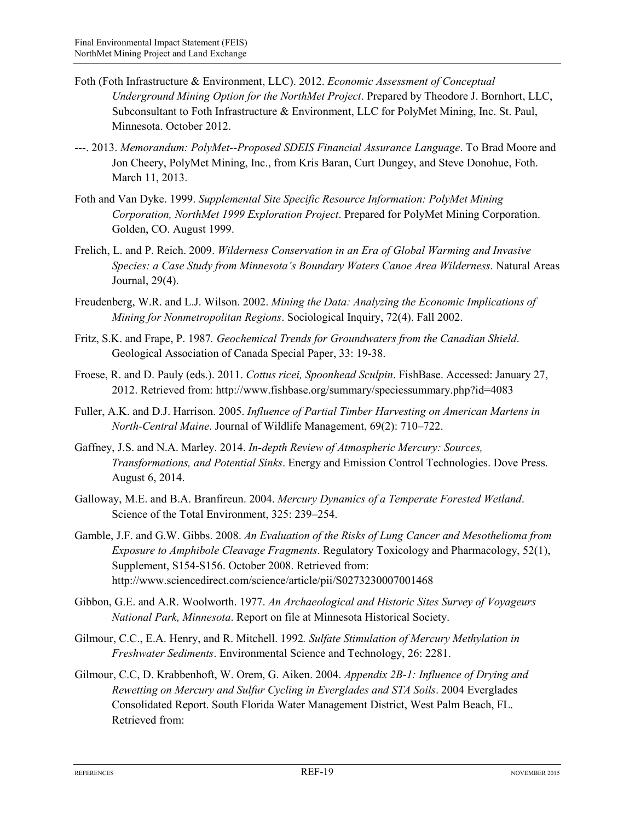- Foth (Foth Infrastructure & Environment, LLC). 2012. *Economic Assessment of Conceptual Underground Mining Option for the NorthMet Project*. Prepared by Theodore J. Bornhort, LLC, Subconsultant to Foth Infrastructure & Environment, LLC for PolyMet Mining, Inc. St. Paul, Minnesota. October 2012.
- ---. 2013. *Memorandum: PolyMet--Proposed SDEIS Financial Assurance Language*. To Brad Moore and Jon Cheery, PolyMet Mining, Inc., from Kris Baran, Curt Dungey, and Steve Donohue, Foth. March 11, 2013.
- Foth and Van Dyke. 1999. *Supplemental Site Specific Resource Information: PolyMet Mining Corporation, NorthMet 1999 Exploration Project*. Prepared for PolyMet Mining Corporation. Golden, CO. August 1999.
- Frelich, L. and P. Reich. 2009. *Wilderness Conservation in an Era of Global Warming and Invasive Species: a Case Study from Minnesota's Boundary Waters Canoe Area Wilderness*. Natural Areas Journal, 29(4).
- Freudenberg, W.R. and L.J. Wilson. 2002. *Mining the Data: Analyzing the Economic Implications of Mining for Nonmetropolitan Regions*. Sociological Inquiry, 72(4). Fall 2002.
- Fritz, S.K. and Frape, P. 1987*. Geochemical Trends for Groundwaters from the Canadian Shield*. Geological Association of Canada Special Paper, 33: 19-38.
- Froese, R. and D. Pauly (eds.). 2011. *Cottus ricei, Spoonhead Sculpin*. FishBase. Accessed: January 27, 2012. Retrieved from: http://www.fishbase.org/summary/speciessummary.php?id=4083
- Fuller, A.K. and D.J. Harrison. 2005. *Influence of Partial Timber Harvesting on American Martens in North-Central Maine*. Journal of Wildlife Management, 69(2): 710–722.
- Gaffney, J.S. and N.A. Marley. 2014. *In-depth Review of Atmospheric Mercury: Sources, Transformations, and Potential Sinks*. Energy and Emission Control Technologies. Dove Press. August 6, 2014.
- Galloway, M.E. and B.A. Branfireun. 2004. *Mercury Dynamics of a Temperate Forested Wetland*. Science of the Total Environment, 325: 239–254.
- Gamble, J.F. and G.W. Gibbs. 2008. *An Evaluation of the Risks of Lung Cancer and Mesothelioma from Exposure to Amphibole Cleavage Fragments*. Regulatory Toxicology and Pharmacology, 52(1), Supplement, S154-S156. October 2008. Retrieved from: http://www.sciencedirect.com/science/article/pii/S0273230007001468
- Gibbon, G.E. and A.R. Woolworth. 1977. *An Archaeological and Historic Sites Survey of Voyageurs National Park, Minnesota*. Report on file at Minnesota Historical Society.
- Gilmour, C.C., E.A. Henry, and R. Mitchell. 1992*. Sulfate Stimulation of Mercury Methylation in Freshwater Sediments*. Environmental Science and Technology, 26: 2281.
- Gilmour, C.C, D. Krabbenhoft, W. Orem, G. Aiken. 2004. *Appendix 2B-1: Influence of Drying and Rewetting on Mercury and Sulfur Cycling in Everglades and STA Soils*. 2004 Everglades Consolidated Report. South Florida Water Management District, West Palm Beach, FL. Retrieved from: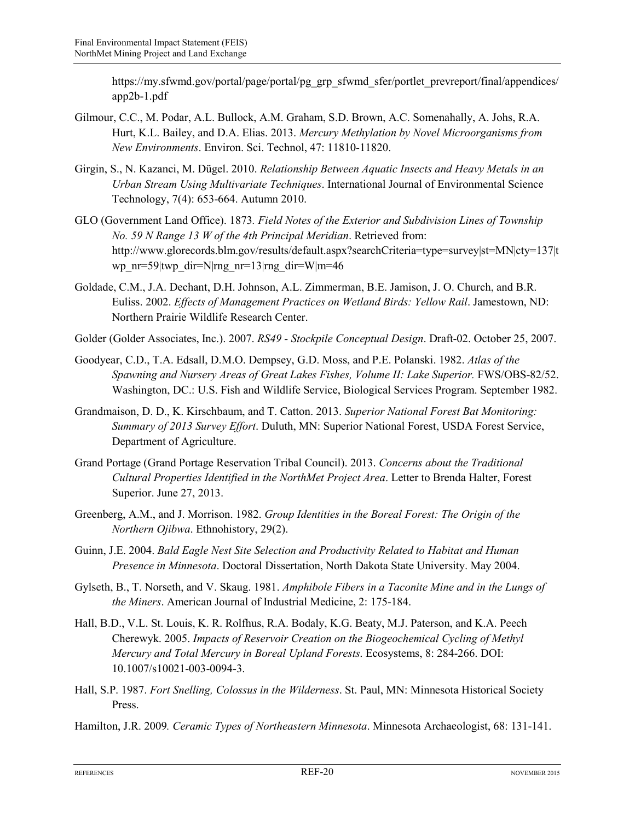https://my.sfwmd.gov/portal/page/portal/pg\_grp\_sfwmd\_sfer/portlet\_prevreport/final/appendices/ app2b-1.pdf

- Gilmour, C.C., M. Podar, A.L. Bullock, A.M. Graham, S.D. Brown, A.C. Somenahally, A. Johs, R.A. Hurt, K.L. Bailey, and D.A. Elias. 2013. *Mercury Methylation by Novel Microorganisms from New Environments*. Environ. Sci. Technol, 47: 11810-11820.
- Girgin, S., N. Kazanci, M. Dügel. 2010. *Relationship Between Aquatic Insects and Heavy Metals in an Urban Stream Using Multivariate Techniques*. International Journal of Environmental Science Technology, 7(4): 653-664. Autumn 2010.
- GLO (Government Land Office). 1873*. Field Notes of the Exterior and Subdivision Lines of Township No. 59 N Range 13 W of the 4th Principal Meridian*. Retrieved from: http://www.glorecords.blm.gov/results/default.aspx?searchCriteria=type=survey|st=MN|cty=137|t wp\_nr=59|twp\_dir=N|rng\_nr=13|rng\_dir=W|m=46
- Goldade, C.M., J.A. Dechant, D.H. Johnson, A.L. Zimmerman, B.E. Jamison, J. O. Church, and B.R. Euliss. 2002. *Effects of Management Practices on Wetland Birds: Yellow Rail*. Jamestown, ND: Northern Prairie Wildlife Research Center.
- Golder (Golder Associates, Inc.). 2007. *RS49 - Stockpile Conceptual Design*. Draft-02. October 25, 2007.
- Goodyear, C.D., T.A. Edsall, D.M.O. Dempsey, G.D. Moss, and P.E. Polanski. 1982. *Atlas of the Spawning and Nursery Areas of Great Lakes Fishes, Volume II: Lake Superior.* FWS/OBS-82/52. Washington, DC.: U.S. Fish and Wildlife Service, Biological Services Program. September 1982.
- Grandmaison, D. D., K. Kirschbaum, and T. Catton. 2013. *Superior National Forest Bat Monitoring: Summary of 2013 Survey Effort*. Duluth, MN: Superior National Forest, USDA Forest Service, Department of Agriculture.
- Grand Portage (Grand Portage Reservation Tribal Council). 2013. *Concerns about the Traditional Cultural Properties Identified in the NorthMet Project Area*. Letter to Brenda Halter, Forest Superior. June 27, 2013.
- Greenberg, A.M., and J. Morrison. 1982. *Group Identities in the Boreal Forest: The Origin of the Northern Ojibwa*. Ethnohistory, 29(2).
- Guinn, J.E. 2004. *Bald Eagle Nest Site Selection and Productivity Related to Habitat and Human Presence in Minnesota*. Doctoral Dissertation, North Dakota State University. May 2004.
- Gylseth, B., T. Norseth, and V. Skaug. 1981. *Amphibole Fibers in a Taconite Mine and in the Lungs of the Miners*. American Journal of Industrial Medicine, 2: 175-184.
- Hall, B.D., V.L. St. Louis, K. R. Rolfhus, R.A. Bodaly, K.G. Beaty, M.J. Paterson, and K.A. Peech Cherewyk. 2005. *Impacts of Reservoir Creation on the Biogeochemical Cycling of Methyl Mercury and Total Mercury in Boreal Upland Forests*. Ecosystems, 8: 284-266. DOI: 10.1007/s10021-003-0094-3.
- Hall, S.P. 1987. *Fort Snelling, Colossus in the Wilderness*. St. Paul, MN: Minnesota Historical Society Press.
- Hamilton, J.R. 2009*. Ceramic Types of Northeastern Minnesota*. Minnesota Archaeologist, 68: 131-141.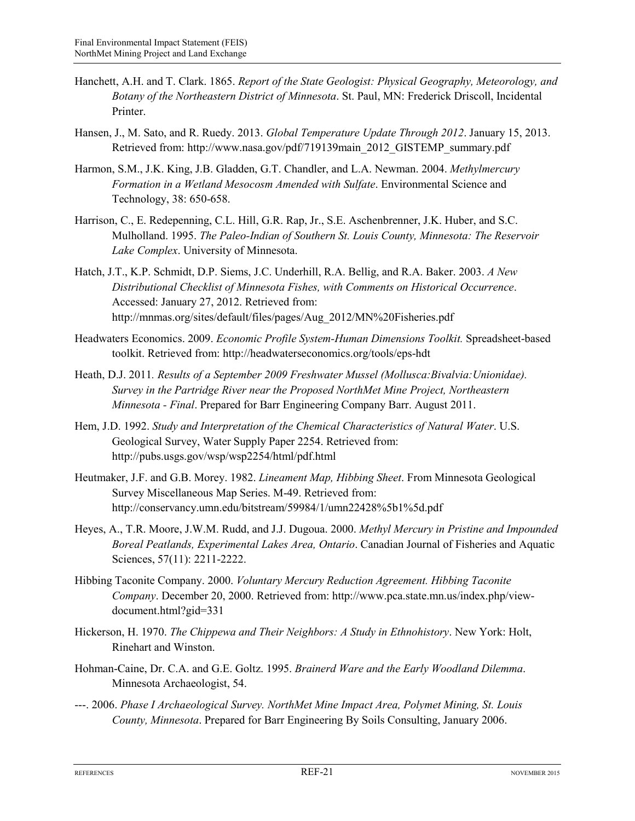- Hanchett, A.H. and T. Clark. 1865. *Report of the State Geologist: Physical Geography, Meteorology, and Botany of the Northeastern District of Minnesota*. St. Paul, MN: Frederick Driscoll, Incidental Printer.
- Hansen, J., M. Sato, and R. Ruedy. 2013. *Global Temperature Update Through 2012*. January 15, 2013. Retrieved from: http://www.nasa.gov/pdf/719139main\_2012\_GISTEMP\_summary.pdf
- Harmon, S.M., J.K. King, J.B. Gladden, G.T. Chandler, and L.A. Newman. 2004. *Methylmercury Formation in a Wetland Mesocosm Amended with Sulfate*. Environmental Science and Technology, 38: 650-658.
- Harrison, C., E. Redepenning, C.L. Hill, G.R. Rap, Jr., S.E. Aschenbrenner, J.K. Huber, and S.C. Mulholland. 1995. *The Paleo-Indian of Southern St. Louis County, Minnesota: The Reservoir Lake Complex*. University of Minnesota.
- Hatch, J.T., K.P. Schmidt, D.P. Siems, J.C. Underhill, R.A. Bellig, and R.A. Baker. 2003. *A New Distributional Checklist of Minnesota Fishes, with Comments on Historical Occurrence*. Accessed: January 27, 2012. Retrieved from: http://mnmas.org/sites/default/files/pages/Aug\_2012/MN%20Fisheries.pdf
- Headwaters Economics. 2009. *Economic Profile System-Human Dimensions Toolkit.* Spreadsheet-based toolkit. Retrieved from: http://headwaterseconomics.org/tools/eps-hdt
- Heath, D.J. 2011*. Results of a September 2009 Freshwater Mussel (Mollusca:Bivalvia:Unionidae). Survey in the Partridge River near the Proposed NorthMet Mine Project, Northeastern Minnesota - Final*. Prepared for Barr Engineering Company Barr. August 2011.
- Hem, J.D. 1992. *Study and Interpretation of the Chemical Characteristics of Natural Water*. U.S. Geological Survey, Water Supply Paper 2254. Retrieved from: http://pubs.usgs.gov/wsp/wsp2254/html/pdf.html
- Heutmaker, J.F. and G.B. Morey. 1982. *Lineament Map, Hibbing Sheet*. From Minnesota Geological Survey Miscellaneous Map Series. M-49. Retrieved from: http://conservancy.umn.edu/bitstream/59984/1/umn22428%5b1%5d.pdf
- Heyes, A., T.R. Moore, J.W.M. Rudd, and J.J. Dugoua. 2000. *Methyl Mercury in Pristine and Impounded Boreal Peatlands, Experimental Lakes Area, Ontario*. Canadian Journal of Fisheries and Aquatic Sciences, 57(11): 2211-2222.
- Hibbing Taconite Company. 2000. *Voluntary Mercury Reduction Agreement. Hibbing Taconite Company*. December 20, 2000. Retrieved from: http://www.pca.state.mn.us/index.php/viewdocument.html?gid=331
- Hickerson, H. 1970. *The Chippewa and Their Neighbors: A Study in Ethnohistory*. New York: Holt, Rinehart and Winston.
- Hohman-Caine, Dr. C.A. and G.E. Goltz. 1995. *Brainerd Ware and the Early Woodland Dilemma*. Minnesota Archaeologist, 54.
- ---. 2006. *Phase I Archaeological Survey. NorthMet Mine Impact Area, Polymet Mining, St. Louis County, Minnesota*. Prepared for Barr Engineering By Soils Consulting, January 2006.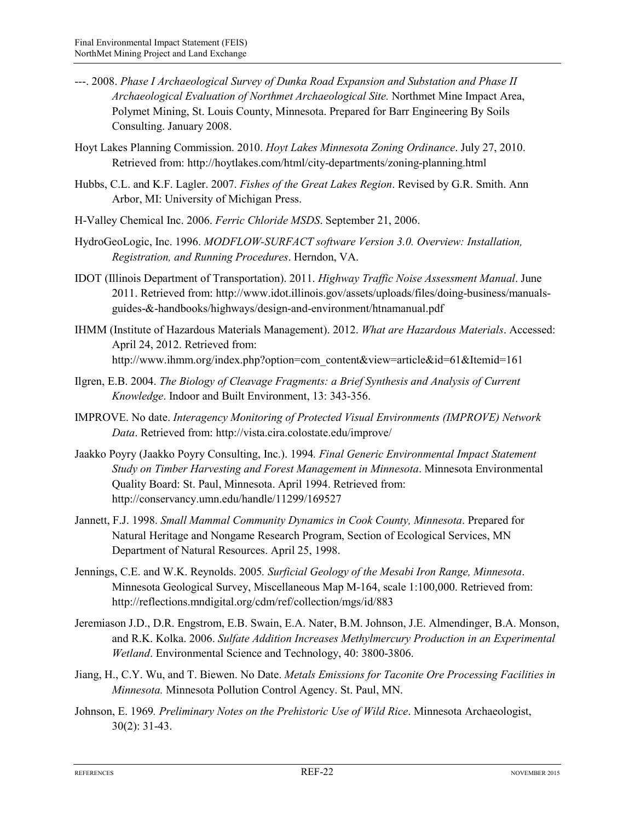- ---. 2008. *Phase I Archaeological Survey of Dunka Road Expansion and Substation and Phase II Archaeological Evaluation of Northmet Archaeological Site.* Northmet Mine Impact Area, Polymet Mining, St. Louis County, Minnesota. Prepared for Barr Engineering By Soils Consulting. January 2008.
- Hoyt Lakes Planning Commission. 2010. *Hoyt Lakes Minnesota Zoning Ordinance*. July 27, 2010. Retrieved from: http://hoytlakes.com/html/city-departments/zoning-planning.html
- Hubbs, C.L. and K.F. Lagler. 2007. *Fishes of the Great Lakes Region*. Revised by G.R. Smith. Ann Arbor, MI: University of Michigan Press.
- H-Valley Chemical Inc. 2006. *Ferric Chloride MSDS*. September 21, 2006.
- HydroGeoLogic, Inc. 1996. *MODFLOW-SURFACT software Version 3.0. Overview: Installation, Registration, and Running Procedures*. Herndon, VA.
- IDOT (Illinois Department of Transportation). 2011. *Highway Traffic Noise Assessment Manual*. June 2011. Retrieved from: http://www.idot.illinois.gov/assets/uploads/files/doing-business/manualsguides-&-handbooks/highways/design-and-environment/htnamanual.pdf
- IHMM (Institute of Hazardous Materials Management). 2012. *What are Hazardous Materials*. Accessed: April 24, 2012. Retrieved from: http://www.ihmm.org/index.php?option=com\_content&view=article&id=61&Itemid=161
- Ilgren, E.B. 2004. *The Biology of Cleavage Fragments: a Brief Synthesis and Analysis of Current Knowledge*. Indoor and Built Environment, 13: 343-356.
- IMPROVE. No date. *Interagency Monitoring of Protected Visual Environments (IMPROVE) Network Data*. Retrieved from: http://vista.cira.colostate.edu/improve/
- Jaakko Poyry (Jaakko Poyry Consulting, Inc.). 1994*. Final Generic Environmental Impact Statement Study on Timber Harvesting and Forest Management in Minnesota*. Minnesota Environmental Quality Board: St. Paul, Minnesota. April 1994. Retrieved from: http://conservancy.umn.edu/handle/11299/169527
- Jannett, F.J. 1998. *Small Mammal Community Dynamics in Cook County, Minnesota*. Prepared for Natural Heritage and Nongame Research Program, Section of Ecological Services, MN Department of Natural Resources. April 25, 1998.
- Jennings, C.E. and W.K. Reynolds. 2005*. Surficial Geology of the Mesabi Iron Range, Minnesota*. Minnesota Geological Survey, Miscellaneous Map M-164, scale 1:100,000. Retrieved from: http://reflections.mndigital.org/cdm/ref/collection/mgs/id/883
- Jeremiason J.D., D.R. Engstrom, E.B. Swain, E.A. Nater, B.M. Johnson, J.E. Almendinger, B.A. Monson, and R.K. Kolka. 2006. *Sulfate Addition Increases Methylmercury Production in an Experimental Wetland*. Environmental Science and Technology, 40: 3800-3806.
- Jiang, H., C.Y. Wu, and T. Biewen. No Date. *Metals Emissions for Taconite Ore Processing Facilities in Minnesota.* Minnesota Pollution Control Agency. St. Paul, MN.
- Johnson, E. 1969*. Preliminary Notes on the Prehistoric Use of Wild Rice*. Minnesota Archaeologist, 30(2): 31-43.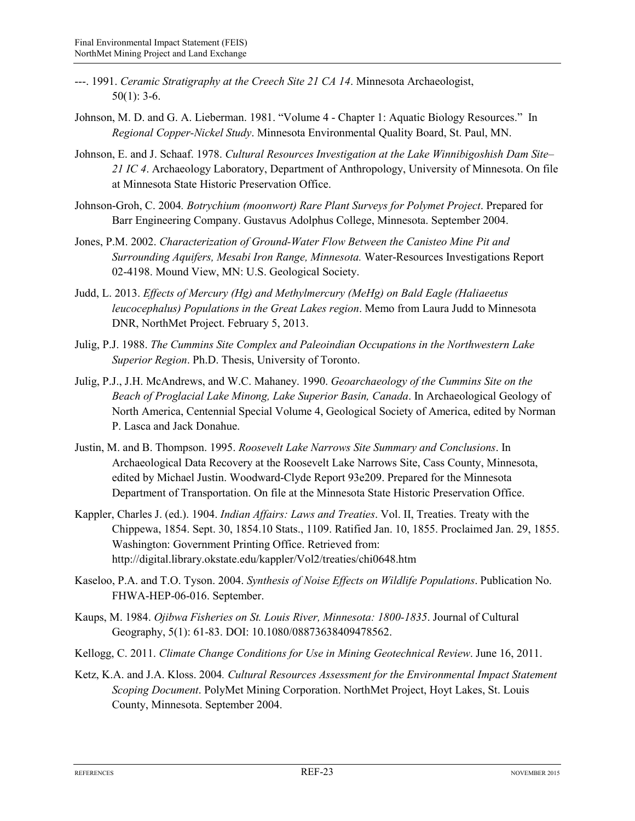- ---. 1991. *Ceramic Stratigraphy at the Creech Site 21 CA 14*. Minnesota Archaeologist,  $50(1)$ : 3-6.
- Johnson, M. D. and G. A. Lieberman. 1981. "Volume 4 Chapter 1: Aquatic Biology Resources." In *Regional Copper-Nickel Study*. Minnesota Environmental Quality Board, St. Paul, MN.
- Johnson, E. and J. Schaaf. 1978. *Cultural Resources Investigation at the Lake Winnibigoshish Dam Site– 21 IC 4*. Archaeology Laboratory, Department of Anthropology, University of Minnesota. On file at Minnesota State Historic Preservation Office.
- Johnson-Groh, C. 2004*. Botrychium (moonwort) Rare Plant Surveys for Polymet Project*. Prepared for Barr Engineering Company. Gustavus Adolphus College, Minnesota. September 2004.
- Jones, P.M. 2002. *Characterization of Ground-Water Flow Between the Canisteo Mine Pit and Surrounding Aquifers, Mesabi Iron Range, Minnesota.* Water-Resources Investigations Report 02-4198. Mound View, MN: U.S. Geological Society.
- Judd, L. 2013. *Effects of Mercury (Hg) and Methylmercury (MeHg) on Bald Eagle (Haliaeetus leucocephalus) Populations in the Great Lakes region*. Memo from Laura Judd to Minnesota DNR, NorthMet Project. February 5, 2013.
- Julig, P.J. 1988. *The Cummins Site Complex and Paleoindian Occupations in the Northwestern Lake Superior Region*. Ph.D. Thesis, University of Toronto.
- Julig, P.J., J.H. McAndrews, and W.C. Mahaney. 1990. *Geoarchaeology of the Cummins Site on the Beach of Proglacial Lake Minong, Lake Superior Basin, Canada*. In Archaeological Geology of North America, Centennial Special Volume 4, Geological Society of America, edited by Norman P. Lasca and Jack Donahue.
- Justin, M. and B. Thompson. 1995. *Roosevelt Lake Narrows Site Summary and Conclusions*. In Archaeological Data Recovery at the Roosevelt Lake Narrows Site, Cass County, Minnesota, edited by Michael Justin. Woodward-Clyde Report 93e209. Prepared for the Minnesota Department of Transportation. On file at the Minnesota State Historic Preservation Office.
- Kappler, Charles J. (ed.). 1904. *Indian Affairs: Laws and Treaties*. Vol. II, Treaties. Treaty with the Chippewa, 1854. Sept. 30, 1854.10 Stats., 1109. Ratified Jan. 10, 1855. Proclaimed Jan. 29, 1855. Washington: Government Printing Office. Retrieved from: http://digital.library.okstate.edu/kappler/Vol2/treaties/chi0648.htm
- Kaseloo, P.A. and T.O. Tyson. 2004. *Synthesis of Noise Effects on Wildlife Populations*. Publication No. FHWA-HEP-06-016. September.
- Kaups, M. 1984. *Ojibwa Fisheries on St. Louis River, Minnesota: 1800-1835*. Journal of Cultural Geography, 5(1): 61-83. DOI: 10.1080/08873638409478562.
- Kellogg, C. 2011. *Climate Change Conditions for Use in Mining Geotechnical Review*. June 16, 2011.
- Ketz, K.A. and J.A. Kloss. 2004*. Cultural Resources Assessment for the Environmental Impact Statement Scoping Document*. PolyMet Mining Corporation. NorthMet Project, Hoyt Lakes, St. Louis County, Minnesota. September 2004.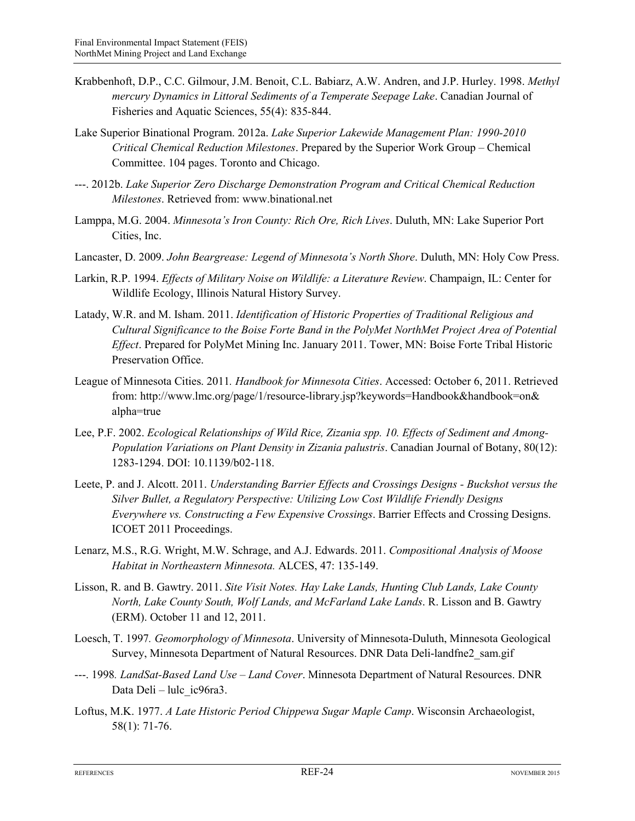- Krabbenhoft, D.P., C.C. Gilmour, J.M. Benoit, C.L. Babiarz, A.W. Andren, and J.P. Hurley. 1998. *Methyl mercury Dynamics in Littoral Sediments of a Temperate Seepage Lake*. Canadian Journal of Fisheries and Aquatic Sciences, 55(4): 835-844.
- Lake Superior Binational Program. 2012a. *Lake Superior Lakewide Management Plan: 1990-2010 Critical Chemical Reduction Milestones*. Prepared by the Superior Work Group – Chemical Committee. 104 pages. Toronto and Chicago.
- ---. 2012b. *Lake Superior Zero Discharge Demonstration Program and Critical Chemical Reduction Milestones*. Retrieved from: www.binational.net
- Lamppa, M.G. 2004. *Minnesota's Iron County: Rich Ore, Rich Lives*. Duluth, MN: Lake Superior Port Cities, Inc.
- Lancaster, D. 2009. *John Beargrease: Legend of Minnesota's North Shore*. Duluth, MN: Holy Cow Press.
- Larkin, R.P. 1994. *Effects of Military Noise on Wildlife: a Literature Review*. Champaign, IL: Center for Wildlife Ecology, Illinois Natural History Survey.
- Latady, W.R. and M. Isham. 2011. *Identification of Historic Properties of Traditional Religious and Cultural Significance to the Boise Forte Band in the PolyMet NorthMet Project Area of Potential Effect*. Prepared for PolyMet Mining Inc. January 2011. Tower, MN: Boise Forte Tribal Historic Preservation Office.
- League of Minnesota Cities. 2011*. Handbook for Minnesota Cities*. Accessed: October 6, 2011. Retrieved from: http://www.lmc.org/page/1/resource-library.jsp?keywords=Handbook&handbook=on& alpha=true
- Lee, P.F. 2002. *Ecological Relationships of Wild Rice, Zizania spp. 10. Effects of Sediment and Among-Population Variations on Plant Density in Zizania palustris*. Canadian Journal of Botany, 80(12): 1283-1294. DOI: 10.1139/b02-118.
- Leete, P. and J. Alcott. 2011. *Understanding Barrier Effects and Crossings Designs - Buckshot versus the Silver Bullet, a Regulatory Perspective: Utilizing Low Cost Wildlife Friendly Designs Everywhere vs. Constructing a Few Expensive Crossings*. Barrier Effects and Crossing Designs. ICOET 2011 Proceedings.
- Lenarz, M.S., R.G. Wright, M.W. Schrage, and A.J. Edwards. 2011. *Compositional Analysis of Moose Habitat in Northeastern Minnesota.* ALCES, 47: 135-149.
- Lisson, R. and B. Gawtry. 2011. *Site Visit Notes. Hay Lake Lands, Hunting Club Lands, Lake County North, Lake County South, Wolf Lands, and McFarland Lake Lands*. R. Lisson and B. Gawtry (ERM). October 11 and 12, 2011.
- Loesch, T. 1997*. Geomorphology of Minnesota*. University of Minnesota-Duluth, Minnesota Geological Survey, Minnesota Department of Natural Resources. DNR Data Deli-landfne2\_sam.gif
- ---. 1998*. LandSat-Based Land Use – Land Cover*. Minnesota Department of Natural Resources. DNR Data Deli – lulc ic96ra3.
- Loftus, M.K. 1977. *A Late Historic Period Chippewa Sugar Maple Camp*. Wisconsin Archaeologist, 58(1): 71-76.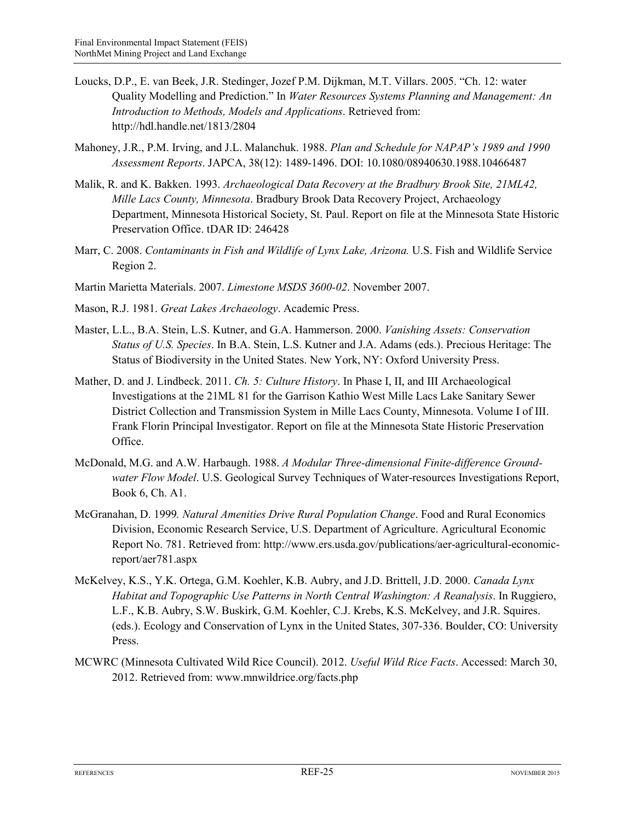- Loucks, D.P., E. van Beek, J.R. Stedinger, Jozef P.M. Dijkman, M.T. Villars. 2005. "Ch. 12: water Quality Modelling and Prediction." In *Water Resources Systems Planning and Management: An Introduction to Methods, Models and Applications*. Retrieved from: http://hdl.handle.net/1813/2804
- Mahoney, J.R., P.M. Irving, and J.L. Malanchuk. 1988. *Plan and Schedule for NAPAP's 1989 and 1990 Assessment Reports*. JAPCA, 38(12): 1489-1496. DOI: 10.1080/08940630.1988.10466487
- Malik, R. and K. Bakken. 1993. *Archaeological Data Recovery at the Bradbury Brook Site, 21ML42, Mille Lacs County, Minnesota*. Bradbury Brook Data Recovery Project, Archaeology Department, Minnesota Historical Society, St. Paul. Report on file at the Minnesota State Historic Preservation Office. tDAR ID: 246428
- Marr, C. 2008. *Contaminants in Fish and Wildlife of Lynx Lake, Arizona.* U.S. Fish and Wildlife Service Region 2.
- Martin Marietta Materials. 2007. *Limestone MSDS 3600-02*. November 2007.
- Mason, R.J. 1981. *Great Lakes Archaeology*. Academic Press.
- Master, L.L., B.A. Stein, L.S. Kutner, and G.A. Hammerson. 2000. *Vanishing Assets: Conservation Status of U.S. Species*. In B.A. Stein, L.S. Kutner and J.A. Adams (eds.). Precious Heritage: The Status of Biodiversity in the United States. New York, NY: Oxford University Press.
- Mather, D. and J. Lindbeck. 2011. *Ch. 5: Culture History*. In Phase I, II, and III Archaeological Investigations at the 21ML 81 for the Garrison Kathio West Mille Lacs Lake Sanitary Sewer District Collection and Transmission System in Mille Lacs County, Minnesota. Volume I of III. Frank Florin Principal Investigator. Report on file at the Minnesota State Historic Preservation Office.
- McDonald, M.G. and A.W. Harbaugh. 1988. *A Modular Three-dimensional Finite-difference Groundwater Flow Model*. U.S. Geological Survey Techniques of Water-resources Investigations Report, Book 6, Ch. A1.
- McGranahan, D. 1999*. Natural Amenities Drive Rural Population Change*. Food and Rural Economics Division, Economic Research Service, U.S. Department of Agriculture. Agricultural Economic Report No. 781. Retrieved from: http://www.ers.usda.gov/publications/aer-agricultural-economicreport/aer781.aspx
- McKelvey, K.S., Y.K. Ortega, G.M. Koehler, K.B. Aubry, and J.D. Brittell, J.D. 2000. *Canada Lynx Habitat and Topographic Use Patterns in North Central Washington: A Reanalysis*. In Ruggiero, L.F., K.B. Aubry, S.W. Buskirk, G.M. Koehler, C.J. Krebs, K.S. McKelvey, and J.R. Squires. (eds.). Ecology and Conservation of Lynx in the United States, 307-336. Boulder, CO: University Press.
- MCWRC (Minnesota Cultivated Wild Rice Council). 2012. *Useful Wild Rice Facts*. Accessed: March 30, 2012. Retrieved from: www.mnwildrice.org/facts.php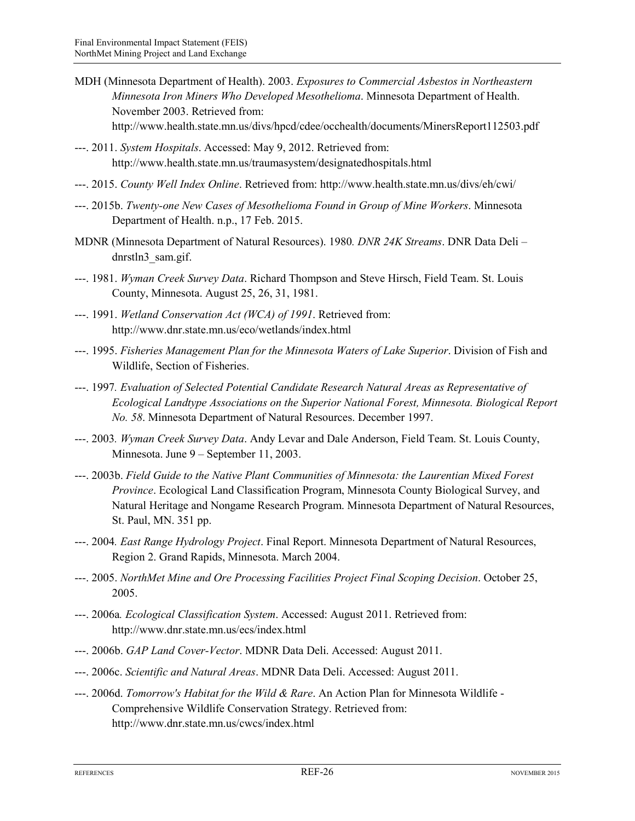- MDH (Minnesota Department of Health). 2003. *Exposures to Commercial Asbestos in Northeastern Minnesota Iron Miners Who Developed Mesothelioma*. Minnesota Department of Health. November 2003. Retrieved from: http://www.health.state.mn.us/divs/hpcd/cdee/occhealth/documents/MinersReport112503.pdf
- ---. 2011. *System Hospitals*. Accessed: May 9, 2012. Retrieved from: http://www.health.state.mn.us/traumasystem/designatedhospitals.html
- ---. 2015. *County Well Index Online*. Retrieved from: http://www.health.state.mn.us/divs/eh/cwi/
- ---. 2015b. *Twenty-one New Cases of Mesothelioma Found in Group of Mine Workers*. Minnesota Department of Health. n.p., 17 Feb. 2015.
- MDNR (Minnesota Department of Natural Resources). 1980*. DNR 24K Streams*. DNR Data Deli dnrstln3\_sam.gif.
- ---. 1981. *Wyman Creek Survey Data*. Richard Thompson and Steve Hirsch, Field Team. St. Louis County, Minnesota. August 25, 26, 31, 1981.
- ---. 1991. *Wetland Conservation Act (WCA) of 1991*. Retrieved from: http://www.dnr.state.mn.us/eco/wetlands/index.html
- ---. 1995. *Fisheries Management Plan for the Minnesota Waters of Lake Superior*. Division of Fish and Wildlife, Section of Fisheries.
- ---. 1997*. Evaluation of Selected Potential Candidate Research Natural Areas as Representative of Ecological Landtype Associations on the Superior National Forest, Minnesota. Biological Report No. 58*. Minnesota Department of Natural Resources. December 1997.
- ---. 2003*. Wyman Creek Survey Data*. Andy Levar and Dale Anderson, Field Team. St. Louis County, Minnesota. June 9 – September 11, 2003.
- ---. 2003b. *Field Guide to the Native Plant Communities of Minnesota: the Laurentian Mixed Forest Province*. Ecological Land Classification Program, Minnesota County Biological Survey, and Natural Heritage and Nongame Research Program. Minnesota Department of Natural Resources, St. Paul, MN. 351 pp.
- ---. 2004*. East Range Hydrology Project*. Final Report. Minnesota Department of Natural Resources, Region 2. Grand Rapids, Minnesota. March 2004.
- ---. 2005. *NorthMet Mine and Ore Processing Facilities Project Final Scoping Decision*. October 25, 2005.
- ---. 2006a*. Ecological Classification System*. Accessed: August 2011. Retrieved from: http://www.dnr.state.mn.us/ecs/index.html
- ---. 2006b. *GAP Land Cover-Vector*. MDNR Data Deli. Accessed: August 2011.
- ---. 2006c. *Scientific and Natural Areas*. MDNR Data Deli. Accessed: August 2011.
- ---. 2006d. *Tomorrow's Habitat for the Wild & Rare*. An Action Plan for Minnesota Wildlife Comprehensive Wildlife Conservation Strategy. Retrieved from: http://www.dnr.state.mn.us/cwcs/index.html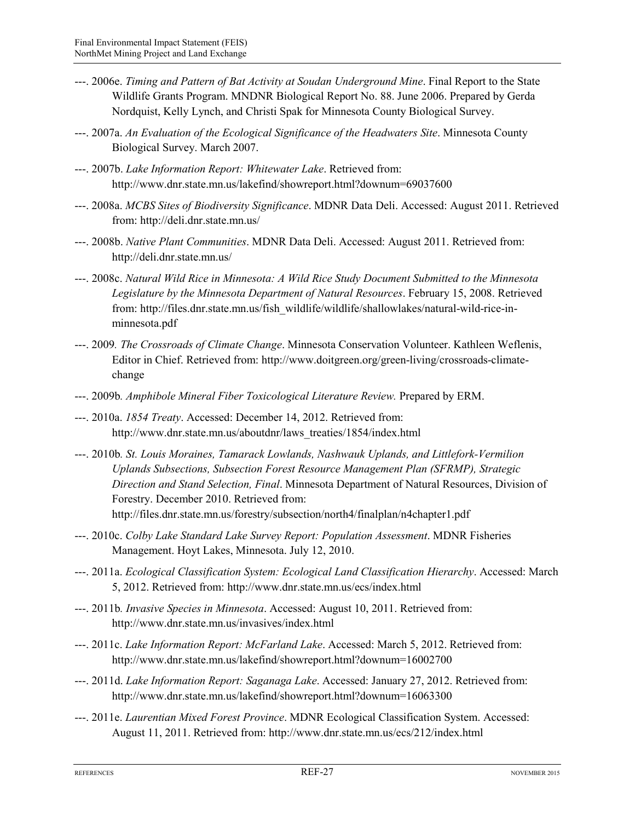- ---. 2006e. *Timing and Pattern of Bat Activity at Soudan Underground Mine*. Final Report to the State Wildlife Grants Program. MNDNR Biological Report No. 88. June 2006. Prepared by Gerda Nordquist, Kelly Lynch, and Christi Spak for Minnesota County Biological Survey.
- ---. 2007a. *An Evaluation of the Ecological Significance of the Headwaters Site*. Minnesota County Biological Survey. March 2007.
- ---. 2007b. *Lake Information Report: Whitewater Lake*. Retrieved from: http://www.dnr.state.mn.us/lakefind/showreport.html?downum=69037600
- ---. 2008a. *MCBS Sites of Biodiversity Significance*. MDNR Data Deli. Accessed: August 2011. Retrieved from: http://deli.dnr.state.mn.us/
- ---. 2008b. *Native Plant Communities*. MDNR Data Deli. Accessed: August 2011. Retrieved from: http://deli.dnr.state.mn.us/
- ---. 2008c. *Natural Wild Rice in Minnesota: A Wild Rice Study Document Submitted to the Minnesota Legislature by the Minnesota Department of Natural Resources*. February 15, 2008. Retrieved from: http://files.dnr.state.mn.us/fish\_wildlife/wildlife/shallowlakes/natural-wild-rice-inminnesota.pdf
- ---. 2009*. The Crossroads of Climate Change*. Minnesota Conservation Volunteer. Kathleen Weflenis, Editor in Chief. Retrieved from: http://www.doitgreen.org/green-living/crossroads-climatechange
- ---. 2009b*. Amphibole Mineral Fiber Toxicological Literature Review.* Prepared by ERM.
- ---. 2010a. *1854 Treaty*. Accessed: December 14, 2012. Retrieved from: http://www.dnr.state.mn.us/aboutdnr/laws\_treaties/1854/index.html
- ---. 2010b*. St. Louis Moraines, Tamarack Lowlands, Nashwauk Uplands, and Littlefork-Vermilion Uplands Subsections, Subsection Forest Resource Management Plan (SFRMP), Strategic Direction and Stand Selection, Final*. Minnesota Department of Natural Resources, Division of Forestry. December 2010. Retrieved from: http://files.dnr.state.mn.us/forestry/subsection/north4/finalplan/n4chapter1.pdf
- ---. 2010c. *Colby Lake Standard Lake Survey Report: Population Assessment*. MDNR Fisheries Management. Hoyt Lakes, Minnesota. July 12, 2010.
- ---. 2011a. *Ecological Classification System: Ecological Land Classification Hierarchy*. Accessed: March 5, 2012. Retrieved from: http://www.dnr.state.mn.us/ecs/index.html
- ---. 2011b*. Invasive Species in Minnesota*. Accessed: August 10, 2011. Retrieved from: http://www.dnr.state.mn.us/invasives/index.html
- ---. 2011c. *Lake Information Report: McFarland Lake*. Accessed: March 5, 2012. Retrieved from: http://www.dnr.state.mn.us/lakefind/showreport.html?downum=16002700
- ---. 2011d. *Lake Information Report: Saganaga Lake*. Accessed: January 27, 2012. Retrieved from: http://www.dnr.state.mn.us/lakefind/showreport.html?downum=16063300
- ---. 2011e. *Laurentian Mixed Forest Province*. MDNR Ecological Classification System. Accessed: August 11, 2011. Retrieved from: http://www.dnr.state.mn.us/ecs/212/index.html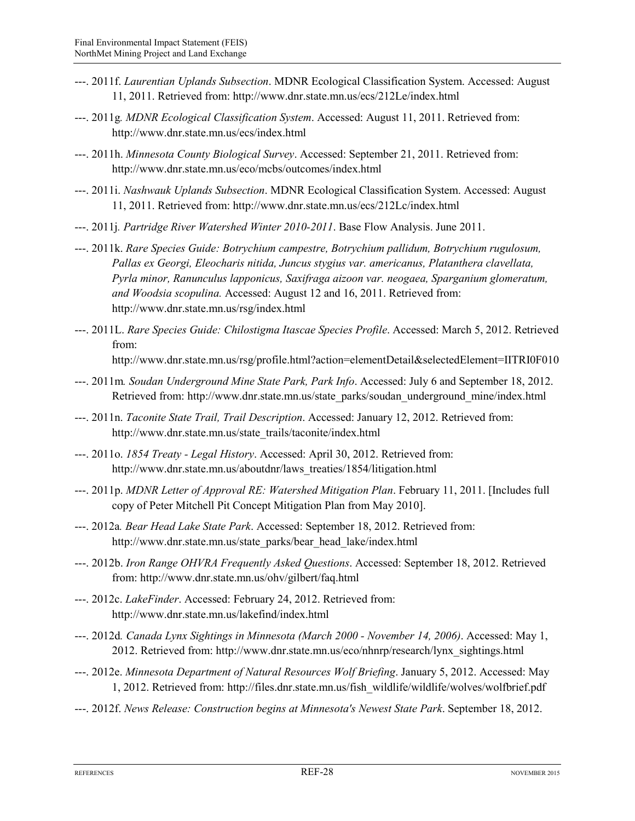- ---. 2011f. *Laurentian Uplands Subsection*. MDNR Ecological Classification System. Accessed: August 11, 2011. Retrieved from: http://www.dnr.state.mn.us/ecs/212Le/index.html
- ---. 2011g*. MDNR Ecological Classification System*. Accessed: August 11, 2011. Retrieved from: http://www.dnr.state.mn.us/ecs/index.html
- ---. 2011h. *Minnesota County Biological Survey*. Accessed: September 21, 2011. Retrieved from: http://www.dnr.state.mn.us/eco/mcbs/outcomes/index.html
- ---. 2011i. *Nashwauk Uplands Subsection*. MDNR Ecological Classification System. Accessed: August 11, 2011. Retrieved from: http://www.dnr.state.mn.us/ecs/212Lc/index.html
- ---. 2011j*. Partridge River Watershed Winter 2010-2011*. Base Flow Analysis. June 2011.
- ---. 2011k. *Rare Species Guide: Botrychium campestre, Botrychium pallidum, Botrychium rugulosum, Pallas ex Georgi, Eleocharis nitida, Juncus stygius var. americanus, Platanthera clavellata, Pyrla minor, Ranunculus lapponicus, Saxifraga aizoon var. neogaea, Sparganium glomeratum, and Woodsia scopulina.* Accessed: August 12 and 16, 2011. Retrieved from: http://www.dnr.state.mn.us/rsg/index.html
- ---. 2011L. *Rare Species Guide: Chilostigma Itascae Species Profile*. Accessed: March 5, 2012. Retrieved from:
	- http://www.dnr.state.mn.us/rsg/profile.html?action=elementDetail&selectedElement=IITRI0F010
- ---. 2011m*. Soudan Underground Mine State Park, Park Info*. Accessed: July 6 and September 18, 2012. Retrieved from: http://www.dnr.state.mn.us/state\_parks/soudan\_underground\_mine/index.html
- ---. 2011n. *Taconite State Trail, Trail Description*. Accessed: January 12, 2012. Retrieved from: http://www.dnr.state.mn.us/state\_trails/taconite/index.html
- ---. 2011o. *1854 Treaty - Legal History*. Accessed: April 30, 2012. Retrieved from: http://www.dnr.state.mn.us/aboutdnr/laws\_treaties/1854/litigation.html
- ---. 2011p. *MDNR Letter of Approval RE: Watershed Mitigation Plan*. February 11, 2011. [Includes full copy of Peter Mitchell Pit Concept Mitigation Plan from May 2010].
- ---. 2012a*. Bear Head Lake State Park*. Accessed: September 18, 2012. Retrieved from: http://www.dnr.state.mn.us/state\_parks/bear\_head\_lake/index.html
- ---. 2012b. *Iron Range OHVRA Frequently Asked Questions*. Accessed: September 18, 2012. Retrieved from: http://www.dnr.state.mn.us/ohv/gilbert/faq.html
- ---. 2012c. *LakeFinder*. Accessed: February 24, 2012. Retrieved from: http://www.dnr.state.mn.us/lakefind/index.html
- ---. 2012d*. Canada Lynx Sightings in Minnesota (March 2000 - November 14, 2006)*. Accessed: May 1, 2012. Retrieved from: http://www.dnr.state.mn.us/eco/nhnrp/research/lynx\_sightings.html
- ---. 2012e. *Minnesota Department of Natural Resources Wolf Briefing*. January 5, 2012. Accessed: May 1, 2012. Retrieved from: http://files.dnr.state.mn.us/fish\_wildlife/wildlife/wolves/wolfbrief.pdf
- ---. 2012f. *News Release: Construction begins at Minnesota's Newest State Park*. September 18, 2012.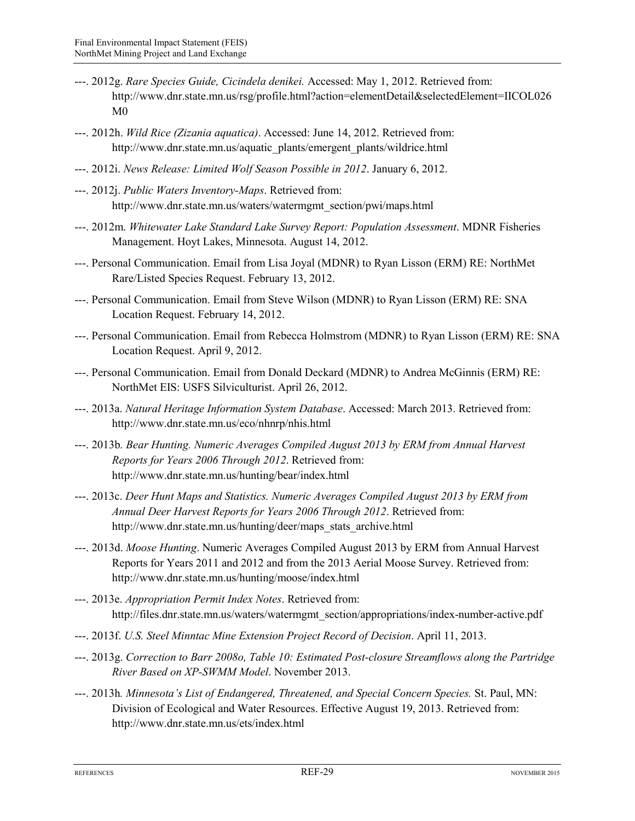- ---. 2012g. *Rare Species Guide, Cicindela denikei.* Accessed: May 1, 2012. Retrieved from: http://www.dnr.state.mn.us/rsg/profile.html?action=elementDetail&selectedElement=IICOL026  $M<sub>0</sub>$
- ---. 2012h. *Wild Rice (Zizania aquatica)*. Accessed: June 14, 2012. Retrieved from: http://www.dnr.state.mn.us/aquatic\_plants/emergent\_plants/wildrice.html
- ---. 2012i. *News Release: Limited Wolf Season Possible in 2012*. January 6, 2012.
- ---. 2012j. *Public Waters Inventory-Maps*. Retrieved from: http://www.dnr.state.mn.us/waters/watermgmt\_section/pwi/maps.html
- ---. 2012m. *Whitewater Lake Standard Lake Survey Report: Population Assessment*. MDNR Fisheries Management. Hoyt Lakes, Minnesota. August 14, 2012.
- ---. Personal Communication. Email from Lisa Joyal (MDNR) to Ryan Lisson (ERM) RE: NorthMet Rare/Listed Species Request. February 13, 2012.
- ---. Personal Communication. Email from Steve Wilson (MDNR) to Ryan Lisson (ERM) RE: SNA Location Request. February 14, 2012.
- ---. Personal Communication. Email from Rebecca Holmstrom (MDNR) to Ryan Lisson (ERM) RE: SNA Location Request. April 9, 2012.
- ---. Personal Communication. Email from Donald Deckard (MDNR) to Andrea McGinnis (ERM) RE: NorthMet EIS: USFS Silviculturist. April 26, 2012.
- ---. 2013a. *Natural Heritage Information System Database*. Accessed: March 2013. Retrieved from: http://www.dnr.state.mn.us/eco/nhnrp/nhis.html
- ---. 2013b*. Bear Hunting. Numeric Averages Compiled August 2013 by ERM from Annual Harvest Reports for Years 2006 Through 2012*. Retrieved from: http://www.dnr.state.mn.us/hunting/bear/index.html
- ---. 2013c. *Deer Hunt Maps and Statistics. Numeric Averages Compiled August 2013 by ERM from Annual Deer Harvest Reports for Years 2006 Through 2012*. Retrieved from: http://www.dnr.state.mn.us/hunting/deer/maps\_stats\_archive.html
- ---. 2013d. *Moose Hunting*. Numeric Averages Compiled August 2013 by ERM from Annual Harvest Reports for Years 2011 and 2012 and from the 2013 Aerial Moose Survey. Retrieved from: http://www.dnr.state.mn.us/hunting/moose/index.html
- ---. 2013e. *Appropriation Permit Index Notes*. Retrieved from: http://files.dnr.state.mn.us/waters/watermgmt\_section/appropriations/index-number-active.pdf
- ---. 2013f. *U.S. Steel Minntac Mine Extension Project Record of Decision*. April 11, 2013.
- ---. 2013g. *Correction to Barr 2008o, Table 10: Estimated Post-closure Streamflows along the Partridge River Based on XP-SWMM Model*. November 2013.
- ---. 2013h*. Minnesota's List of Endangered, Threatened, and Special Concern Species.* St. Paul, MN: Division of Ecological and Water Resources. Effective August 19, 2013. Retrieved from: http://www.dnr.state.mn.us/ets/index.html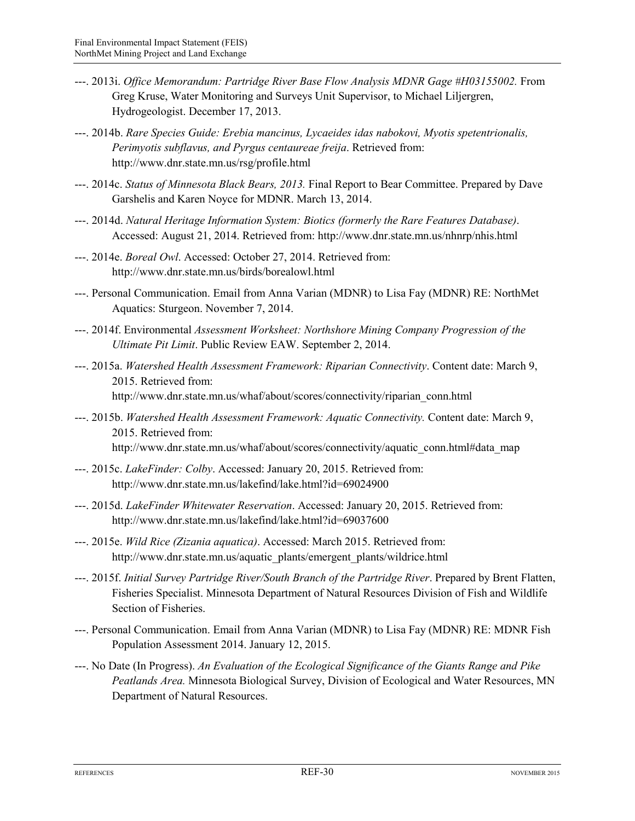- ---. 2013i. *Office Memorandum: Partridge River Base Flow Analysis MDNR Gage #H03155002.* From Greg Kruse, Water Monitoring and Surveys Unit Supervisor, to Michael Liljergren, Hydrogeologist. December 17, 2013.
- ---. 2014b. *Rare Species Guide: Erebia mancinus, Lycaeides idas nabokovi, Myotis spetentrionalis, Perimyotis subflavus, and Pyrgus centaureae freija*. Retrieved from: http://www.dnr.state.mn.us/rsg/profile.html
- ---. 2014c. *Status of Minnesota Black Bears, 2013.* Final Report to Bear Committee. Prepared by Dave Garshelis and Karen Noyce for MDNR. March 13, 2014.
- ---. 2014d. *Natural Heritage Information System: Biotics (formerly the Rare Features Database)*. Accessed: August 21, 2014. Retrieved from: http://www.dnr.state.mn.us/nhnrp/nhis.html
- ---. 2014e. *Boreal Owl*. Accessed: October 27, 2014. Retrieved from: http://www.dnr.state.mn.us/birds/borealowl.html
- ---. Personal Communication. Email from Anna Varian (MDNR) to Lisa Fay (MDNR) RE: NorthMet Aquatics: Sturgeon. November 7, 2014.
- ---. 2014f. Environmental *Assessment Worksheet: Northshore Mining Company Progression of the Ultimate Pit Limit*. Public Review EAW. September 2, 2014.
- ---. 2015a. *Watershed Health Assessment Framework: Riparian Connectivity*. Content date: March 9, 2015. Retrieved from: http://www.dnr.state.mn.us/whaf/about/scores/connectivity/riparian\_conn.html
- ---. 2015b. *Watershed Health Assessment Framework: Aquatic Connectivity.* Content date: March 9, 2015. Retrieved from: http://www.dnr.state.mn.us/whaf/about/scores/connectivity/aquatic\_conn.html#data\_map
- ---. 2015c. *LakeFinder: Colby*. Accessed: January 20, 2015. Retrieved from: http://www.dnr.state.mn.us/lakefind/lake.html?id=69024900
- ---. 2015d. *LakeFinder Whitewater Reservation*. Accessed: January 20, 2015. Retrieved from: http://www.dnr.state.mn.us/lakefind/lake.html?id=69037600
- ---. 2015e. *Wild Rice (Zizania aquatica)*. Accessed: March 2015. Retrieved from: http://www.dnr.state.mn.us/aquatic\_plants/emergent\_plants/wildrice.html
- ---. 2015f. *Initial Survey Partridge River/South Branch of the Partridge River*. Prepared by Brent Flatten, Fisheries Specialist. Minnesota Department of Natural Resources Division of Fish and Wildlife Section of Fisheries.
- ---. Personal Communication. Email from Anna Varian (MDNR) to Lisa Fay (MDNR) RE: MDNR Fish Population Assessment 2014. January 12, 2015.
- ---. No Date (In Progress). *An Evaluation of the Ecological Significance of the Giants Range and Pike Peatlands Area.* Minnesota Biological Survey, Division of Ecological and Water Resources, MN Department of Natural Resources.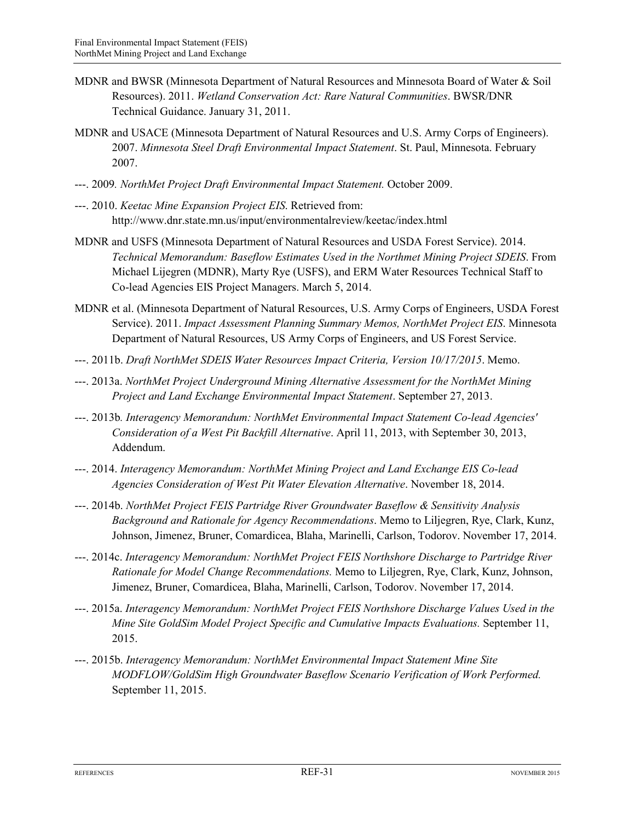- MDNR and BWSR (Minnesota Department of Natural Resources and Minnesota Board of Water & Soil Resources). 2011. *Wetland Conservation Act: Rare Natural Communities*. BWSR/DNR Technical Guidance. January 31, 2011.
- MDNR and USACE (Minnesota Department of Natural Resources and U.S. Army Corps of Engineers). 2007. *Minnesota Steel Draft Environmental Impact Statement*. St. Paul, Minnesota. February 2007.
- ---. 2009*. NorthMet Project Draft Environmental Impact Statement.* October 2009.
- ---. 2010. *Keetac Mine Expansion Project EIS*. Retrieved from: http://www.dnr.state.mn.us/input/environmentalreview/keetac/index.html
- MDNR and USFS (Minnesota Department of Natural Resources and USDA Forest Service). 2014. *Technical Memorandum: Baseflow Estimates Used in the Northmet Mining Project SDEIS*. From Michael Lijegren (MDNR), Marty Rye (USFS), and ERM Water Resources Technical Staff to Co-lead Agencies EIS Project Managers. March 5, 2014.
- MDNR et al. (Minnesota Department of Natural Resources, U.S. Army Corps of Engineers, USDA Forest Service). 2011. *Impact Assessment Planning Summary Memos, NorthMet Project EIS*. Minnesota Department of Natural Resources, US Army Corps of Engineers, and US Forest Service.
- ---. 2011b. *Draft NorthMet SDEIS Water Resources Impact Criteria, Version 10/17/2015*. Memo.
- ---. 2013a. *NorthMet Project Underground Mining Alternative Assessment for the NorthMet Mining Project and Land Exchange Environmental Impact Statement*. September 27, 2013.
- ---. 2013b*. Interagency Memorandum: NorthMet Environmental Impact Statement Co-lead Agencies' Consideration of a West Pit Backfill Alternative*. April 11, 2013, with September 30, 2013, Addendum.
- ---. 2014. *Interagency Memorandum: NorthMet Mining Project and Land Exchange EIS Co-lead Agencies Consideration of West Pit Water Elevation Alternative*. November 18, 2014.
- ---. 2014b. *NorthMet Project FEIS Partridge River Groundwater Baseflow & Sensitivity Analysis Background and Rationale for Agency Recommendations*. Memo to Liljegren, Rye, Clark, Kunz, Johnson, Jimenez, Bruner, Comardicea, Blaha, Marinelli, Carlson, Todorov. November 17, 2014.
- ---. 2014c. *Interagency Memorandum: NorthMet Project FEIS Northshore Discharge to Partridge River Rationale for Model Change Recommendations.* Memo to Liljegren, Rye, Clark, Kunz, Johnson, Jimenez, Bruner, Comardicea, Blaha, Marinelli, Carlson, Todorov. November 17, 2014.
- ---. 2015a. *Interagency Memorandum: NorthMet Project FEIS Northshore Discharge Values Used in the Mine Site GoldSim Model Project Specific and Cumulative Impacts Evaluations.* September 11, 2015.
- ---. 2015b. *Interagency Memorandum: NorthMet Environmental Impact Statement Mine Site MODFLOW/GoldSim High Groundwater Baseflow Scenario Verification of Work Performed.* September 11, 2015.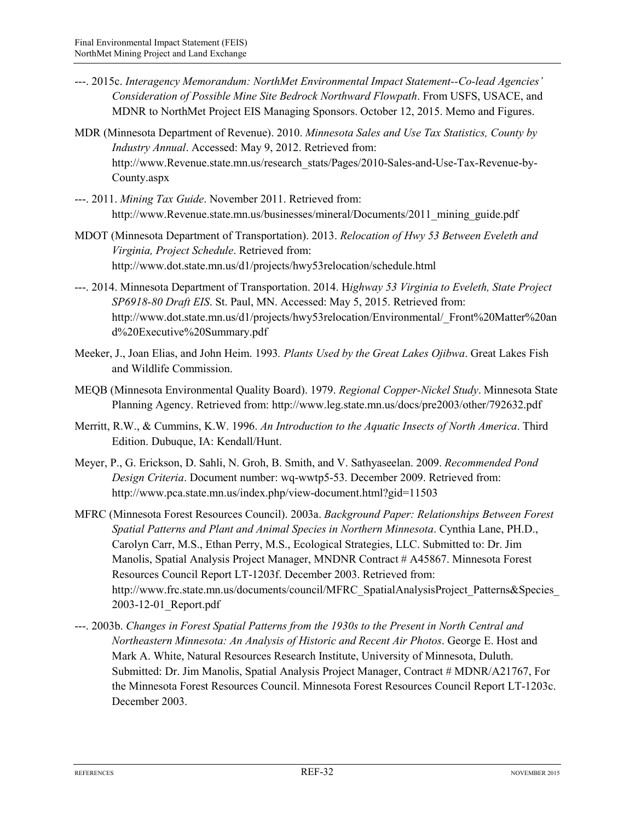- ---. 2015c. *Interagency Memorandum: NorthMet Environmental Impact Statement--Co-lead Agencies' Consideration of Possible Mine Site Bedrock Northward Flowpath*. From USFS, USACE, and MDNR to NorthMet Project EIS Managing Sponsors. October 12, 2015. Memo and Figures.
- MDR (Minnesota Department of Revenue). 2010. *Minnesota Sales and Use Tax Statistics, County by Industry Annual*. Accessed: May 9, 2012. Retrieved from: http://www.Revenue.state.mn.us/research\_stats/Pages/2010-Sales-and-Use-Tax-Revenue-by-County.aspx
- ---. 2011. *Mining Tax Guide*. November 2011. Retrieved from: http://www.Revenue.state.mn.us/businesses/mineral/Documents/2011 mining\_guide.pdf
- MDOT (Minnesota Department of Transportation). 2013. *Relocation of Hwy 53 Between Eveleth and Virginia, Project Schedule*. Retrieved from: http://www.dot.state.mn.us/d1/projects/hwy53relocation/schedule.html
- ---. 2014. Minnesota Department of Transportation. 2014. H*ighway 53 Virginia to Eveleth, State Project SP6918-80 Draft EIS*. St. Paul, MN. Accessed: May 5, 2015. Retrieved from: http://www.dot.state.mn.us/d1/projects/hwy53relocation/Environmental/\_Front%20Matter%20an d%20Executive%20Summary.pdf
- Meeker, J., Joan Elias, and John Heim. 1993*. Plants Used by the Great Lakes Ojibwa*. Great Lakes Fish and Wildlife Commission.
- MEQB (Minnesota Environmental Quality Board). 1979. *Regional Copper-Nickel Study*. Minnesota State Planning Agency. Retrieved from: http://www.leg.state.mn.us/docs/pre2003/other/792632.pdf
- Merritt, R.W., & Cummins, K.W. 1996. *An Introduction to the Aquatic Insects of North America*. Third Edition. Dubuque, IA: Kendall/Hunt.
- Meyer, P., G. Erickson, D. Sahli, N. Groh, B. Smith, and V. Sathyaseelan. 2009. *Recommended Pond Design Criteria*. Document number: wq-wwtp5-53. December 2009. Retrieved from: http://www.pca.state.mn.us/index.php/view-document.html?gid=11503
- MFRC (Minnesota Forest Resources Council). 2003a. *Background Paper: Relationships Between Forest Spatial Patterns and Plant and Animal Species in Northern Minnesota*. Cynthia Lane, PH.D., Carolyn Carr, M.S., Ethan Perry, M.S., Ecological Strategies, LLC. Submitted to: Dr. Jim Manolis, Spatial Analysis Project Manager, MNDNR Contract # A45867. Minnesota Forest Resources Council Report LT-1203f. December 2003. Retrieved from: http://www.frc.state.mn.us/documents/council/MFRC\_SpatialAnalysisProject\_Patterns&Species\_ 2003-12-01\_Report.pdf
- ---. 2003b. *Changes in Forest Spatial Patterns from the 1930s to the Present in North Central and Northeastern Minnesota: An Analysis of Historic and Recent Air Photos*. George E. Host and Mark A. White, Natural Resources Research Institute, University of Minnesota, Duluth. Submitted: Dr. Jim Manolis, Spatial Analysis Project Manager, Contract # MDNR/A21767, For the Minnesota Forest Resources Council. Minnesota Forest Resources Council Report LT-1203c. December 2003.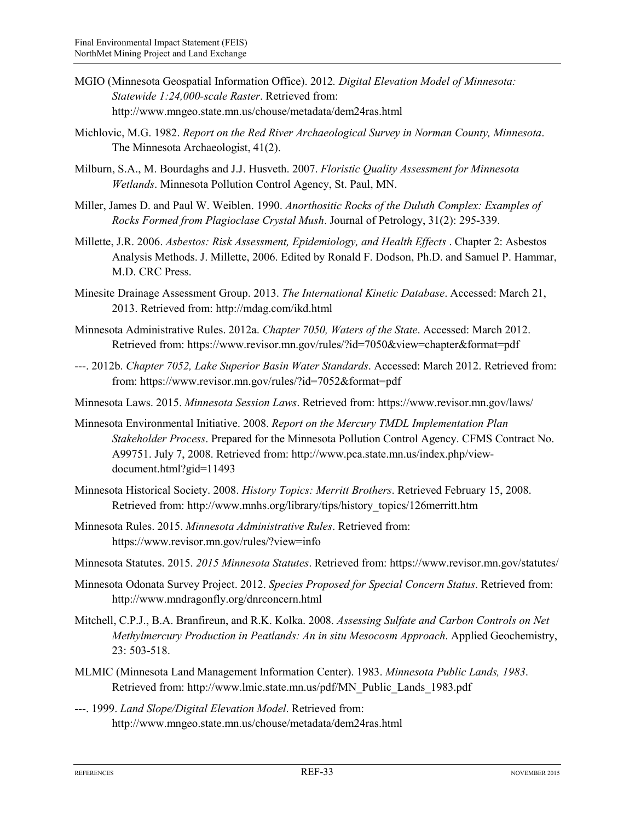- MGIO (Minnesota Geospatial Information Office). 2012*. Digital Elevation Model of Minnesota: Statewide 1:24,000-scale Raster*. Retrieved from: http://www.mngeo.state.mn.us/chouse/metadata/dem24ras.html
- Michlovic, M.G. 1982. *Report on the Red River Archaeological Survey in Norman County, Minnesota*. The Minnesota Archaeologist, 41(2).
- Milburn, S.A., M. Bourdaghs and J.J. Husveth. 2007. *Floristic Quality Assessment for Minnesota Wetlands*. Minnesota Pollution Control Agency, St. Paul, MN.
- Miller, James D. and Paul W. Weiblen. 1990. *Anorthositic Rocks of the Duluth Complex: Examples of Rocks Formed from Plagioclase Crystal Mush*. Journal of Petrology, 31(2): 295-339.
- Millette, J.R. 2006. *Asbestos: Risk Assessment, Epidemiology, and Health Effects* . Chapter 2: Asbestos Analysis Methods. J. Millette, 2006. Edited by Ronald F. Dodson, Ph.D. and Samuel P. Hammar, M.D. CRC Press.
- Minesite Drainage Assessment Group. 2013. *The International Kinetic Database*. Accessed: March 21, 2013. Retrieved from: http://mdag.com/ikd.html
- Minnesota Administrative Rules. 2012a. *Chapter 7050, Waters of the State*. Accessed: March 2012. Retrieved from: https://www.revisor.mn.gov/rules/?id=7050&view=chapter&format=pdf
- ---. 2012b. *Chapter 7052, Lake Superior Basin Water Standards*. Accessed: March 2012. Retrieved from: from: https://www.revisor.mn.gov/rules/?id=7052&format=pdf
- Minnesota Laws. 2015. *Minnesota Session Laws*. Retrieved from: https://www.revisor.mn.gov/laws/
- Minnesota Environmental Initiative. 2008. *Report on the Mercury TMDL Implementation Plan Stakeholder Process*. Prepared for the Minnesota Pollution Control Agency. CFMS Contract No. A99751. July 7, 2008. Retrieved from: http://www.pca.state.mn.us/index.php/viewdocument.html?gid=11493
- Minnesota Historical Society. 2008. *History Topics: Merritt Brothers*. Retrieved February 15, 2008. Retrieved from: http://www.mnhs.org/library/tips/history\_topics/126merritt.htm
- Minnesota Rules. 2015. *Minnesota Administrative Rules*. Retrieved from: https://www.revisor.mn.gov/rules/?view=info
- Minnesota Statutes. 2015. *2015 Minnesota Statutes*. Retrieved from: https://www.revisor.mn.gov/statutes/
- Minnesota Odonata Survey Project. 2012. *Species Proposed for Special Concern Status*. Retrieved from: http://www.mndragonfly.org/dnrconcern.html
- Mitchell, C.P.J., B.A. Branfireun, and R.K. Kolka. 2008. *Assessing Sulfate and Carbon Controls on Net Methylmercury Production in Peatlands: An in situ Mesocosm Approach*. Applied Geochemistry, 23: 503-518.
- MLMIC (Minnesota Land Management Information Center). 1983. *Minnesota Public Lands, 1983*. Retrieved from: http://www.lmic.state.mn.us/pdf/MN\_Public\_Lands\_1983.pdf
- ---. 1999. *Land Slope/Digital Elevation Model*. Retrieved from: http://www.mngeo.state.mn.us/chouse/metadata/dem24ras.html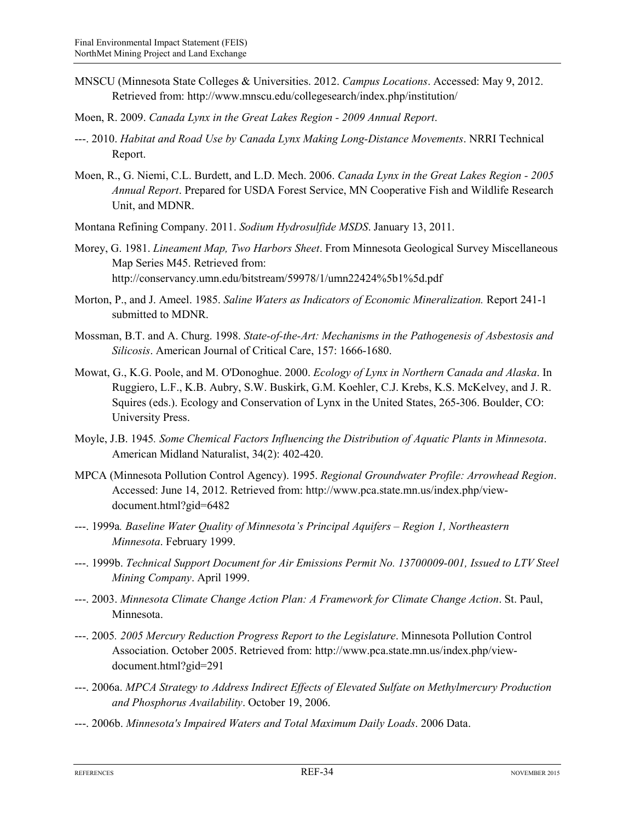- MNSCU (Minnesota State Colleges & Universities. 2012. *Campus Locations*. Accessed: May 9, 2012. Retrieved from: http://www.mnscu.edu/collegesearch/index.php/institution/
- Moen, R. 2009. *Canada Lynx in the Great Lakes Region - 2009 Annual Report*.
- ---. 2010. *Habitat and Road Use by Canada Lynx Making Long-Distance Movements*. NRRI Technical Report.
- Moen, R., G. Niemi, C.L. Burdett, and L.D. Mech. 2006. *Canada Lynx in the Great Lakes Region - 2005 Annual Report*. Prepared for USDA Forest Service, MN Cooperative Fish and Wildlife Research Unit, and MDNR.
- Montana Refining Company. 2011. *Sodium Hydrosulfide MSDS*. January 13, 2011.
- Morey, G. 1981. *Lineament Map, Two Harbors Sheet*. From Minnesota Geological Survey Miscellaneous Map Series M45. Retrieved from: http://conservancy.umn.edu/bitstream/59978/1/umn22424%5b1%5d.pdf
- Morton, P., and J. Ameel. 1985. *Saline Waters as Indicators of Economic Mineralization.* Report 241-1 submitted to MDNR.
- Mossman, B.T. and A. Churg. 1998. *State-of-the-Art: Mechanisms in the Pathogenesis of Asbestosis and Silicosis*. American Journal of Critical Care, 157: 1666-1680.
- Mowat, G., K.G. Poole, and M. O'Donoghue. 2000. *Ecology of Lynx in Northern Canada and Alaska*. In Ruggiero, L.F., K.B. Aubry, S.W. Buskirk, G.M. Koehler, C.J. Krebs, K.S. McKelvey, and J. R. Squires (eds.). Ecology and Conservation of Lynx in the United States, 265-306. Boulder, CO: University Press.
- Moyle, J.B. 1945*. Some Chemical Factors Influencing the Distribution of Aquatic Plants in Minnesota*. American Midland Naturalist, 34(2): 402-420.
- MPCA (Minnesota Pollution Control Agency). 1995. *Regional Groundwater Profile: Arrowhead Region*. Accessed: June 14, 2012. Retrieved from: http://www.pca.state.mn.us/index.php/viewdocument.html?gid=6482
- ---. 1999a*. Baseline Water Quality of Minnesota's Principal Aquifers – Region 1, Northeastern Minnesota*. February 1999.
- ---. 1999b. *Technical Support Document for Air Emissions Permit No. 13700009-001, Issued to LTV Steel Mining Company*. April 1999.
- ---. 2003. *Minnesota Climate Change Action Plan: A Framework for Climate Change Action*. St. Paul, Minnesota.
- ---. 2005*. 2005 Mercury Reduction Progress Report to the Legislature*. Minnesota Pollution Control Association. October 2005. Retrieved from: http://www.pca.state.mn.us/index.php/viewdocument.html?gid=291
- ---. 2006a. *MPCA Strategy to Address Indirect Effects of Elevated Sulfate on Methylmercury Production and Phosphorus Availability*. October 19, 2006.
- ---. 2006b. *Minnesota's Impaired Waters and Total Maximum Daily Loads*. 2006 Data.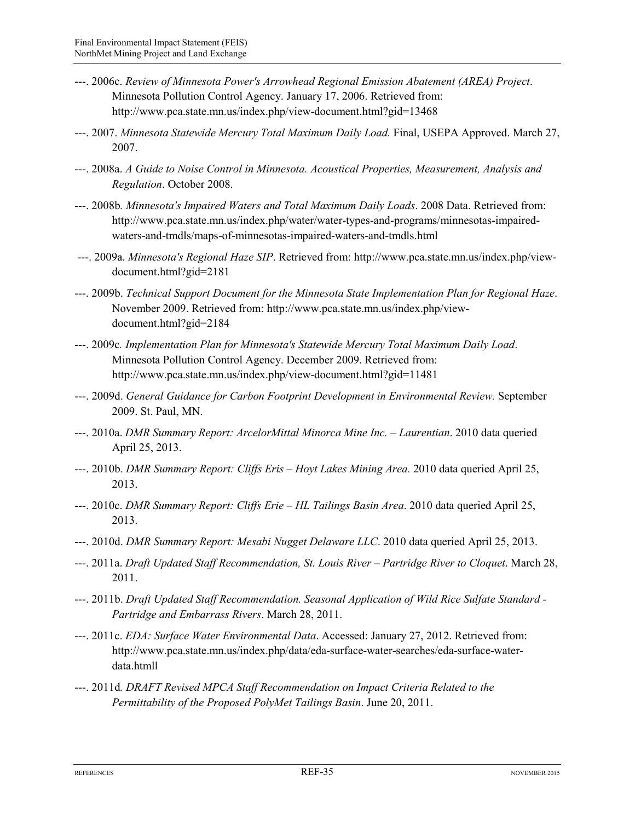- ---. 2006c. *Review of Minnesota Power's Arrowhead Regional Emission Abatement (AREA) Project*. Minnesota Pollution Control Agency. January 17, 2006. Retrieved from: http://www.pca.state.mn.us/index.php/view-document.html?gid=13468
- ---. 2007. *Minnesota Statewide Mercury Total Maximum Daily Load.* Final, USEPA Approved. March 27, 2007.
- ---. 2008a. *A Guide to Noise Control in Minnesota. Acoustical Properties, Measurement, Analysis and Regulation*. October 2008.
- ---. 2008b*. Minnesota's Impaired Waters and Total Maximum Daily Loads*. 2008 Data. Retrieved from: http://www.pca.state.mn.us/index.php/water/water-types-and-programs/minnesotas-impairedwaters-and-tmdls/maps-of-minnesotas-impaired-waters-and-tmdls.html
- ---. 2009a. *Minnesota's Regional Haze SIP*. Retrieved from: http://www.pca.state.mn.us/index.php/viewdocument.html?gid=2181
- ---. 2009b. *Technical Support Document for the Minnesota State Implementation Plan for Regional Haze*. November 2009. Retrieved from: http://www.pca.state.mn.us/index.php/viewdocument.html?gid=2184
- ---. 2009c*. Implementation Plan for Minnesota's Statewide Mercury Total Maximum Daily Load*. Minnesota Pollution Control Agency. December 2009. Retrieved from: http://www.pca.state.mn.us/index.php/view-document.html?gid=11481
- ---. 2009d. *General Guidance for Carbon Footprint Development in Environmental Review.* September 2009. St. Paul, MN.
- ---. 2010a. *DMR Summary Report: ArcelorMittal Minorca Mine Inc. – Laurentian*. 2010 data queried April 25, 2013.
- ---. 2010b. *DMR Summary Report: Cliffs Eris – Hoyt Lakes Mining Area.* 2010 data queried April 25, 2013.
- ---. 2010c. *DMR Summary Report: Cliffs Erie – HL Tailings Basin Area*. 2010 data queried April 25, 2013.
- ---. 2010d. *DMR Summary Report: Mesabi Nugget Delaware LLC*. 2010 data queried April 25, 2013.
- ---. 2011a. *Draft Updated Staff Recommendation, St. Louis River – Partridge River to Cloquet*. March 28, 2011.
- ---. 2011b. *Draft Updated Staff Recommendation. Seasonal Application of Wild Rice Sulfate Standard - Partridge and Embarrass Rivers*. March 28, 2011.
- ---. 2011c. *EDA: Surface Water Environmental Data*. Accessed: January 27, 2012. Retrieved from: http://www.pca.state.mn.us/index.php/data/eda-surface-water-searches/eda-surface-waterdata.htmll
- ---. 2011d*. DRAFT Revised MPCA Staff Recommendation on Impact Criteria Related to the Permittability of the Proposed PolyMet Tailings Basin*. June 20, 2011.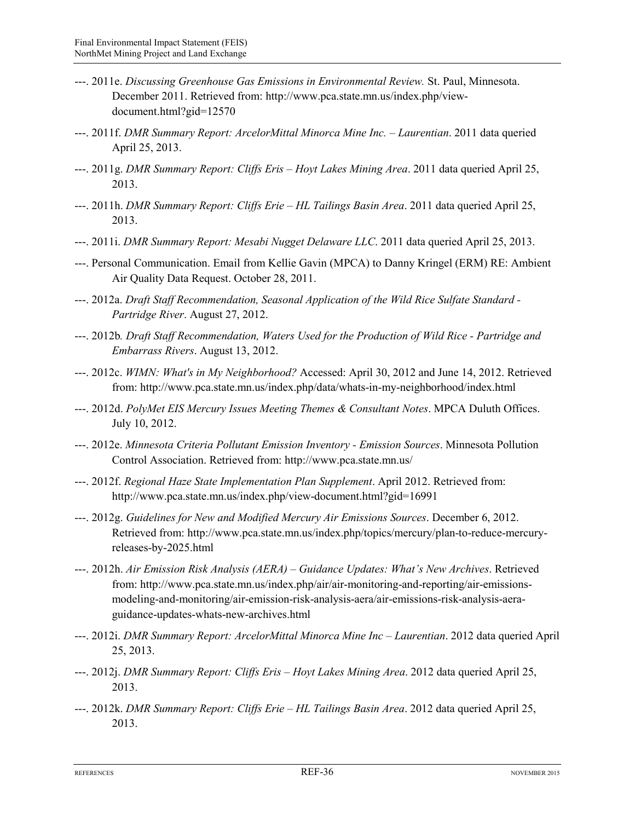- ---. 2011e. *Discussing Greenhouse Gas Emissions in Environmental Review.* St. Paul, Minnesota. December 2011. Retrieved from: http://www.pca.state.mn.us/index.php/viewdocument.html?gid=12570
- ---. 2011f. *DMR Summary Report: ArcelorMittal Minorca Mine Inc. – Laurentian*. 2011 data queried April 25, 2013.
- ---. 2011g. *DMR Summary Report: Cliffs Eris – Hoyt Lakes Mining Area*. 2011 data queried April 25, 2013.
- ---. 2011h. *DMR Summary Report: Cliffs Erie – HL Tailings Basin Area*. 2011 data queried April 25, 2013.
- ---. 2011i. *DMR Summary Report: Mesabi Nugget Delaware LLC*. 2011 data queried April 25, 2013.
- ---. Personal Communication. Email from Kellie Gavin (MPCA) to Danny Kringel (ERM) RE: Ambient Air Quality Data Request. October 28, 2011.
- ---. 2012a. *Draft Staff Recommendation, Seasonal Application of the Wild Rice Sulfate Standard - Partridge River*. August 27, 2012.
- ---. 2012b*. Draft Staff Recommendation, Waters Used for the Production of Wild Rice - Partridge and Embarrass Rivers*. August 13, 2012.
- ---. 2012c. *WIMN: What's in My Neighborhood?* Accessed: April 30, 2012 and June 14, 2012. Retrieved from: http://www.pca.state.mn.us/index.php/data/whats-in-my-neighborhood/index.html
- ---. 2012d. *PolyMet EIS Mercury Issues Meeting Themes & Consultant Notes*. MPCA Duluth Offices. July 10, 2012.
- ---. 2012e. *Minnesota Criteria Pollutant Emission Inventory - Emission Sources*. Minnesota Pollution Control Association. Retrieved from: http://www.pca.state.mn.us/
- ---. 2012f. *Regional Haze State Implementation Plan Supplement*. April 2012. Retrieved from: http://www.pca.state.mn.us/index.php/view-document.html?gid=16991
- ---. 2012g. *Guidelines for New and Modified Mercury Air Emissions Sources*. December 6, 2012. Retrieved from: http://www.pca.state.mn.us/index.php/topics/mercury/plan-to-reduce-mercuryreleases-by-2025.html
- ---. 2012h. *Air Emission Risk Analysis (AERA) – Guidance Updates: What's New Archives*. Retrieved from: http://www.pca.state.mn.us/index.php/air/air-monitoring-and-reporting/air-emissionsmodeling-and-monitoring/air-emission-risk-analysis-aera/air-emissions-risk-analysis-aeraguidance-updates-whats-new-archives.html
- ---. 2012i. *DMR Summary Report: ArcelorMittal Minorca Mine Inc – Laurentian*. 2012 data queried April 25, 2013.
- ---. 2012j. *DMR Summary Report: Cliffs Eris – Hoyt Lakes Mining Area*. 2012 data queried April 25, 2013.
- ---. 2012k. *DMR Summary Report: Cliffs Erie – HL Tailings Basin Area*. 2012 data queried April 25, 2013.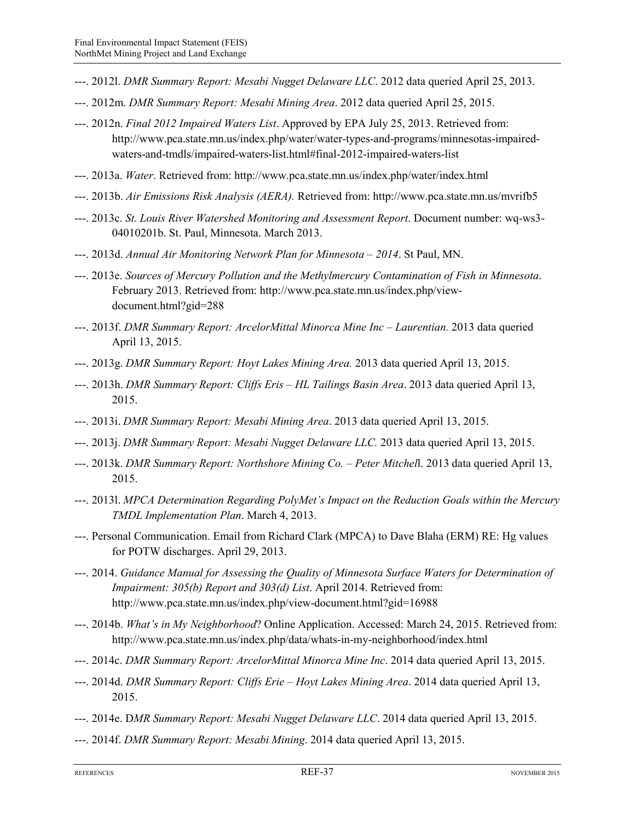- ---. 2012l. *DMR Summary Report: Mesabi Nugget Delaware LLC*. 2012 data queried April 25, 2013.
- ---. 2012m. *DMR Summary Report: Mesabi Mining Area*. 2012 data queried April 25, 2015.
- ---. 2012n. *Final 2012 Impaired Waters List*. Approved by EPA July 25, 2013. Retrieved from: http://www.pca.state.mn.us/index.php/water/water-types-and-programs/minnesotas-impairedwaters-and-tmdls/impaired-waters-list.html#final-2012-impaired-waters-list
- ---. 2013a. *Water*. Retrieved from: http://www.pca.state.mn.us/index.php/water/index.html
- ---. 2013b. *Air Emissions Risk Analysis (AERA).* Retrieved from: http://www.pca.state.mn.us/mvrifb5
- ---. 2013c. *St. Louis River Watershed Monitoring and Assessment Report*. Document number: wq-ws3- 04010201b. St. Paul, Minnesota. March 2013.
- ---. 2013d. *Annual Air Monitoring Network Plan for Minnesota – 2014*. St Paul, MN.
- ---. 2013e. *Sources of Mercury Pollution and the Methylmercury Contamination of Fish in Minnesota*. February 2013. Retrieved from: http://www.pca.state.mn.us/index.php/viewdocument.html?gid=288
- ---. 2013f. *DMR Summary Report: ArcelorMittal Minorca Mine Inc – Laurentian.* 2013 data queried April 13, 2015.
- ---. 2013g. *DMR Summary Report: Hoyt Lakes Mining Area.* 2013 data queried April 13, 2015.
- ---. 2013h. *DMR Summary Report: Cliffs Eris – HL Tailings Basin Area*. 2013 data queried April 13, 2015.
- ---. 2013i. *DMR Summary Report: Mesabi Mining Area*. 2013 data queried April 13, 2015.
- ---. 2013j. *DMR Summary Report: Mesabi Nugget Delaware LLC.* 2013 data queried April 13, 2015.
- ---. 2013k. *DMR Summary Report: Northshore Mining Co. – Peter Mitchel*l. 2013 data queried April 13, 2015.
- ---. 2013l. *MPCA Determination Regarding PolyMet's Impact on the Reduction Goals within the Mercury TMDL Implementation Plan*. March 4, 2013.
- ---. Personal Communication. Email from Richard Clark (MPCA) to Dave Blaha (ERM) RE: Hg values for POTW discharges. April 29, 2013.
- ---. 2014. *Guidance Manual for Assessing the Quality of Minnesota Surface Waters for Determination of Impairment: 305(b) Report and 303(d) List*. April 2014. Retrieved from: http://www.pca.state.mn.us/index.php/view-document.html?gid=16988
- ---. 2014b. *What's in My Neighborhood*? Online Application. Accessed: March 24, 2015. Retrieved from: http://www.pca.state.mn.us/index.php/data/whats-in-my-neighborhood/index.html
- ---. 2014c. *DMR Summary Report: ArcelorMittal Minorca Mine Inc*. 2014 data queried April 13, 2015.
- ---. 2014d. *DMR Summary Report: Cliffs Erie – Hoyt Lakes Mining Area*. 2014 data queried April 13, 2015.
- ---. 2014e. D*MR Summary Report: Mesabi Nugget Delaware LLC*. 2014 data queried April 13, 2015.
- ---. 2014f. *DMR Summary Report: Mesabi Mining*. 2014 data queried April 13, 2015.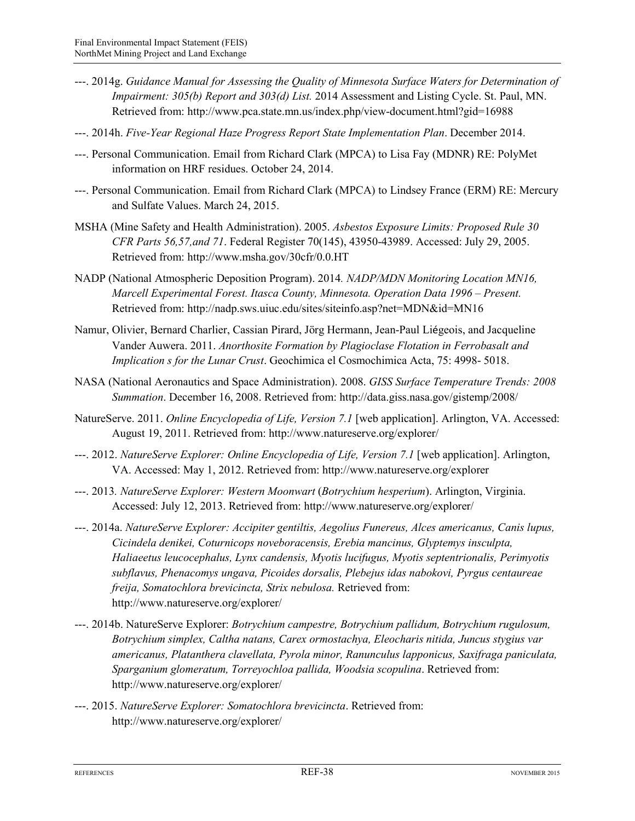- ---. 2014g. *Guidance Manual for Assessing the Quality of Minnesota Surface Waters for Determination of Impairment: 305(b) Report and 303(d) List.* 2014 Assessment and Listing Cycle. St. Paul, MN. Retrieved from: http://www.pca.state.mn.us/index.php/view-document.html?gid=16988
- ---. 2014h. *Five-Year Regional Haze Progress Report State Implementation Plan*. December 2014.
- ---. Personal Communication. Email from Richard Clark (MPCA) to Lisa Fay (MDNR) RE: PolyMet information on HRF residues. October 24, 2014.
- ---. Personal Communication. Email from Richard Clark (MPCA) to Lindsey France (ERM) RE: Mercury and Sulfate Values. March 24, 2015.
- MSHA (Mine Safety and Health Administration). 2005. *Asbestos Exposure Limits: Proposed Rule 30 CFR Parts 56,57,and 71*. Federal Register 70(145), 43950-43989. Accessed: July 29, 2005. Retrieved from: http://www.msha.gov/30cfr/0.0.HT
- NADP (National Atmospheric Deposition Program). 2014*. NADP/MDN Monitoring Location MN16, Marcell Experimental Forest. Itasca County, Minnesota. Operation Data 1996 – Present.* Retrieved from: http://nadp.sws.uiuc.edu/sites/siteinfo.asp?net=MDN&id=MN16
- Namur, Olivier, Bernard Charlier, Cassian Pirard, Jörg Hermann, Jean-Paul Liégeois, and Jacqueline Vander Auwera. 2011. *Anorthosite Formation by Plagioclase Flotation in Ferrobasalt and Implication s for the Lunar Crust*. Geochimica el Cosmochimica Acta, 75: 4998- 5018.
- NASA (National Aeronautics and Space Administration). 2008. *GISS Surface Temperature Trends: 2008 Summation*. December 16, 2008. Retrieved from: http://data.giss.nasa.gov/gistemp/2008/
- NatureServe. 2011. *Online Encyclopedia of Life, Version 7.1* [web application]. Arlington, VA. Accessed: August 19, 2011. Retrieved from: http://www.natureserve.org/explorer/
- ---. 2012. *NatureServe Explorer: Online Encyclopedia of Life, Version 7.1* [web application]. Arlington, VA. Accessed: May 1, 2012. Retrieved from: http://www.natureserve.org/explorer
- ---. 2013*. NatureServe Explorer: Western Moonwart* (*Botrychium hesperium*). Arlington, Virginia. Accessed: July 12, 2013. Retrieved from: http://www.natureserve.org/explorer/
- ---. 2014a. *NatureServe Explorer: Accipiter gentiltis, Aegolius Funereus, Alces americanus, Canis lupus, Cicindela denikei, Coturnicops noveboracensis, Erebia mancinus, Glyptemys insculpta, Haliaeetus leucocephalus, Lynx candensis, Myotis lucifugus, Myotis septentrionalis, Perimyotis subflavus, Phenacomys ungava, Picoides dorsalis, Plebejus idas nabokovi, Pyrgus centaureae freija, Somatochlora brevicincta, Strix nebulosa.* Retrieved from: http://www.natureserve.org/explorer/
- ---. 2014b. NatureServe Explorer: *Botrychium campestre, Botrychium pallidum, Botrychium rugulosum, Botrychium simplex, Caltha natans, Carex ormostachya, Eleocharis nitida, Juncus stygius var americanus, Platanthera clavellata, Pyrola minor, Ranunculus lapponicus, Saxifraga paniculata, Sparganium glomeratum, Torreyochloa pallida, Woodsia scopulina*. Retrieved from: http://www.natureserve.org/explorer/
- ---. 2015. *NatureServe Explorer: Somatochlora brevicincta*. Retrieved from: http://www.natureserve.org/explorer/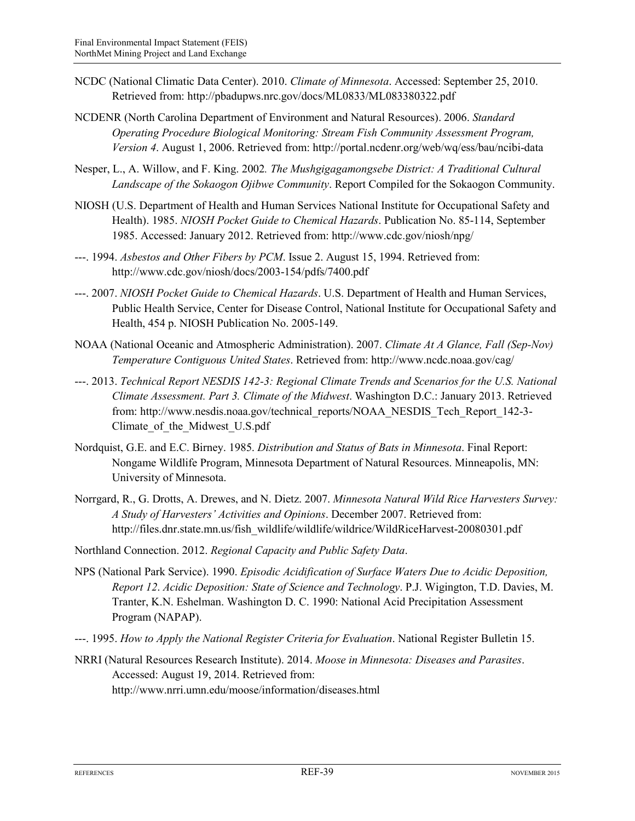- NCDC (National Climatic Data Center). 2010. *Climate of Minnesota*. Accessed: September 25, 2010. Retrieved from: http://pbadupws.nrc.gov/docs/ML0833/ML083380322.pdf
- NCDENR (North Carolina Department of Environment and Natural Resources). 2006. *Standard Operating Procedure Biological Monitoring: Stream Fish Community Assessment Program, Version 4*. August 1, 2006. Retrieved from: http://portal.ncdenr.org/web/wq/ess/bau/ncibi-data
- Nesper, L., A. Willow, and F. King. 2002*. The Mushgigagamongsebe District: A Traditional Cultural Landscape of the Sokaogon Ojibwe Community*. Report Compiled for the Sokaogon Community.
- NIOSH (U.S. Department of Health and Human Services National Institute for Occupational Safety and Health). 1985. *NIOSH Pocket Guide to Chemical Hazards*. Publication No. 85-114, September 1985. Accessed: January 2012. Retrieved from: http://www.cdc.gov/niosh/npg/
- ---. 1994. *Asbestos and Other Fibers by PCM*. Issue 2. August 15, 1994. Retrieved from: http://www.cdc.gov/niosh/docs/2003-154/pdfs/7400.pdf
- ---. 2007. *NIOSH Pocket Guide to Chemical Hazards*. U.S. Department of Health and Human Services, Public Health Service, Center for Disease Control, National Institute for Occupational Safety and Health, 454 p. NIOSH Publication No. 2005-149.
- NOAA (National Oceanic and Atmospheric Administration). 2007. *Climate At A Glance, Fall (Sep-Nov) Temperature Contiguous United States*. Retrieved from: http://www.ncdc.noaa.gov/cag/
- ---. 2013. *Technical Report NESDIS 142-3: Regional Climate Trends and Scenarios for the U.S. National Climate Assessment. Part 3. Climate of the Midwest*. Washington D.C.: January 2013. Retrieved from: http://www.nesdis.noaa.gov/technical\_reports/NOAA\_NESDIS\_Tech\_Report\_142-3- Climate of the Midwest U.S.pdf
- Nordquist, G.E. and E.C. Birney. 1985. *Distribution and Status of Bats in Minnesota*. Final Report: Nongame Wildlife Program, Minnesota Department of Natural Resources. Minneapolis, MN: University of Minnesota.
- Norrgard, R., G. Drotts, A. Drewes, and N. Dietz. 2007. *Minnesota Natural Wild Rice Harvesters Survey: A Study of Harvesters' Activities and Opinions*. December 2007. Retrieved from: http://files.dnr.state.mn.us/fish\_wildlife/wildlife/wildrice/WildRiceHarvest-20080301.pdf
- Northland Connection. 2012. *Regional Capacity and Public Safety Data*.
- NPS (National Park Service). 1990. *Episodic Acidification of Surface Waters Due to Acidic Deposition, Report 12*. *Acidic Deposition: State of Science and Technology*. P.J. Wigington, T.D. Davies, M. Tranter, K.N. Eshelman. Washington D. C. 1990: National Acid Precipitation Assessment Program (NAPAP).
- ---. 1995. *How to Apply the National Register Criteria for Evaluation*. National Register Bulletin 15.
- NRRI (Natural Resources Research Institute). 2014. *Moose in Minnesota: Diseases and Parasites*. Accessed: August 19, 2014. Retrieved from: http://www.nrri.umn.edu/moose/information/diseases.html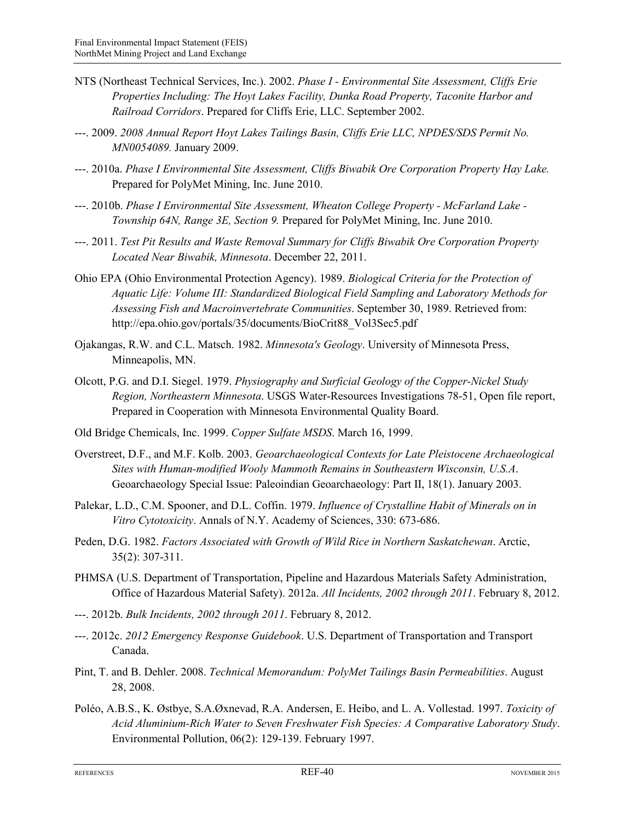- NTS (Northeast Technical Services, Inc.). 2002. *Phase I - Environmental Site Assessment, Cliffs Erie Properties Including: The Hoyt Lakes Facility, Dunka Road Property, Taconite Harbor and Railroad Corridors*. Prepared for Cliffs Erie, LLC. September 2002.
- ---. 2009. *2008 Annual Report Hoyt Lakes Tailings Basin, Cliffs Erie LLC, NPDES/SDS Permit No. MN0054089.* January 2009.
- ---. 2010a. *Phase I Environmental Site Assessment, Cliffs Biwabik Ore Corporation Property Hay Lake.* Prepared for PolyMet Mining, Inc. June 2010.
- ---. 2010b. *Phase I Environmental Site Assessment, Wheaton College Property - McFarland Lake - Township 64N, Range 3E, Section 9.* Prepared for PolyMet Mining, Inc. June 2010.
- ---. 2011. *Test Pit Results and Waste Removal Summary for Cliffs Biwabik Ore Corporation Property Located Near Biwabik, Minnesota*. December 22, 2011.
- Ohio EPA (Ohio Environmental Protection Agency). 1989. *Biological Criteria for the Protection of Aquatic Life: Volume III: Standardized Biological Field Sampling and Laboratory Methods for Assessing Fish and Macroinvertebrate Communities*. September 30, 1989. Retrieved from: http://epa.ohio.gov/portals/35/documents/BioCrit88\_Vol3Sec5.pdf
- Ojakangas, R.W. and C.L. Matsch. 1982. *Minnesota's Geology*. University of Minnesota Press, Minneapolis, MN.
- Olcott, P.G. and D.I. Siegel. 1979. *Physiography and Surficial Geology of the Copper-Nickel Study Region, Northeastern Minnesota*. USGS Water-Resources Investigations 78-51, Open file report, Prepared in Cooperation with Minnesota Environmental Quality Board.
- Old Bridge Chemicals, Inc. 1999. *Copper Sulfate MSDS*. March 16, 1999.
- Overstreet, D.F., and M.F. Kolb. 2003. *Geoarchaeological Contexts for Late Pleistocene Archaeological Sites with Human-modified Wooly Mammoth Remains in Southeastern Wisconsin, U.S.A*. Geoarchaeology Special Issue: Paleoindian Geoarchaeology: Part II, 18(1). January 2003.
- Palekar, L.D., C.M. Spooner, and D.L. Coffin. 1979. *Influence of Crystalline Habit of Minerals on in Vitro Cytotoxicity*. Annals of N.Y. Academy of Sciences, 330: 673-686.
- Peden, D.G. 1982. *Factors Associated with Growth of Wild Rice in Northern Saskatchewan*. Arctic, 35(2): 307-311.
- PHMSA (U.S. Department of Transportation, Pipeline and Hazardous Materials Safety Administration, Office of Hazardous Material Safety). 2012a. *All Incidents, 2002 through 2011*. February 8, 2012.
- ---. 2012b. *Bulk Incidents, 2002 through 2011*. February 8, 2012.
- ---. 2012c. *2012 Emergency Response Guidebook*. U.S. Department of Transportation and Transport Canada.
- Pint, T. and B. Dehler. 2008. *Technical Memorandum: PolyMet Tailings Basin Permeabilities*. August 28, 2008.
- Poléo, A.B.S., K. Østbye, S.A.Øxnevad, R.A. Andersen, E. Heibo, and L. A. Vollestad. 1997. *Toxicity of Acid Aluminium-Rich Water to Seven Freshwater Fish Species: A Comparative Laboratory Study*. Environmental Pollution, 06(2): 129-139. February 1997.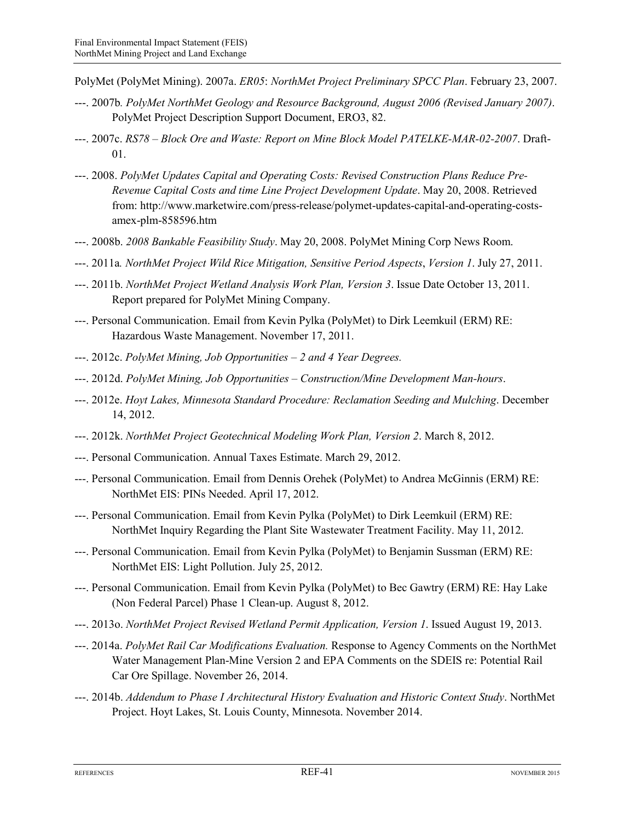- PolyMet (PolyMet Mining). 2007a. *ER05*: *NorthMet Project Preliminary SPCC Plan*. February 23, 2007.
- ---. 2007b*. PolyMet NorthMet Geology and Resource Background, August 2006 (Revised January 2007)*. PolyMet Project Description Support Document, ERO3, 82.
- ---. 2007c. *RS78 – Block Ore and Waste: Report on Mine Block Model PATELKE-MAR-02-2007*. Draft-01.
- ---. 2008. *PolyMet Updates Capital and Operating Costs: Revised Construction Plans Reduce Pre-Revenue Capital Costs and time Line Project Development Update*. May 20, 2008. Retrieved from: http://www.marketwire.com/press-release/polymet-updates-capital-and-operating-costsamex-plm-858596.htm
- ---. 2008b. *2008 Bankable Feasibility Study*. May 20, 2008. PolyMet Mining Corp News Room.
- ---. 2011a*. NorthMet Project Wild Rice Mitigation, Sensitive Period Aspects*, *Version 1*. July 27, 2011.
- ---. 2011b. *NorthMet Project Wetland Analysis Work Plan, Version 3*. Issue Date October 13, 2011. Report prepared for PolyMet Mining Company.
- ---. Personal Communication. Email from Kevin Pylka (PolyMet) to Dirk Leemkuil (ERM) RE: Hazardous Waste Management. November 17, 2011.
- ---. 2012c. *PolyMet Mining, Job Opportunities – 2 and 4 Year Degrees.*
- ---. 2012d. *PolyMet Mining, Job Opportunities – Construction/Mine Development Man-hours*.
- ---. 2012e. *Hoyt Lakes, Minnesota Standard Procedure: Reclamation Seeding and Mulching*. December 14, 2012.
- ---. 2012k. *NorthMet Project Geotechnical Modeling Work Plan, Version 2*. March 8, 2012.
- ---. Personal Communication. Annual Taxes Estimate. March 29, 2012.
- ---. Personal Communication. Email from Dennis Orehek (PolyMet) to Andrea McGinnis (ERM) RE: NorthMet EIS: PINs Needed. April 17, 2012.
- ---. Personal Communication. Email from Kevin Pylka (PolyMet) to Dirk Leemkuil (ERM) RE: NorthMet Inquiry Regarding the Plant Site Wastewater Treatment Facility. May 11, 2012.
- ---. Personal Communication. Email from Kevin Pylka (PolyMet) to Benjamin Sussman (ERM) RE: NorthMet EIS: Light Pollution. July 25, 2012.
- ---. Personal Communication. Email from Kevin Pylka (PolyMet) to Bec Gawtry (ERM) RE: Hay Lake (Non Federal Parcel) Phase 1 Clean-up. August 8, 2012.
- ---. 2013o. *NorthMet Project Revised Wetland Permit Application, Version 1*. Issued August 19, 2013.
- ---. 2014a. *PolyMet Rail Car Modifications Evaluation.* Response to Agency Comments on the NorthMet Water Management Plan-Mine Version 2 and EPA Comments on the SDEIS re: Potential Rail Car Ore Spillage. November 26, 2014.
- ---. 2014b. *Addendum to Phase I Architectural History Evaluation and Historic Context Study*. NorthMet Project. Hoyt Lakes, St. Louis County, Minnesota. November 2014.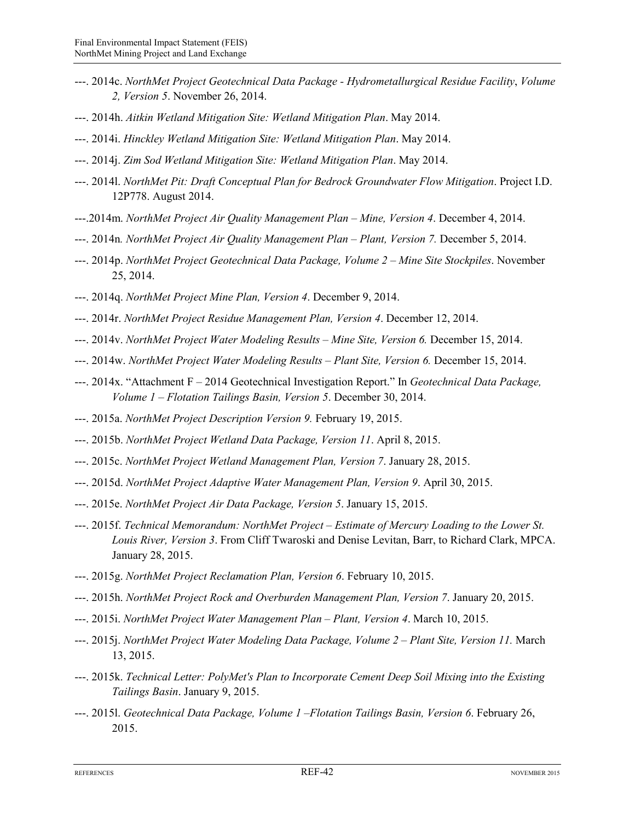- ---. 2014c. *NorthMet Project Geotechnical Data Package - Hydrometallurgical Residue Facility*, *Volume 2, Version 5*. November 26, 2014.
- ---. 2014h. *Aitkin Wetland Mitigation Site: Wetland Mitigation Plan*. May 2014.
- ---. 2014i. *Hinckley Wetland Mitigation Site: Wetland Mitigation Plan*. May 2014.
- ---. 2014j. *Zim Sod Wetland Mitigation Site: Wetland Mitigation Plan*. May 2014.
- ---. 2014l. *NorthMet Pit: Draft Conceptual Plan for Bedrock Groundwater Flow Mitigation*. Project I.D. 12P778. August 2014.
- ---.2014m. *NorthMet Project Air Quality Management Plan – Mine, Version 4*. December 4, 2014.
- ---. 2014n*. NorthMet Project Air Quality Management Plan – Plant, Version 7.* December 5, 2014.
- ---. 2014p. *NorthMet Project Geotechnical Data Package, Volume 2 – Mine Site Stockpiles*. November 25, 2014.
- ---. 2014q. *NorthMet Project Mine Plan, Version 4*. December 9, 2014.
- ---. 2014r. *NorthMet Project Residue Management Plan, Version 4*. December 12, 2014.
- ---. 2014v. *NorthMet Project Water Modeling Results – Mine Site, Version 6.* December 15, 2014.
- ---. 2014w. *NorthMet Project Water Modeling Results – Plant Site, Version 6.* December 15, 2014.
- ---. 2014x. "Attachment F 2014 Geotechnical Investigation Report." In *Geotechnical Data Package, Volume 1 – Flotation Tailings Basin, Version 5*. December 30, 2014.
- ---. 2015a. *NorthMet Project Description Version 9.* February 19, 2015.
- ---. 2015b. *NorthMet Project Wetland Data Package, Version 11*. April 8, 2015.
- ---. 2015c. *NorthMet Project Wetland Management Plan, Version 7*. January 28, 2015.
- ---. 2015d. *NorthMet Project Adaptive Water Management Plan, Version 9*. April 30, 2015.
- ---. 2015e. *NorthMet Project Air Data Package, Version 5*. January 15, 2015.
- ---. 2015f. *Technical Memorandum: NorthMet Project – Estimate of Mercury Loading to the Lower St. Louis River, Version 3*. From Cliff Twaroski and Denise Levitan, Barr, to Richard Clark, MPCA. January 28, 2015.
- ---. 2015g. *NorthMet Project Reclamation Plan, Version 6*. February 10, 2015.
- ---. 2015h. *NorthMet Project Rock and Overburden Management Plan, Version 7*. January 20, 2015.
- ---. 2015i. *NorthMet Project Water Management Plan – Plant, Version 4*. March 10, 2015.
- ---. 2015j. *NorthMet Project Water Modeling Data Package, Volume 2 – Plant Site, Version 11.* March 13, 2015.
- ---. 2015k. *Technical Letter: PolyMet's Plan to Incorporate Cement Deep Soil Mixing into the Existing Tailings Basin*. January 9, 2015.
- ---. 2015l. *Geotechnical Data Package, Volume 1 –Flotation Tailings Basin, Version 6*. February 26, 2015.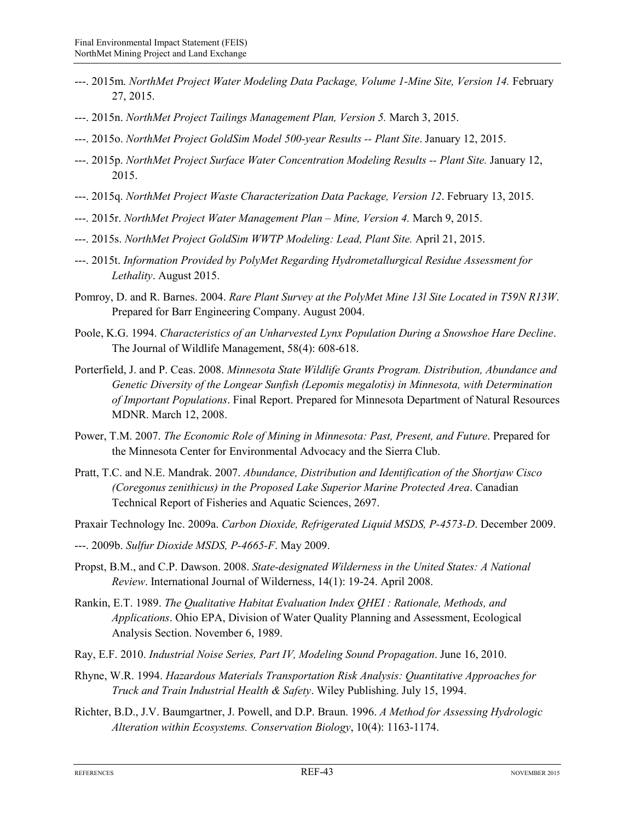- ---. 2015m. *NorthMet Project Water Modeling Data Package, Volume 1-Mine Site, Version 14.* February 27, 2015.
- ---. 2015n. *NorthMet Project Tailings Management Plan, Version 5.* March 3, 2015.
- ---. 2015o. *NorthMet Project GoldSim Model 500-year Results -- Plant Site*. January 12, 2015.
- ---. 2015p. *NorthMet Project Surface Water Concentration Modeling Results -- Plant Site.* January 12, 2015.
- ---. 2015q. *NorthMet Project Waste Characterization Data Package, Version 12*. February 13, 2015.
- ---. 2015r. *NorthMet Project Water Management Plan – Mine, Version 4.* March 9, 2015.
- ---. 2015s. *NorthMet Project GoldSim WWTP Modeling: Lead, Plant Site.* April 21, 2015.
- ---. 2015t. *Information Provided by PolyMet Regarding Hydrometallurgical Residue Assessment for Lethality*. August 2015.
- Pomroy, D. and R. Barnes. 2004. *Rare Plant Survey at the PolyMet Mine 13l Site Located in T59N R13W*. Prepared for Barr Engineering Company. August 2004.
- Poole, K.G. 1994. *Characteristics of an Unharvested Lynx Population During a Snowshoe Hare Decline*. The Journal of Wildlife Management, 58(4): 608-618.
- Porterfield, J. and P. Ceas. 2008. *Minnesota State Wildlife Grants Program. Distribution, Abundance and Genetic Diversity of the Longear Sunfish (Lepomis megalotis) in Minnesota, with Determination of Important Populations*. Final Report. Prepared for Minnesota Department of Natural Resources MDNR. March 12, 2008.
- Power, T.M. 2007. *The Economic Role of Mining in Minnesota: Past, Present, and Future*. Prepared for the Minnesota Center for Environmental Advocacy and the Sierra Club.
- Pratt, T.C. and N.E. Mandrak. 2007. *Abundance, Distribution and Identification of the Shortjaw Cisco (Coregonus zenithicus) in the Proposed Lake Superior Marine Protected Area*. Canadian Technical Report of Fisheries and Aquatic Sciences, 2697.
- Praxair Technology Inc. 2009a. *Carbon Dioxide, Refrigerated Liquid MSDS, P-4573-D*. December 2009.
- ---. 2009b. *Sulfur Dioxide MSDS, P-4665-F*. May 2009.
- Propst, B.M., and C.P. Dawson. 2008. *State-designated Wilderness in the United States: A National Review*. International Journal of Wilderness, 14(1): 19-24. April 2008.
- Rankin, E.T. 1989. *The Qualitative Habitat Evaluation Index QHEI : Rationale, Methods, and Applications*. Ohio EPA, Division of Water Quality Planning and Assessment, Ecological Analysis Section. November 6, 1989.
- Ray, E.F. 2010. *Industrial Noise Series, Part IV, Modeling Sound Propagation*. June 16, 2010.
- Rhyne, W.R. 1994. *Hazardous Materials Transportation Risk Analysis: Quantitative Approaches for Truck and Train Industrial Health & Safety*. Wiley Publishing. July 15, 1994.
- Richter, B.D., J.V. Baumgartner, J. Powell, and D.P. Braun. 1996. *A Method for Assessing Hydrologic Alteration within Ecosystems. Conservation Biology*, 10(4): 1163-1174.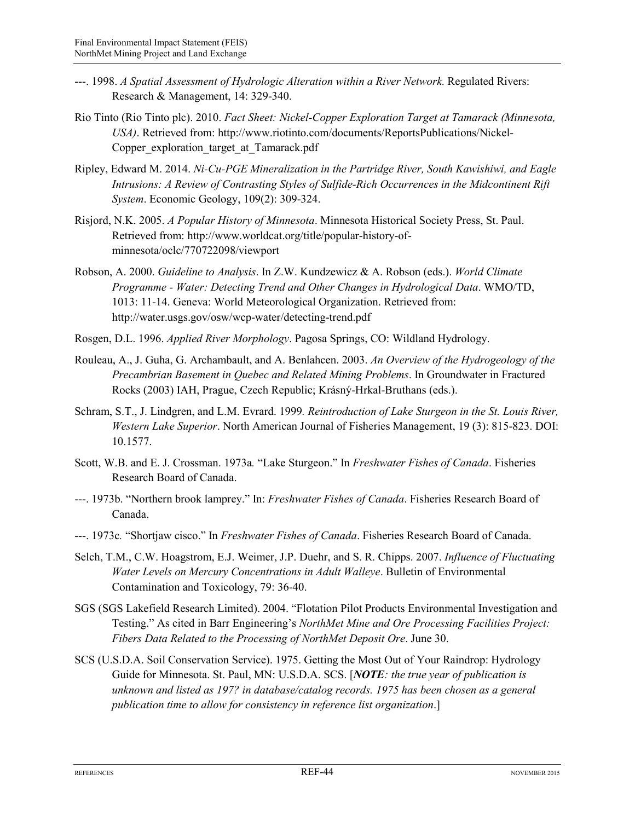- ---. 1998. *A Spatial Assessment of Hydrologic Alteration within a River Network.* Regulated Rivers: Research & Management, 14: 329-340.
- Rio Tinto (Rio Tinto plc). 2010. *Fact Sheet: Nickel-Copper Exploration Target at Tamarack (Minnesota, USA)*. Retrieved from: http://www.riotinto.com/documents/ReportsPublications/Nickel-Copper\_exploration\_target\_at\_Tamarack.pdf
- Ripley, Edward M. 2014. *Ni-Cu-PGE Mineralization in the Partridge River, South Kawishiwi, and Eagle Intrusions: A Review of Contrasting Styles of Sulfide-Rich Occurrences in the Midcontinent Rift System*. Economic Geology, 109(2): 309-324.
- Risjord, N.K. 2005. *A Popular History of Minnesota*. Minnesota Historical Society Press, St. Paul. Retrieved from: http://www.worldcat.org/title/popular-history-ofminnesota/oclc/770722098/viewport
- Robson, A. 2000. *Guideline to Analysis*. In Z.W. Kundzewicz & A. Robson (eds.). *World Climate Programme - Water: Detecting Trend and Other Changes in Hydrological Data*. WMO/TD, 1013: 11-14. Geneva: World Meteorological Organization. Retrieved from: http://water.usgs.gov/osw/wcp-water/detecting-trend.pdf
- Rosgen, D.L. 1996. *Applied River Morphology*. Pagosa Springs, CO: Wildland Hydrology.
- Rouleau, A., J. Guha, G. Archambault, and A. Benlahcen. 2003. *An Overview of the Hydrogeology of the Precambrian Basement in Quebec and Related Mining Problems*. In Groundwater in Fractured Rocks (2003) IAH, Prague, Czech Republic; Krásný-Hrkal-Bruthans (eds.).
- Schram, S.T., J. Lindgren, and L.M. Evrard. 1999*. Reintroduction of Lake Sturgeon in the St. Louis River, Western Lake Superior*. North American Journal of Fisheries Management, 19 (3): 815-823. DOI: 10.1577.
- Scott, W.B. and E. J. Crossman. 1973a*.* "Lake Sturgeon." In *Freshwater Fishes of Canada*. Fisheries Research Board of Canada.
- ---. 1973b. "Northern brook lamprey." In: *Freshwater Fishes of Canada*. Fisheries Research Board of Canada.
- ---. 1973c*.* "Shortjaw cisco." In *Freshwater Fishes of Canada*. Fisheries Research Board of Canada.
- Selch, T.M., C.W. Hoagstrom, E.J. Weimer, J.P. Duehr, and S. R. Chipps. 2007. *Influence of Fluctuating Water Levels on Mercury Concentrations in Adult Walleye*. Bulletin of Environmental Contamination and Toxicology, 79: 36-40.
- SGS (SGS Lakefield Research Limited). 2004. "Flotation Pilot Products Environmental Investigation and Testing." As cited in Barr Engineering's *NorthMet Mine and Ore Processing Facilities Project: Fibers Data Related to the Processing of NorthMet Deposit Ore*. June 30.
- SCS (U.S.D.A. Soil Conservation Service). 1975. Getting the Most Out of Your Raindrop: Hydrology Guide for Minnesota. St. Paul, MN: U.S.D.A. SCS. [*NOTE: the true year of publication is unknown and listed as 197? in database/catalog records. 1975 has been chosen as a general publication time to allow for consistency in reference list organization*.]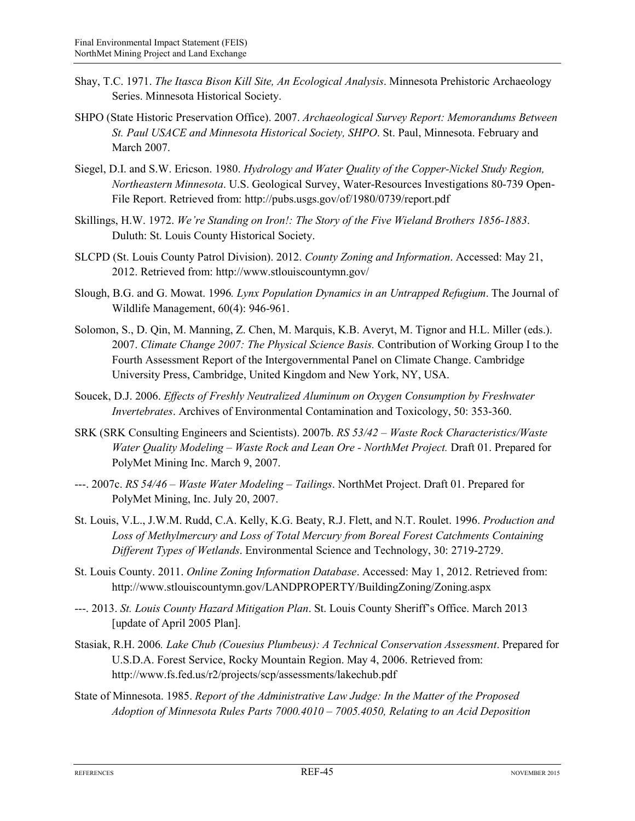- Shay, T.C. 1971. *The Itasca Bison Kill Site, An Ecological Analysis*. Minnesota Prehistoric Archaeology Series. Minnesota Historical Society.
- SHPO (State Historic Preservation Office). 2007. *Archaeological Survey Report: Memorandums Between St. Paul USACE and Minnesota Historical Society, SHPO*. St. Paul, Minnesota. February and March 2007.
- Siegel, D.I. and S.W. Ericson. 1980. *Hydrology and Water Quality of the Copper-Nickel Study Region, Northeastern Minnesota*. U.S. Geological Survey, Water-Resources Investigations 80-739 Open-File Report. Retrieved from: http://pubs.usgs.gov/of/1980/0739/report.pdf
- Skillings, H.W. 1972. *We're Standing on Iron!: The Story of the Five Wieland Brothers 1856-1883*. Duluth: St. Louis County Historical Society.
- SLCPD (St. Louis County Patrol Division). 2012. *County Zoning and Information*. Accessed: May 21, 2012. Retrieved from: http://www.stlouiscountymn.gov/
- Slough, B.G. and G. Mowat. 1996*. Lynx Population Dynamics in an Untrapped Refugium*. The Journal of Wildlife Management, 60(4): 946-961.
- Solomon, S., D. Qin, M. Manning, Z. Chen, M. Marquis, K.B. Averyt, M. Tignor and H.L. Miller (eds.). 2007. *Climate Change 2007: The Physical Science Basis.* Contribution of Working Group I to the Fourth Assessment Report of the Intergovernmental Panel on Climate Change. Cambridge University Press, Cambridge, United Kingdom and New York, NY, USA.
- Soucek, D.J. 2006. *Effects of Freshly Neutralized Aluminum on Oxygen Consumption by Freshwater Invertebrates*. Archives of Environmental Contamination and Toxicology, 50: 353-360.
- SRK (SRK Consulting Engineers and Scientists). 2007b. *RS 53/42 – Waste Rock Characteristics/Waste Water Quality Modeling – Waste Rock and Lean Ore - NorthMet Project.* Draft 01. Prepared for PolyMet Mining Inc. March 9, 2007.
- ---. 2007c. *RS 54/46 – Waste Water Modeling – Tailings*. NorthMet Project. Draft 01. Prepared for PolyMet Mining, Inc. July 20, 2007.
- St. Louis, V.L., J.W.M. Rudd, C.A. Kelly, K.G. Beaty, R.J. Flett, and N.T. Roulet. 1996. *Production and Loss of Methylmercury and Loss of Total Mercury from Boreal Forest Catchments Containing Different Types of Wetlands*. Environmental Science and Technology, 30: 2719-2729.
- St. Louis County. 2011. *Online Zoning Information Database*. Accessed: May 1, 2012. Retrieved from: http://www.stlouiscountymn.gov/LANDPROPERTY/BuildingZoning/Zoning.aspx
- ---. 2013. *St. Louis County Hazard Mitigation Plan*. St. Louis County Sheriff's Office. March 2013 [update of April 2005 Plan].
- Stasiak, R.H. 2006*. Lake Chub (Couesius Plumbeus): A Technical Conservation Assessment*. Prepared for U.S.D.A. Forest Service, Rocky Mountain Region. May 4, 2006. Retrieved from: http://www.fs.fed.us/r2/projects/scp/assessments/lakechub.pdf
- State of Minnesota. 1985. *Report of the Administrative Law Judge: In the Matter of the Proposed Adoption of Minnesota Rules Parts 7000.4010 – 7005.4050, Relating to an Acid Deposition*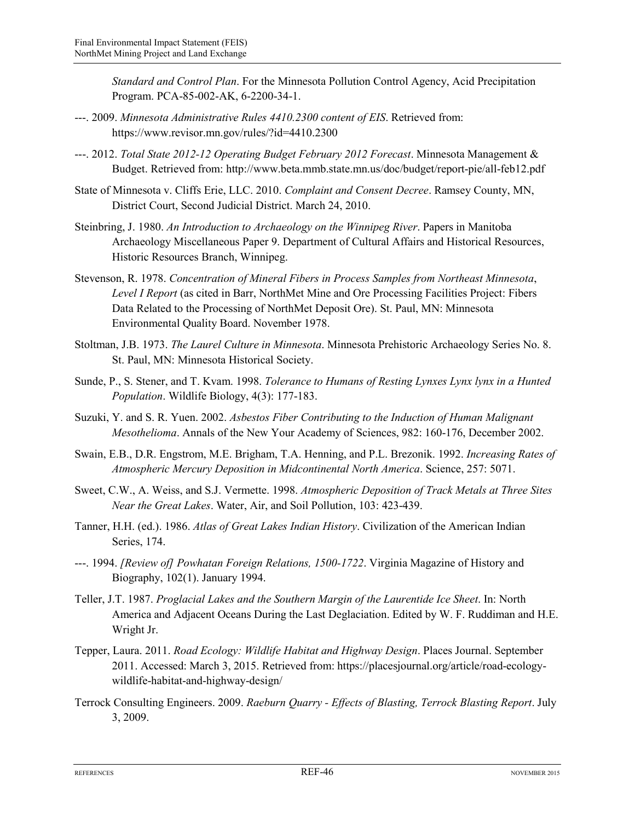*Standard and Control Plan*. For the Minnesota Pollution Control Agency, Acid Precipitation Program. PCA-85-002-AK, 6-2200-34-1.

- ---. 2009. *Minnesota Administrative Rules 4410.2300 content of EIS*. Retrieved from: https://www.revisor.mn.gov/rules/?id=4410.2300
- ---. 2012. *Total State 2012-12 Operating Budget February 2012 Forecast*. Minnesota Management & Budget. Retrieved from: http://www.beta.mmb.state.mn.us/doc/budget/report-pie/all-feb12.pdf
- State of Minnesota v. Cliffs Erie, LLC. 2010. *Complaint and Consent Decree*. Ramsey County, MN, District Court, Second Judicial District. March 24, 2010.
- Steinbring, J. 1980. *An Introduction to Archaeology on the Winnipeg River*. Papers in Manitoba Archaeology Miscellaneous Paper 9. Department of Cultural Affairs and Historical Resources, Historic Resources Branch, Winnipeg.
- Stevenson, R. 1978. *Concentration of Mineral Fibers in Process Samples from Northeast Minnesota*, *Level I Report* (as cited in Barr, NorthMet Mine and Ore Processing Facilities Project: Fibers Data Related to the Processing of NorthMet Deposit Ore). St. Paul, MN: Minnesota Environmental Quality Board. November 1978.
- Stoltman, J.B. 1973. *The Laurel Culture in Minnesota*. Minnesota Prehistoric Archaeology Series No. 8. St. Paul, MN: Minnesota Historical Society.
- Sunde, P., S. Stener, and T. Kvam. 1998. *Tolerance to Humans of Resting Lynxes Lynx lynx in a Hunted Population*. Wildlife Biology, 4(3): 177-183.
- Suzuki, Y. and S. R. Yuen. 2002. *Asbestos Fiber Contributing to the Induction of Human Malignant Mesothelioma*. Annals of the New Your Academy of Sciences, 982: 160-176, December 2002.
- Swain, E.B., D.R. Engstrom, M.E. Brigham, T.A. Henning, and P.L. Brezonik. 1992. *Increasing Rates of Atmospheric Mercury Deposition in Midcontinental North America*. Science, 257: 5071.
- Sweet, C.W., A. Weiss, and S.J. Vermette. 1998. *Atmospheric Deposition of Track Metals at Three Sites Near the Great Lakes*. Water, Air, and Soil Pollution, 103: 423-439.
- Tanner, H.H. (ed.). 1986. *Atlas of Great Lakes Indian History*. Civilization of the American Indian Series, 174.
- ---. 1994. *[Review of] Powhatan Foreign Relations, 1500-1722*. Virginia Magazine of History and Biography, 102(1). January 1994.
- Teller, J.T. 1987. *Proglacial Lakes and the Southern Margin of the Laurentide Ice Sheet*. In: North America and Adjacent Oceans During the Last Deglaciation. Edited by W. F. Ruddiman and H.E. Wright Jr.
- Tepper, Laura. 2011. *Road Ecology: Wildlife Habitat and Highway Design*. Places Journal. September 2011. Accessed: March 3, 2015. Retrieved from: https://placesjournal.org/article/road-ecologywildlife-habitat-and-highway-design/
- Terrock Consulting Engineers. 2009. *Raeburn Quarry - Effects of Blasting, Terrock Blasting Report*. July 3, 2009.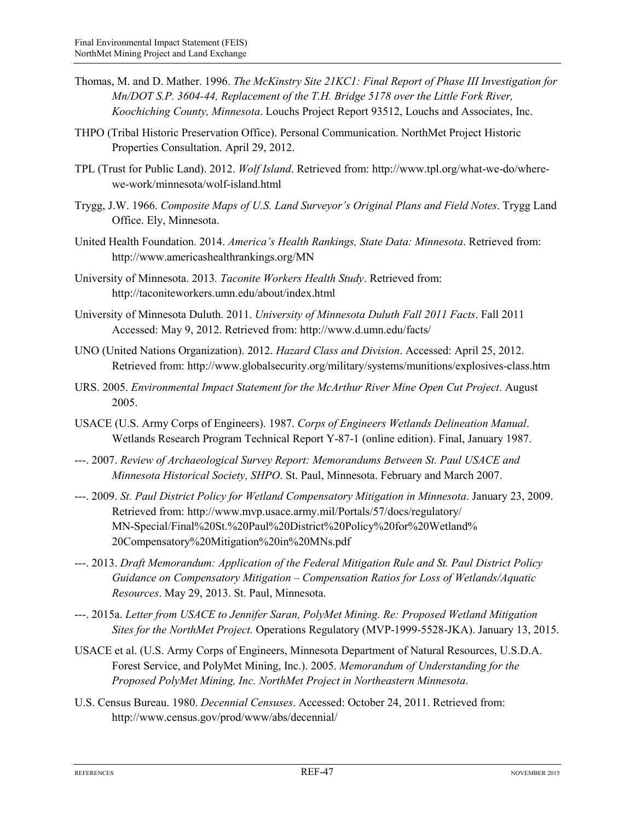- Thomas, M. and D. Mather. 1996. *The McKinstry Site 21KC1: Final Report of Phase III Investigation for Mn/DOT S.P. 3604-44, Replacement of the T.H. Bridge 5178 over the Little Fork River, Koochiching County, Minnesota*. Louchs Project Report 93512, Louchs and Associates, Inc.
- THPO (Tribal Historic Preservation Office). Personal Communication. NorthMet Project Historic Properties Consultation. April 29, 2012.
- TPL (Trust for Public Land). 2012. *Wolf Island*. Retrieved from: http://www.tpl.org/what-we-do/wherewe-work/minnesota/wolf-island.html
- Trygg, J.W. 1966. *Composite Maps of U.S. Land Surveyor's Original Plans and Field Notes*. Trygg Land Office. Ely, Minnesota.
- United Health Foundation. 2014. *America's Health Rankings, State Data: Minnesota*. Retrieved from: http://www.americashealthrankings.org/MN
- University of Minnesota. 2013*. Taconite Workers Health Study*. Retrieved from: http://taconiteworkers.umn.edu/about/index.html
- University of Minnesota Duluth. 2011. *University of Minnesota Duluth Fall 2011 Facts*. Fall 2011 Accessed: May 9, 2012. Retrieved from: http://www.d.umn.edu/facts/
- UNO (United Nations Organization). 2012. *Hazard Class and Division*. Accessed: April 25, 2012. Retrieved from: http://www.globalsecurity.org/military/systems/munitions/explosives-class.htm
- URS. 2005. *Environmental Impact Statement for the McArthur River Mine Open Cut Project*. August 2005.
- USACE (U.S. Army Corps of Engineers). 1987. *Corps of Engineers Wetlands Delineation Manual*. Wetlands Research Program Technical Report Y-87-1 (online edition). Final, January 1987.
- ---. 2007. *Review of Archaeological Survey Report: Memorandums Between St. Paul USACE and Minnesota Historical Society, SHPO*. St. Paul, Minnesota. February and March 2007.
- ---. 2009. *St. Paul District Policy for Wetland Compensatory Mitigation in Minnesota*. January 23, 2009. Retrieved from: http://www.mvp.usace.army.mil/Portals/57/docs/regulatory/ MN-Special/Final%20St.%20Paul%20District%20Policy%20for%20Wetland% 20Compensatory%20Mitigation%20in%20MNs.pdf
- ---. 2013. *Draft Memorandum: Application of the Federal Mitigation Rule and St. Paul District Policy Guidance on Compensatory Mitigation – Compensation Ratios for Loss of Wetlands/Aquatic Resources*. May 29, 2013. St. Paul, Minnesota.
- ---. 2015a. *Letter from USACE to Jennifer Saran, PolyMet Mining. Re: Proposed Wetland Mitigation Sites for the NorthMet Project.* Operations Regulatory (MVP-1999-5528-JKA). January 13, 2015.
- USACE et al. (U.S. Army Corps of Engineers, Minnesota Department of Natural Resources, U.S.D.A. Forest Service, and PolyMet Mining, Inc.). 2005. *Memorandum of Understanding for the Proposed PolyMet Mining, Inc. NorthMet Project in Northeastern Minnesota*.
- U.S. Census Bureau. 1980. *Decennial Censuses*. Accessed: October 24, 2011. Retrieved from: http://www.census.gov/prod/www/abs/decennial/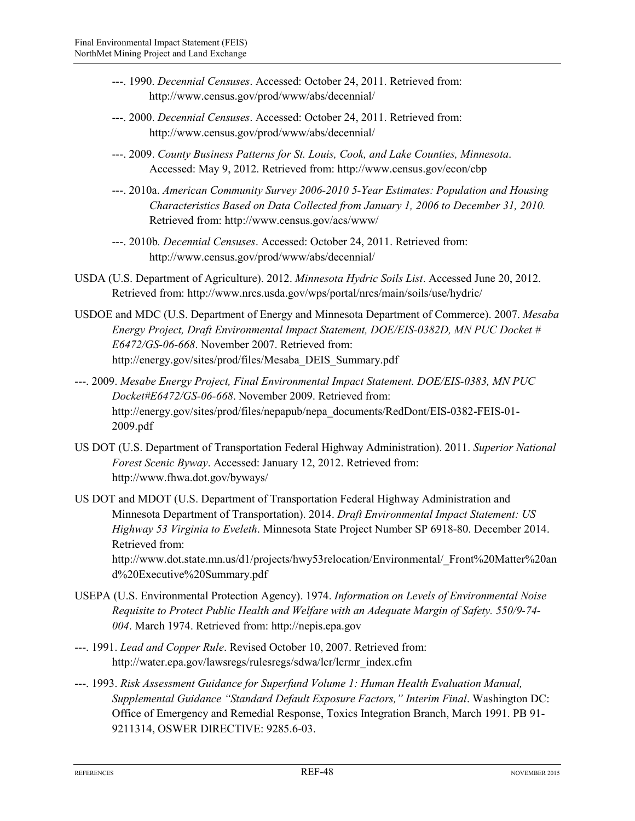- ---. 1990. *Decennial Censuses*. Accessed: October 24, 2011. Retrieved from: http://www.census.gov/prod/www/abs/decennial/
- ---. 2000. *Decennial Censuses*. Accessed: October 24, 2011. Retrieved from: http://www.census.gov/prod/www/abs/decennial/
- ---. 2009. *County Business Patterns for St. Louis, Cook, and Lake Counties, Minnesota*. Accessed: May 9, 2012. Retrieved from: http://www.census.gov/econ/cbp
- ---. 2010a. *American Community Survey 2006-2010 5-Year Estimates: Population and Housing Characteristics Based on Data Collected from January 1, 2006 to December 31, 2010.* Retrieved from: http://www.census.gov/acs/www/
- ---. 2010b*. Decennial Censuses*. Accessed: October 24, 2011. Retrieved from: http://www.census.gov/prod/www/abs/decennial/
- USDA (U.S. Department of Agriculture). 2012. *Minnesota Hydric Soils List*. Accessed June 20, 2012. Retrieved from: http://www.nrcs.usda.gov/wps/portal/nrcs/main/soils/use/hydric/
- USDOE and MDC (U.S. Department of Energy and Minnesota Department of Commerce). 2007. *Mesaba Energy Project, Draft Environmental Impact Statement, DOE/EIS-0382D, MN PUC Docket # E6472/GS-06-668*. November 2007. Retrieved from: http://energy.gov/sites/prod/files/Mesaba\_DEIS\_Summary.pdf
- ---. 2009. *Mesabe Energy Project, Final Environmental Impact Statement. DOE/EIS-0383, MN PUC Docket#E6472/GS-06-668*. November 2009. Retrieved from: http://energy.gov/sites/prod/files/nepapub/nepa\_documents/RedDont/EIS-0382-FEIS-01- 2009.pdf
- US DOT (U.S. Department of Transportation Federal Highway Administration). 2011. *Superior National Forest Scenic Byway*. Accessed: January 12, 2012. Retrieved from: http://www.fhwa.dot.gov/byways/
- US DOT and MDOT (U.S. Department of Transportation Federal Highway Administration and Minnesota Department of Transportation). 2014. *Draft Environmental Impact Statement: US Highway 53 Virginia to Eveleth*. Minnesota State Project Number SP 6918-80. December 2014. Retrieved from:

http://www.dot.state.mn.us/d1/projects/hwy53relocation/Environmental/\_Front%20Matter%20an d%20Executive%20Summary.pdf

- USEPA (U.S. Environmental Protection Agency). 1974. *Information on Levels of Environmental Noise Requisite to Protect Public Health and Welfare with an Adequate Margin of Safety. 550/9-74- 004*. March 1974. Retrieved from: http://nepis.epa.gov
- ---. 1991. *Lead and Copper Rule*. Revised October 10, 2007. Retrieved from: http://water.epa.gov/lawsregs/rulesregs/sdwa/lcr/lcrmr\_index.cfm
- ---. 1993. *Risk Assessment Guidance for Superfund Volume 1: Human Health Evaluation Manual, Supplemental Guidance "Standard Default Exposure Factors," Interim Final*. Washington DC: Office of Emergency and Remedial Response, Toxics Integration Branch, March 1991. PB 91- 9211314, OSWER DIRECTIVE: 9285.6-03.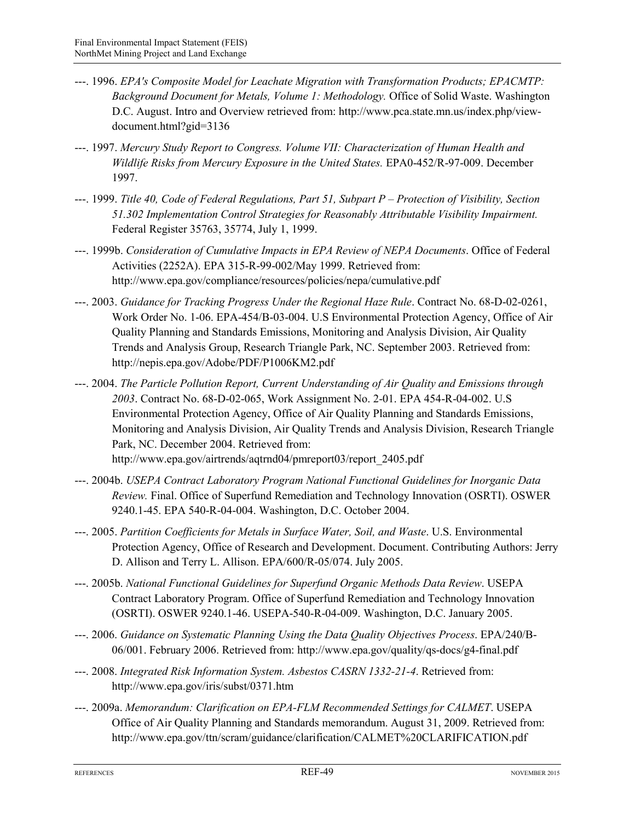- ---. 1996. *EPA's Composite Model for Leachate Migration with Transformation Products; EPACMTP: Background Document for Metals, Volume 1: Methodology.* Office of Solid Waste. Washington D.C. August. Intro and Overview retrieved from: http://www.pca.state.mn.us/index.php/viewdocument.html?gid=3136
- ---. 1997. *Mercury Study Report to Congress. Volume VII: Characterization of Human Health and Wildlife Risks from Mercury Exposure in the United States.* EPA0-452/R-97-009. December 1997.
- ---. 1999. *Title 40, Code of Federal Regulations, Part 51, Subpart P – Protection of Visibility, Section 51.302 Implementation Control Strategies for Reasonably Attributable Visibility Impairment.* Federal Register 35763, 35774, July 1, 1999.
- ---. 1999b. *Consideration of Cumulative Impacts in EPA Review of NEPA Documents*. Office of Federal Activities (2252A). EPA 315-R-99-002/May 1999. Retrieved from: http://www.epa.gov/compliance/resources/policies/nepa/cumulative.pdf
- ---. 2003. *Guidance for Tracking Progress Under the Regional Haze Rule*. Contract No. 68-D-02-0261, Work Order No. 1-06. EPA-454/B-03-004. U.S Environmental Protection Agency, Office of Air Quality Planning and Standards Emissions, Monitoring and Analysis Division, Air Quality Trends and Analysis Group, Research Triangle Park, NC. September 2003. Retrieved from: http://nepis.epa.gov/Adobe/PDF/P1006KM2.pdf
- ---. 2004. *The Particle Pollution Report, Current Understanding of Air Quality and Emissions through 2003*. Contract No. 68-D-02-065, Work Assignment No. 2-01. EPA 454-R-04-002. U.S Environmental Protection Agency, Office of Air Quality Planning and Standards Emissions, Monitoring and Analysis Division, Air Quality Trends and Analysis Division, Research Triangle Park, NC. December 2004. Retrieved from: http://www.epa.gov/airtrends/aqtrnd04/pmreport03/report\_2405.pdf
- ---. 2004b. *USEPA Contract Laboratory Program National Functional Guidelines for Inorganic Data Review.* Final. Office of Superfund Remediation and Technology Innovation (OSRTI). OSWER 9240.1-45. EPA 540-R-04-004. Washington, D.C. October 2004.
- ---. 2005. *Partition Coefficients for Metals in Surface Water, Soil, and Waste*. U.S. Environmental Protection Agency, Office of Research and Development. Document. Contributing Authors: Jerry D. Allison and Terry L. Allison. EPA/600/R-05/074. July 2005.
- ---. 2005b. *National Functional Guidelines for Superfund Organic Methods Data Review*. USEPA Contract Laboratory Program. Office of Superfund Remediation and Technology Innovation (OSRTI). OSWER 9240.1-46. USEPA-540-R-04-009. Washington, D.C. January 2005.
- ---. 2006. *Guidance on Systematic Planning Using the Data Quality Objectives Process*. EPA/240/B-06/001. February 2006. Retrieved from: http://www.epa.gov/quality/qs-docs/g4-final.pdf
- ---. 2008. *Integrated Risk Information System. Asbestos CASRN 1332-21-4*. Retrieved from: http://www.epa.gov/iris/subst/0371.htm
- ---. 2009a. *Memorandum: Clarification on EPA-FLM Recommended Settings for CALMET*. USEPA Office of Air Quality Planning and Standards memorandum. August 31, 2009. Retrieved from: http://www.epa.gov/ttn/scram/guidance/clarification/CALMET%20CLARIFICATION.pdf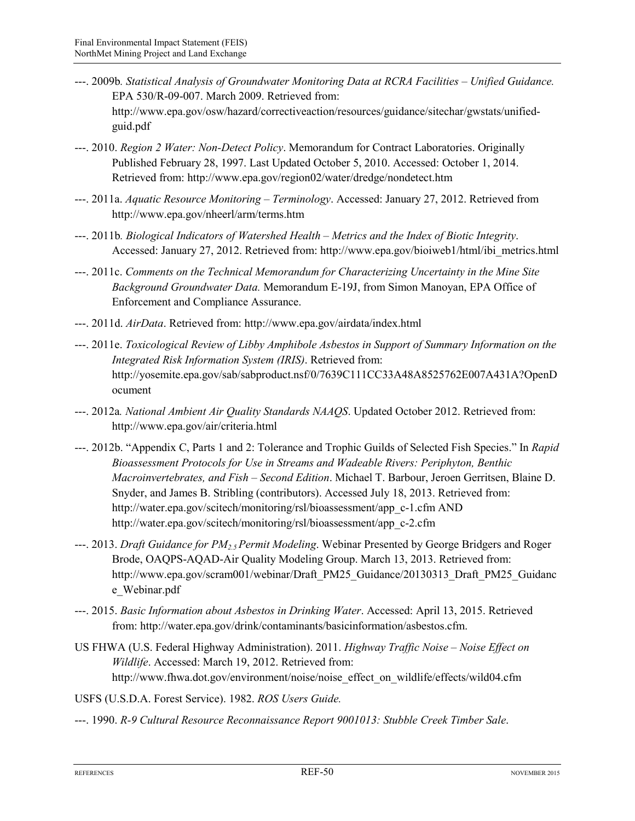- ---. 2009b*. Statistical Analysis of Groundwater Monitoring Data at RCRA Facilities – Unified Guidance.*  EPA 530/R-09-007. March 2009. Retrieved from: http://www.epa.gov/osw/hazard/correctiveaction/resources/guidance/sitechar/gwstats/unifiedguid.pdf
- ---. 2010. *Region 2 Water: Non-Detect Policy*. Memorandum for Contract Laboratories. Originally Published February 28, 1997. Last Updated October 5, 2010. Accessed: October 1, 2014. Retrieved from: http://www.epa.gov/region02/water/dredge/nondetect.htm
- ---. 2011a. *Aquatic Resource Monitoring – Terminology*. Accessed: January 27, 2012. Retrieved from http://www.epa.gov/nheerl/arm/terms.htm
- ---. 2011b*. Biological Indicators of Watershed Health – Metrics and the Index of Biotic Integrity*. Accessed: January 27, 2012. Retrieved from: http://www.epa.gov/bioiweb1/html/ibi\_metrics.html
- ---. 2011c. *Comments on the Technical Memorandum for Characterizing Uncertainty in the Mine Site Background Groundwater Data.* Memorandum E-19J, from Simon Manoyan, EPA Office of Enforcement and Compliance Assurance.
- ---. 2011d. *AirData*. Retrieved from: http://www.epa.gov/airdata/index.html
- ---. 2011e. *Toxicological Review of Libby Amphibole Asbestos in Support of Summary Information on the Integrated Risk Information System (IRIS)*. Retrieved from: http://yosemite.epa.gov/sab/sabproduct.nsf/0/7639C111CC33A48A8525762E007A431A?OpenD ocument
- ---. 2012a*. National Ambient Air Quality Standards NAAQS*. Updated October 2012. Retrieved from: http://www.epa.gov/air/criteria.html
- ---. 2012b. "Appendix C, Parts 1 and 2: Tolerance and Trophic Guilds of Selected Fish Species." In *Rapid Bioassessment Protocols for Use in Streams and Wadeable Rivers: Periphyton, Benthic Macroinvertebrates, and Fish – Second Edition*. Michael T. Barbour, Jeroen Gerritsen, Blaine D. Snyder, and James B. Stribling (contributors). Accessed July 18, 2013. Retrieved from: http://water.epa.gov/scitech/monitoring/rsl/bioassessment/app\_c-1.cfm AND http://water.epa.gov/scitech/monitoring/rsl/bioassessment/app\_c-2.cfm
- ---. 2013. *Draft Guidance for PM2.5 Permit Modeling*. Webinar Presented by George Bridgers and Roger Brode, OAQPS-AQAD-Air Quality Modeling Group. March 13, 2013. Retrieved from: http://www.epa.gov/scram001/webinar/Draft\_PM25\_Guidance/20130313\_Draft\_PM25\_Guidanc e\_Webinar.pdf
- ---. 2015. *Basic Information about Asbestos in Drinking Water*. Accessed: April 13, 2015. Retrieved from: http://water.epa.gov/drink/contaminants/basicinformation/asbestos.cfm.
- US FHWA (U.S. Federal Highway Administration). 2011. *Highway Traffic Noise – Noise Effect on Wildlife*. Accessed: March 19, 2012. Retrieved from: http://www.fhwa.dot.gov/environment/noise/noise\_effect\_on\_wildlife/effects/wild04.cfm
- USFS (U.S.D.A. Forest Service). 1982. *ROS Users Guide.*
- ---. 1990. *R-9 Cultural Resource Reconnaissance Report 9001013: Stubble Creek Timber Sale*.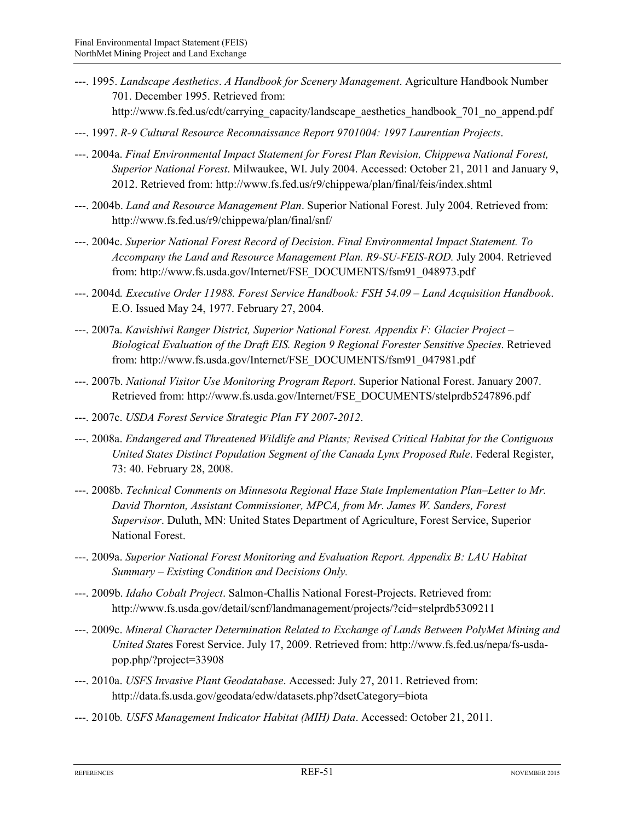- ---. 1995. *Landscape Aesthetics*. *A Handbook for Scenery Management*. Agriculture Handbook Number 701. December 1995. Retrieved from: http://www.fs.fed.us/cdt/carrying\_capacity/landscape\_aesthetics\_handbook\_701\_no\_append.pdf
- ---. 1997. *R-9 Cultural Resource Reconnaissance Report 9701004: 1997 Laurentian Projects*.
- ---. 2004a. *Final Environmental Impact Statement for Forest Plan Revision, Chippewa National Forest, Superior National Forest*. Milwaukee, WI. July 2004. Accessed: October 21, 2011 and January 9, 2012. Retrieved from: http://www.fs.fed.us/r9/chippewa/plan/final/feis/index.shtml
- ---. 2004b. *Land and Resource Management Plan*. Superior National Forest. July 2004. Retrieved from: http://www.fs.fed.us/r9/chippewa/plan/final/snf/
- ---. 2004c. *Superior National Forest Record of Decision*. *Final Environmental Impact Statement. To Accompany the Land and Resource Management Plan. R9-SU-FEIS-ROD.* July 2004. Retrieved from: http://www.fs.usda.gov/Internet/FSE\_DOCUMENTS/fsm91\_048973.pdf
- ---. 2004d*. Executive Order 11988. Forest Service Handbook: FSH 54.09 – Land Acquisition Handbook*. E.O. Issued May 24, 1977. February 27, 2004.
- ---. 2007a. *Kawishiwi Ranger District, Superior National Forest. Appendix F: Glacier Project – Biological Evaluation of the Draft EIS. Region 9 Regional Forester Sensitive Species*. Retrieved from: http://www.fs.usda.gov/Internet/FSE\_DOCUMENTS/fsm91\_047981.pdf
- ---. 2007b. *National Visitor Use Monitoring Program Report*. Superior National Forest. January 2007. Retrieved from: http://www.fs.usda.gov/Internet/FSE\_DOCUMENTS/stelprdb5247896.pdf
- ---. 2007c. *USDA Forest Service Strategic Plan FY 2007-2012*.
- ---. 2008a. *Endangered and Threatened Wildlife and Plants; Revised Critical Habitat for the Contiguous United States Distinct Population Segment of the Canada Lynx Proposed Rule*. Federal Register, 73: 40. February 28, 2008.
- ---. 2008b. *Technical Comments on Minnesota Regional Haze State Implementation Plan–Letter to Mr. David Thornton, Assistant Commissioner, MPCA, from Mr. James W. Sanders, Forest Supervisor*. Duluth, MN: United States Department of Agriculture, Forest Service, Superior National Forest.
- ---. 2009a. *Superior National Forest Monitoring and Evaluation Report. Appendix B: LAU Habitat Summary – Existing Condition and Decisions Only.*
- ---. 2009b. *Idaho Cobalt Project*. Salmon-Challis National Forest-Projects. Retrieved from: http://www.fs.usda.gov/detail/scnf/landmanagement/projects/?cid=stelprdb5309211
- ---. 2009c. *Mineral Character Determination Related to Exchange of Lands Between PolyMet Mining and United Stat*es Forest Service. July 17, 2009. Retrieved from: http://www.fs.fed.us/nepa/fs-usdapop.php/?project=33908
- ---. 2010a. *USFS Invasive Plant Geodatabase*. Accessed: July 27, 2011. Retrieved from: http://data.fs.usda.gov/geodata/edw/datasets.php?dsetCategory=biota
- ---. 2010b*. USFS Management Indicator Habitat (MIH) Data*. Accessed: October 21, 2011.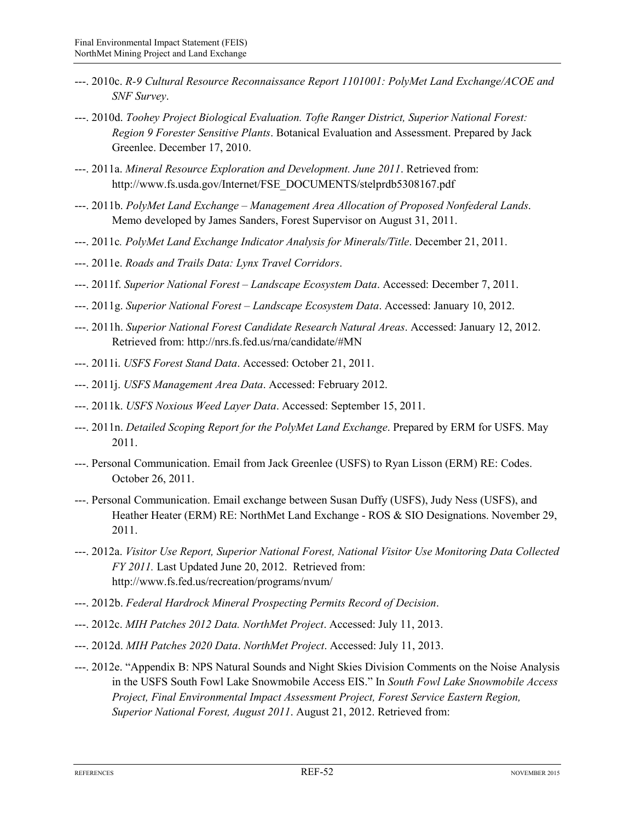- ---. 2010c. *R-9 Cultural Resource Reconnaissance Report 1101001: PolyMet Land Exchange/ACOE and SNF Survey*.
- ---. 2010d. *Toohey Project Biological Evaluation. Tofte Ranger District, Superior National Forest: Region 9 Forester Sensitive Plants*. Botanical Evaluation and Assessment. Prepared by Jack Greenlee. December 17, 2010.
- ---. 2011a. *Mineral Resource Exploration and Development. June 2011*. Retrieved from: http://www.fs.usda.gov/Internet/FSE\_DOCUMENTS/stelprdb5308167.pdf
- ---. 2011b. *PolyMet Land Exchange – Management Area Allocation of Proposed Nonfederal Lands*. Memo developed by James Sanders, Forest Supervisor on August 31, 2011.
- ---. 2011c*. PolyMet Land Exchange Indicator Analysis for Minerals/Title*. December 21, 2011.
- ---. 2011e. *Roads and Trails Data: Lynx Travel Corridors*.
- ---. 2011f. *Superior National Forest – Landscape Ecosystem Data*. Accessed: December 7, 2011.
- ---. 2011g. *Superior National Forest – Landscape Ecosystem Data*. Accessed: January 10, 2012.
- ---. 2011h. *Superior National Forest Candidate Research Natural Areas*. Accessed: January 12, 2012. Retrieved from: http://nrs.fs.fed.us/rna/candidate/#MN
- ---. 2011i. *USFS Forest Stand Data*. Accessed: October 21, 2011.
- ---. 2011j. *USFS Management Area Data*. Accessed: February 2012.
- ---. 2011k. *USFS Noxious Weed Layer Data*. Accessed: September 15, 2011.
- ---. 2011n. *Detailed Scoping Report for the PolyMet Land Exchange*. Prepared by ERM for USFS. May 2011.
- ---. Personal Communication. Email from Jack Greenlee (USFS) to Ryan Lisson (ERM) RE: Codes. October 26, 2011.
- ---. Personal Communication. Email exchange between Susan Duffy (USFS), Judy Ness (USFS), and Heather Heater (ERM) RE: NorthMet Land Exchange - ROS & SIO Designations. November 29, 2011.
- ---. 2012a. *Visitor Use Report, Superior National Forest, National Visitor Use Monitoring Data Collected FY 2011.* Last Updated June 20, 2012. Retrieved from: http://www.fs.fed.us/recreation/programs/nvum/
- ---. 2012b. *Federal Hardrock Mineral Prospecting Permits Record of Decision*.
- ---. 2012c. *MIH Patches 2012 Data. NorthMet Project*. Accessed: July 11, 2013.
- ---. 2012d. *MIH Patches 2020 Data*. *NorthMet Project*. Accessed: July 11, 2013.
- ---. 2012e. "Appendix B: NPS Natural Sounds and Night Skies Division Comments on the Noise Analysis in the USFS South Fowl Lake Snowmobile Access EIS." In *South Fowl Lake Snowmobile Access Project, Final Environmental Impact Assessment Project, Forest Service Eastern Region, Superior National Forest, August 2011*. August 21, 2012. Retrieved from: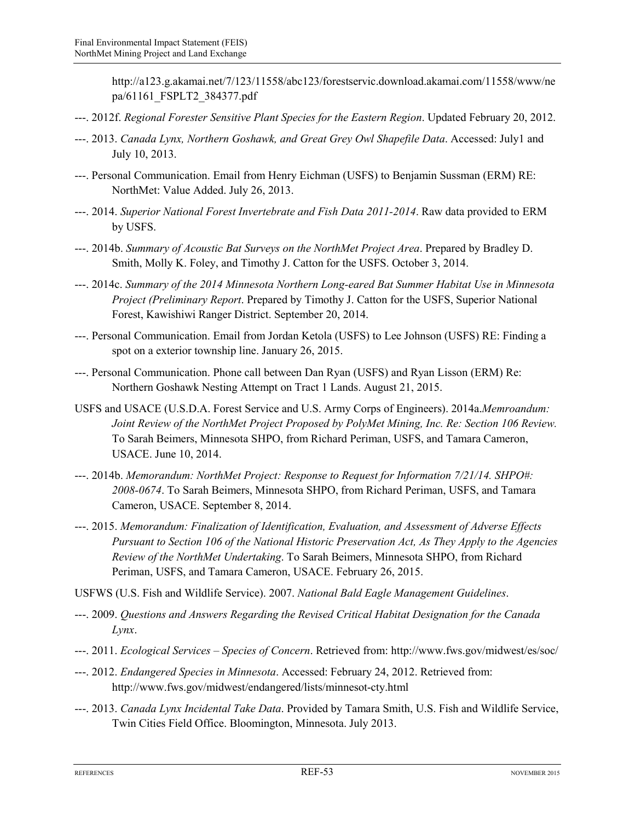http://a123.g.akamai.net/7/123/11558/abc123/forestservic.download.akamai.com/11558/www/ne pa/61161\_FSPLT2\_384377.pdf

- ---. 2012f. *Regional Forester Sensitive Plant Species for the Eastern Region*. Updated February 20, 2012.
- ---. 2013. *Canada Lynx, Northern Goshawk, and Great Grey Owl Shapefile Data*. Accessed: July1 and July 10, 2013.
- ---. Personal Communication. Email from Henry Eichman (USFS) to Benjamin Sussman (ERM) RE: NorthMet: Value Added. July 26, 2013.
- ---. 2014. *Superior National Forest Invertebrate and Fish Data 2011-2014*. Raw data provided to ERM by USFS.
- ---. 2014b. *Summary of Acoustic Bat Surveys on the NorthMet Project Area*. Prepared by Bradley D. Smith, Molly K. Foley, and Timothy J. Catton for the USFS. October 3, 2014.
- ---. 2014c. *Summary of the 2014 Minnesota Northern Long-eared Bat Summer Habitat Use in Minnesota Project (Preliminary Report*. Prepared by Timothy J. Catton for the USFS, Superior National Forest, Kawishiwi Ranger District. September 20, 2014.
- ---. Personal Communication. Email from Jordan Ketola (USFS) to Lee Johnson (USFS) RE: Finding a spot on a exterior township line. January 26, 2015.
- ---. Personal Communication. Phone call between Dan Ryan (USFS) and Ryan Lisson (ERM) Re: Northern Goshawk Nesting Attempt on Tract 1 Lands. August 21, 2015.
- USFS and USACE (U.S.D.A. Forest Service and U.S. Army Corps of Engineers). 2014a.*Memroandum: Joint Review of the NorthMet Project Proposed by PolyMet Mining, Inc. Re: Section 106 Review.*  To Sarah Beimers, Minnesota SHPO, from Richard Periman, USFS, and Tamara Cameron, USACE. June 10, 2014.
- ---. 2014b. *Memorandum: NorthMet Project: Response to Request for Information 7/21/14. SHPO#: 2008-0674*. To Sarah Beimers, Minnesota SHPO, from Richard Periman, USFS, and Tamara Cameron, USACE. September 8, 2014.
- ---. 2015. *Memorandum: Finalization of Identification, Evaluation, and Assessment of Adverse Effects Pursuant to Section 106 of the National Historic Preservation Act, As They Apply to the Agencies Review of the NorthMet Undertaking*. To Sarah Beimers, Minnesota SHPO, from Richard Periman, USFS, and Tamara Cameron, USACE. February 26, 2015.
- USFWS (U.S. Fish and Wildlife Service). 2007. *National Bald Eagle Management Guidelines*.
- ---. 2009. *Questions and Answers Regarding the Revised Critical Habitat Designation for the Canada Lynx*.
- ---. 2011. *Ecological Services – Species of Concern*. Retrieved from: http://www.fws.gov/midwest/es/soc/
- ---. 2012. *Endangered Species in Minnesota*. Accessed: February 24, 2012. Retrieved from: http://www.fws.gov/midwest/endangered/lists/minnesot-cty.html
- ---. 2013. *Canada Lynx Incidental Take Data*. Provided by Tamara Smith, U.S. Fish and Wildlife Service, Twin Cities Field Office. Bloomington, Minnesota. July 2013.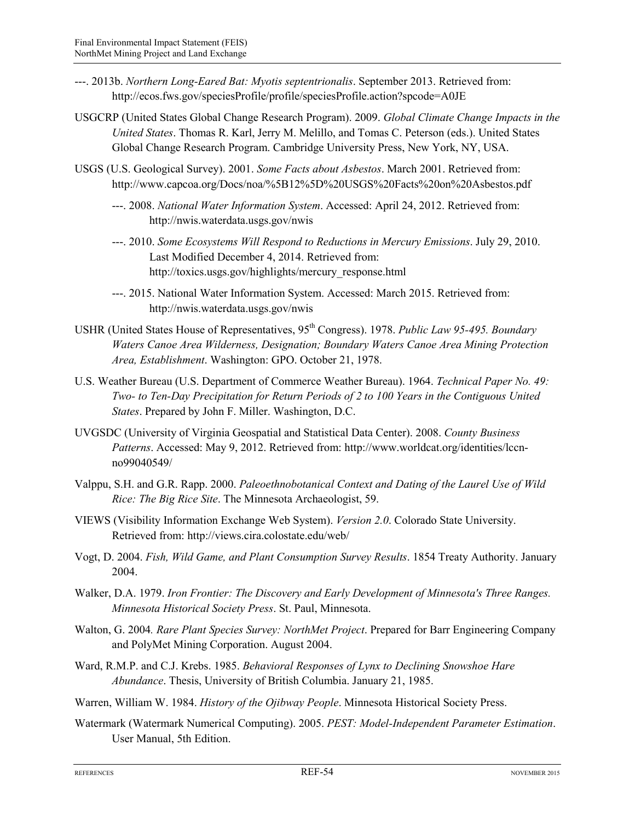- ---. 2013b. *Northern Long-Eared Bat: Myotis septentrionalis*. September 2013. Retrieved from: http://ecos.fws.gov/speciesProfile/profile/speciesProfile.action?spcode=A0JE
- USGCRP (United States Global Change Research Program). 2009. *Global Climate Change Impacts in the United States*. Thomas R. Karl, Jerry M. Melillo, and Tomas C. Peterson (eds.). United States Global Change Research Program. Cambridge University Press, New York, NY, USA.
- USGS (U.S. Geological Survey). 2001. *Some Facts about Asbestos*. March 2001. Retrieved from: http://www.capcoa.org/Docs/noa/%5B12%5D%20USGS%20Facts%20on%20Asbestos.pdf
	- ---. 2008. *National Water Information System*. Accessed: April 24, 2012. Retrieved from: http://nwis.waterdata.usgs.gov/nwis
	- ---. 2010. *Some Ecosystems Will Respond to Reductions in Mercury Emissions*. July 29, 2010. Last Modified December 4, 2014. Retrieved from: http://toxics.usgs.gov/highlights/mercury\_response.html
	- ---. 2015. National Water Information System. Accessed: March 2015. Retrieved from: http://nwis.waterdata.usgs.gov/nwis
- USHR (United States House of Representatives, 95<sup>th</sup> Congress). 1978. *Public Law 95-495. Boundary Waters Canoe Area Wilderness, Designation; Boundary Waters Canoe Area Mining Protection Area, Establishment*. Washington: GPO. October 21, 1978.
- U.S. Weather Bureau (U.S. Department of Commerce Weather Bureau). 1964. *Technical Paper No. 49: Two- to Ten-Day Precipitation for Return Periods of 2 to 100 Years in the Contiguous United States*. Prepared by John F. Miller. Washington, D.C.
- UVGSDC (University of Virginia Geospatial and Statistical Data Center). 2008. *County Business Patterns*. Accessed: May 9, 2012. Retrieved from: http://www.worldcat.org/identities/lccnno99040549/
- Valppu, S.H. and G.R. Rapp. 2000. *Paleoethnobotanical Context and Dating of the Laurel Use of Wild Rice: The Big Rice Site*. The Minnesota Archaeologist, 59.
- VIEWS (Visibility Information Exchange Web System). *Version 2.0*. Colorado State University. Retrieved from: http://views.cira.colostate.edu/web/
- Vogt, D. 2004. *Fish, Wild Game, and Plant Consumption Survey Results*. 1854 Treaty Authority. January 2004.
- Walker, D.A. 1979. *Iron Frontier: The Discovery and Early Development of Minnesota's Three Ranges. Minnesota Historical Society Press*. St. Paul, Minnesota.
- Walton, G. 2004*. Rare Plant Species Survey: NorthMet Project*. Prepared for Barr Engineering Company and PolyMet Mining Corporation. August 2004.
- Ward, R.M.P. and C.J. Krebs. 1985. *Behavioral Responses of Lynx to Declining Snowshoe Hare Abundance*. Thesis, University of British Columbia. January 21, 1985.
- Warren, William W. 1984. *History of the Ojibway People*. Minnesota Historical Society Press.
- Watermark (Watermark Numerical Computing). 2005. *PEST: Model-Independent Parameter Estimation*. User Manual, 5th Edition.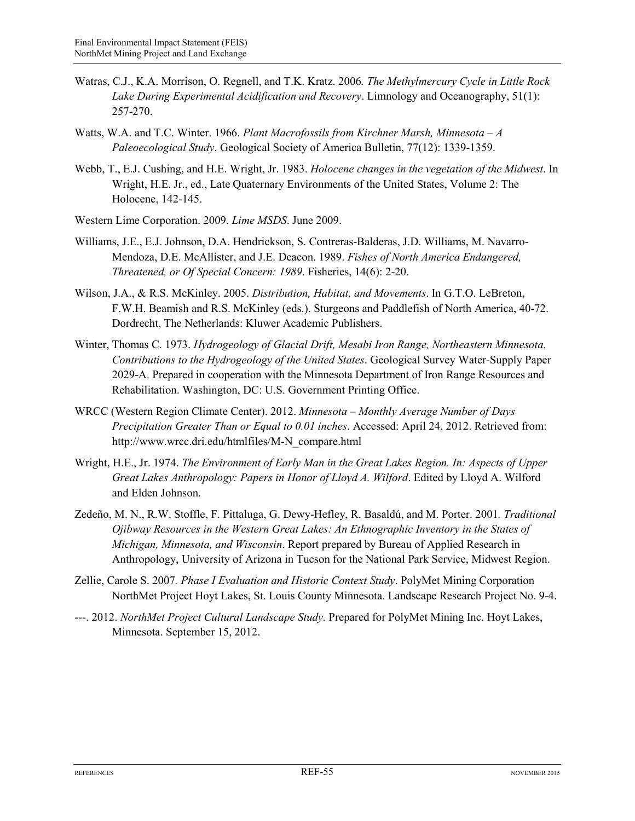- Watras, C.J., K.A. Morrison, O. Regnell, and T.K. Kratz. 2006*. The Methylmercury Cycle in Little Rock Lake During Experimental Acidification and Recovery*. Limnology and Oceanography, 51(1): 257-270.
- Watts, W.A. and T.C. Winter. 1966. *Plant Macrofossils from Kirchner Marsh, Minnesota – A Paleoecological Study*. Geological Society of America Bulletin, 77(12): 1339-1359.
- Webb, T., E.J. Cushing, and H.E. Wright, Jr. 1983. *Holocene changes in the vegetation of the Midwest*. In Wright, H.E. Jr., ed., Late Quaternary Environments of the United States, Volume 2: The Holocene, 142-145.
- Western Lime Corporation. 2009. *Lime MSDS*. June 2009.
- Williams, J.E., E.J. Johnson, D.A. Hendrickson, S. Contreras-Balderas, J.D. Williams, M. Navarro-Mendoza, D.E. McAllister, and J.E. Deacon. 1989. *Fishes of North America Endangered, Threatened, or Of Special Concern: 1989*. Fisheries, 14(6): 2-20.
- Wilson, J.A., & R.S. McKinley. 2005. *Distribution, Habitat, and Movements*. In G.T.O. LeBreton, F.W.H. Beamish and R.S. McKinley (eds.). Sturgeons and Paddlefish of North America, 40-72. Dordrecht, The Netherlands: Kluwer Academic Publishers.
- Winter, Thomas C. 1973. *Hydrogeology of Glacial Drift, Mesabi Iron Range, Northeastern Minnesota. Contributions to the Hydrogeology of the United States*. Geological Survey Water-Supply Paper 2029-A. Prepared in cooperation with the Minnesota Department of Iron Range Resources and Rehabilitation. Washington, DC: U.S. Government Printing Office.
- WRCC (Western Region Climate Center). 2012. *Minnesota – Monthly Average Number of Days Precipitation Greater Than or Equal to 0.01 inches*. Accessed: April 24, 2012. Retrieved from: http://www.wrcc.dri.edu/htmlfiles/M-N\_compare.html
- Wright, H.E., Jr. 1974. *The Environment of Early Man in the Great Lakes Region. In: Aspects of Upper Great Lakes Anthropology: Papers in Honor of Lloyd A. Wilford*. Edited by Lloyd A. Wilford and Elden Johnson.
- Zedeño, M. N., R.W. Stoffle, F. Pittaluga, G. Dewy-Hefley, R. Basaldú, and M. Porter. 2001*. Traditional Ojibway Resources in the Western Great Lakes: An Ethnographic Inventory in the States of Michigan, Minnesota, and Wisconsin*. Report prepared by Bureau of Applied Research in Anthropology, University of Arizona in Tucson for the National Park Service, Midwest Region.
- Zellie, Carole S. 2007*. Phase I Evaluation and Historic Context Study*. PolyMet Mining Corporation NorthMet Project Hoyt Lakes, St. Louis County Minnesota. Landscape Research Project No. 9-4.
- ---. 2012. *NorthMet Project Cultural Landscape Study.* Prepared for PolyMet Mining Inc. Hoyt Lakes, Minnesota. September 15, 2012.